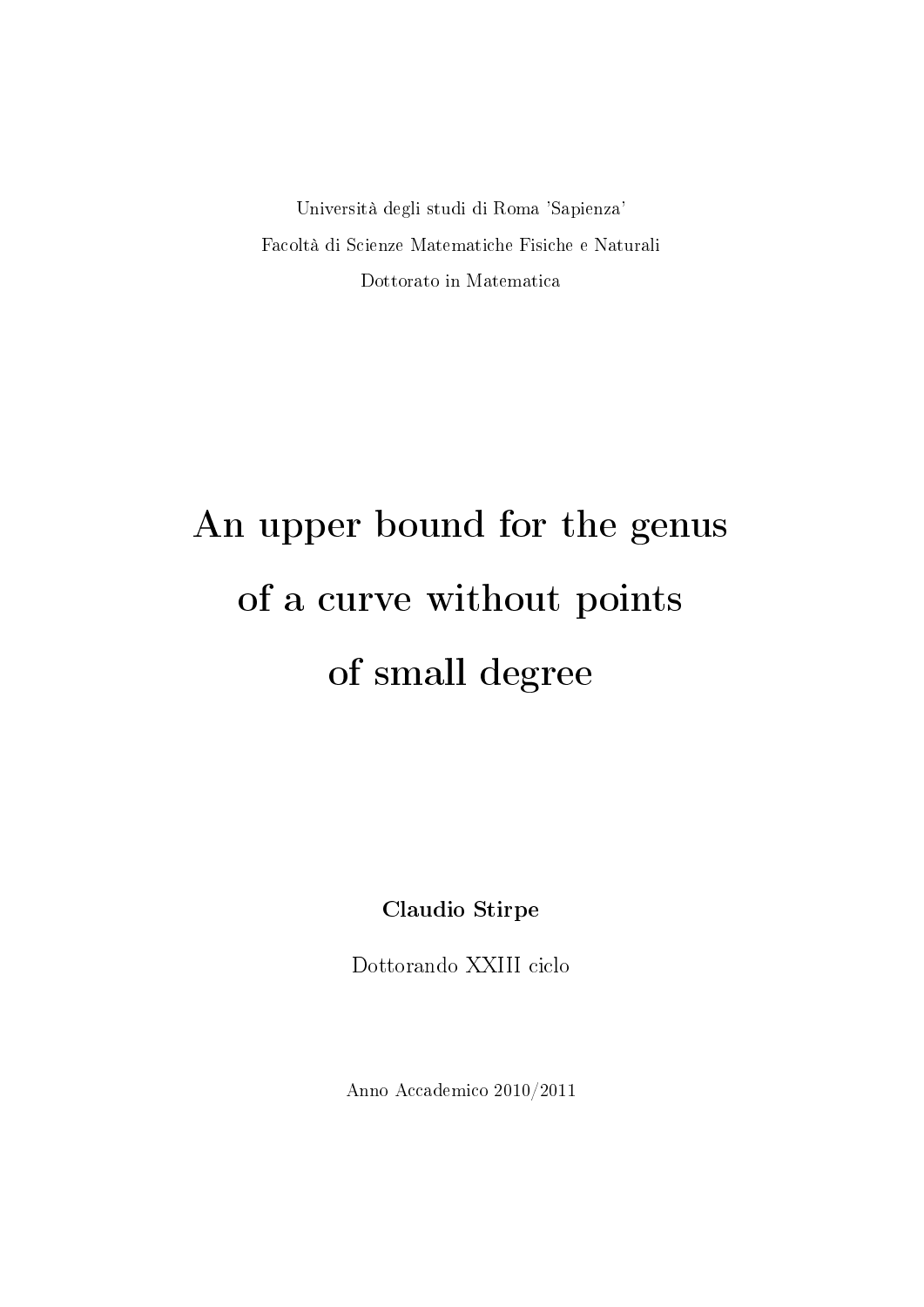Università degli studi di Roma 'Sapienza' Facoltà di Scienze Matematiche Fisiche e Naturali Dottorato in Matematica

# An upper bound for the genus of a curve without points of small degree

Claudio Stirpe

Dottorando XXIII ciclo

Anno Accademico 2010/2011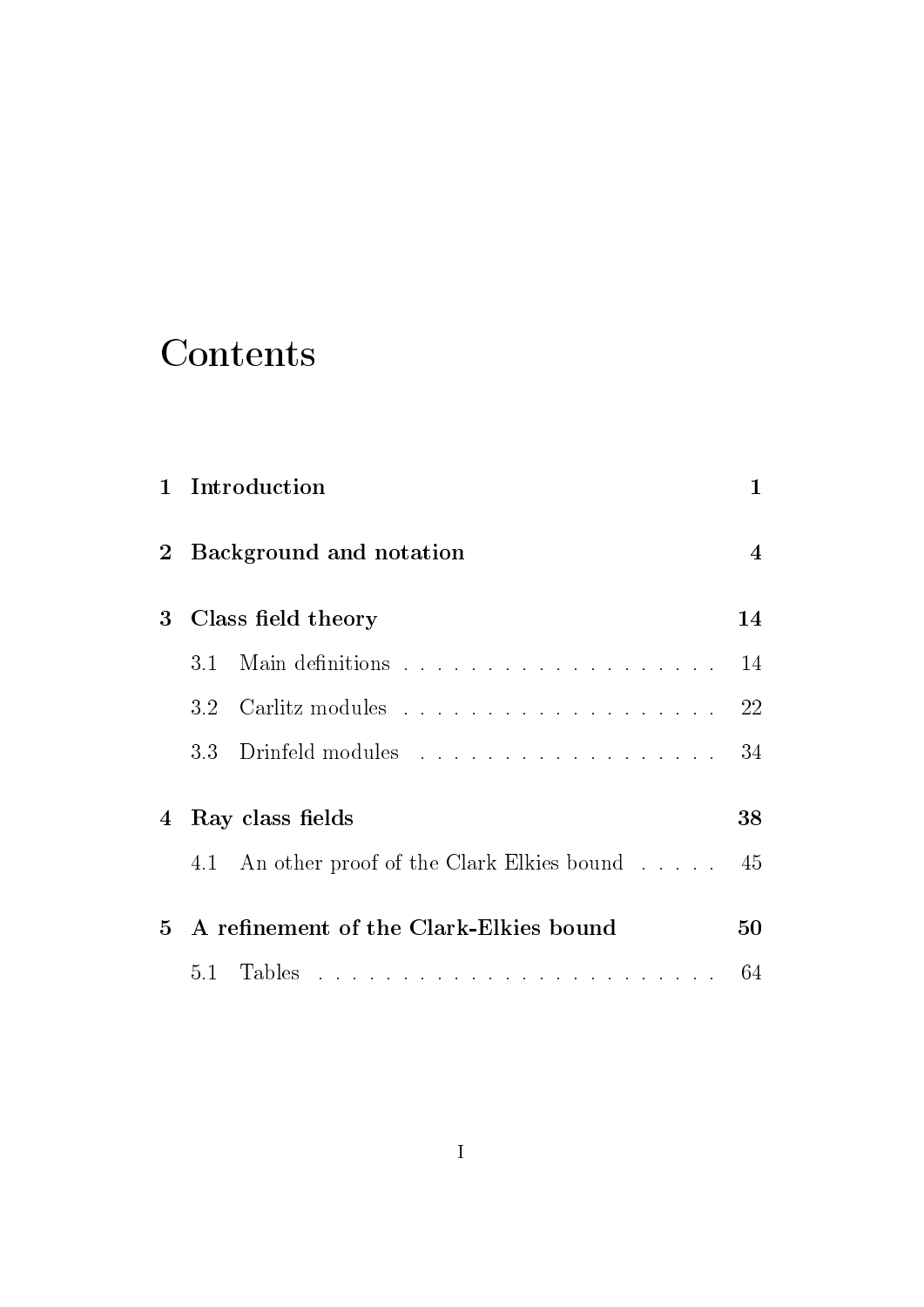### Contents

| 1              | Introduction<br>Background and notation |                                              |    |  |
|----------------|-----------------------------------------|----------------------------------------------|----|--|
| 2 <sub>1</sub> |                                         |                                              |    |  |
| $\bf{3}$       | Class field theory                      |                                              |    |  |
|                | 3.1                                     |                                              | 14 |  |
|                | 3.2                                     |                                              | 22 |  |
|                |                                         | 3.3 Drinfeld modules                         | 34 |  |
| $\overline{4}$ | Ray class fields                        |                                              |    |  |
|                |                                         | 4.1 An other proof of the Clark Elkies bound | 45 |  |
| 5              |                                         | A refinement of the Clark-Elkies bound       | 50 |  |
|                | 5.1                                     |                                              | 64 |  |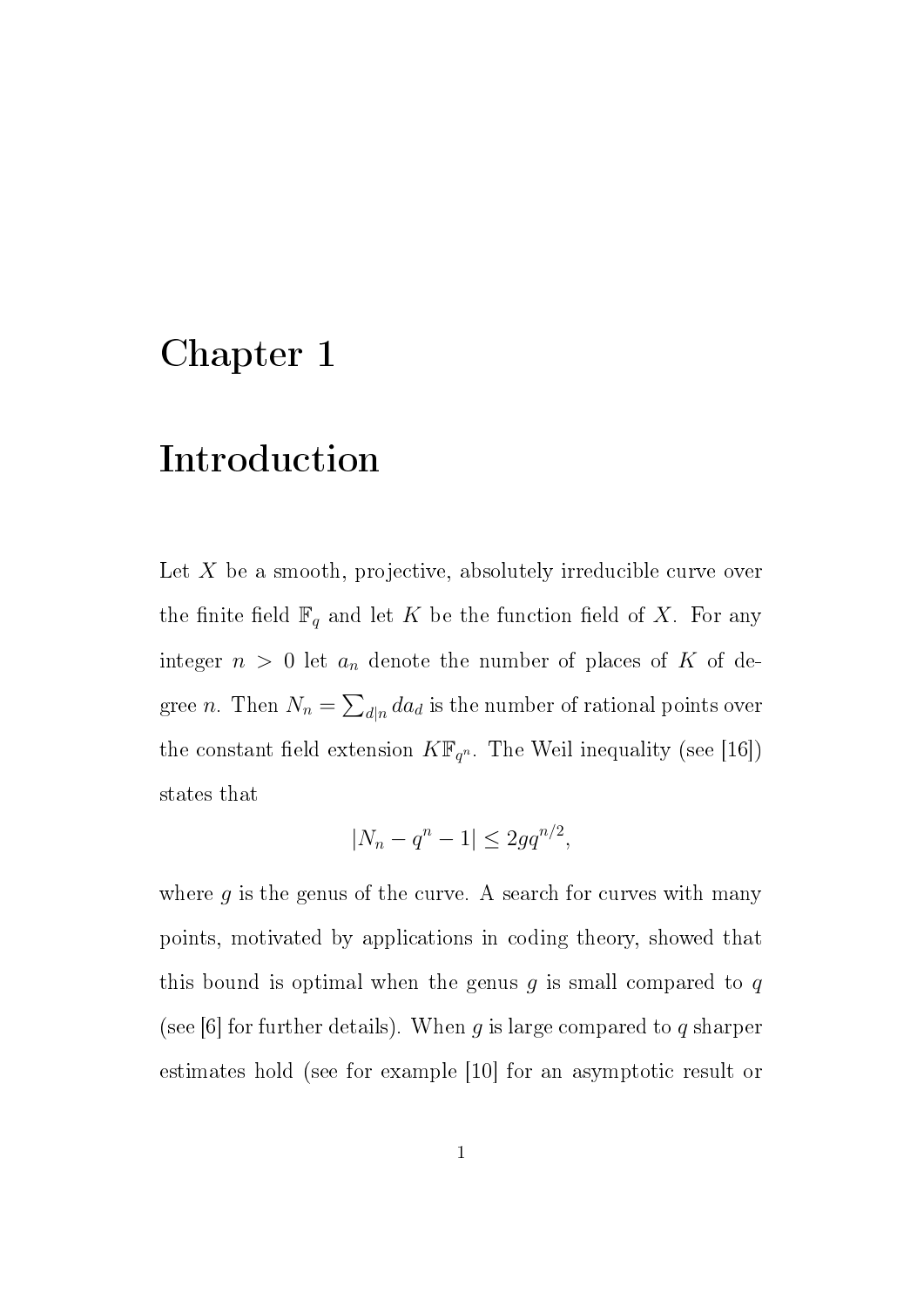### Chapter 1

### Introduction

Let  $X$  be a smooth, projective, absolutely irreducible curve over the finite field  $\mathbb{F}_q$  and let K be the function field of X. For any integer  $n > 0$  let  $a_n$  denote the number of places of K of degree *n*. Then  $N_n = \sum_{d|n} da_d$  is the number of rational points over the constant field extension  $K\mathbb{F}_{q^n}$ . The Weil inequality (see [16]) states that

$$
|N_n - q^n - 1| \le 2gq^{n/2},
$$

where  $g$  is the genus of the curve. A search for curves with many points, motivated by applications in coding theory, showed that this bound is optimal when the genus  $q$  is small compared to  $q$ (see [6] for further details). When g is large compared to g sharper estimates hold (see for example [10] for an asymptotic result or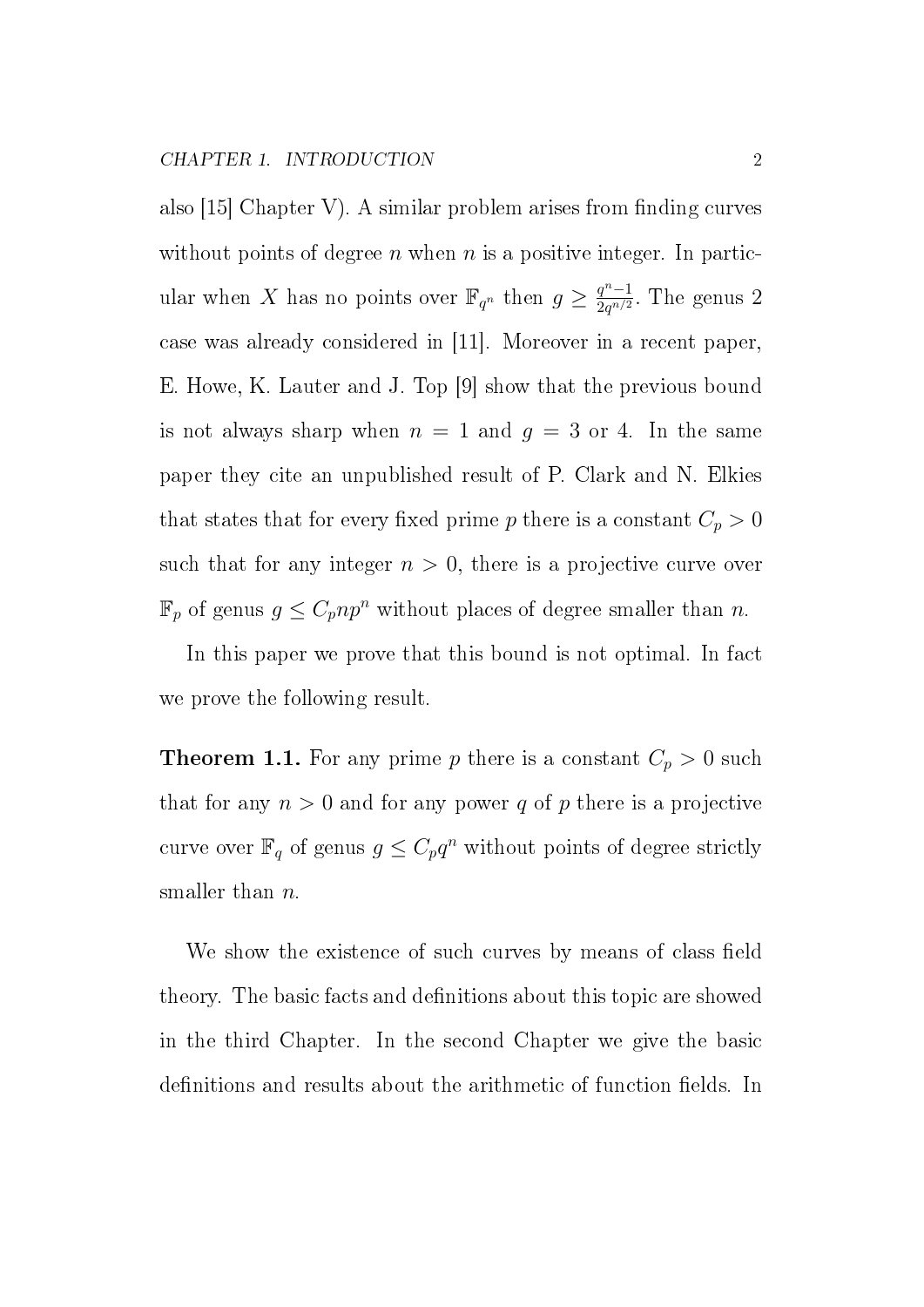also  $|15|$  Chapter V). A similar problem arises from finding curves without points of degree n when n is a positive integer. In particular when X has no points over  $\mathbb{F}_{q^n}$  then  $g \geq \frac{q^n-1}{2a^{n/2}}$  $\frac{q^n-1}{2q^{n/2}}$ . The genus 2 case was already considered in [11]. Moreover in a recent paper, E. Howe, K. Lauter and J. Top [9] show that the previous bound is not always sharp when  $n = 1$  and  $g = 3$  or 4. In the same paper they cite an unpublished result of P. Clark and N. Elkies that states that for every fixed prime p there is a constant  $C_p > 0$ such that for any integer  $n > 0$ , there is a projective curve over  $\mathbb{F}_p$  of genus  $g \leq C_p np^n$  without places of degree smaller than n.

In this paper we prove that this bound is not optimal. In fact we prove the following result.

**Theorem 1.1.** For any prime p there is a constant  $C_p > 0$  such that for any  $n > 0$  and for any power q of p there is a projective curve over  $\mathbb{F}_q$  of genus  $g \leq C_p q^n$  without points of degree strictly smaller than *n*.

We show the existence of such curves by means of class field theory. The basic facts and definitions about this topic are showed in the third Chapter. In the second Chapter we give the basic definitions and results about the arithmetic of function fields. In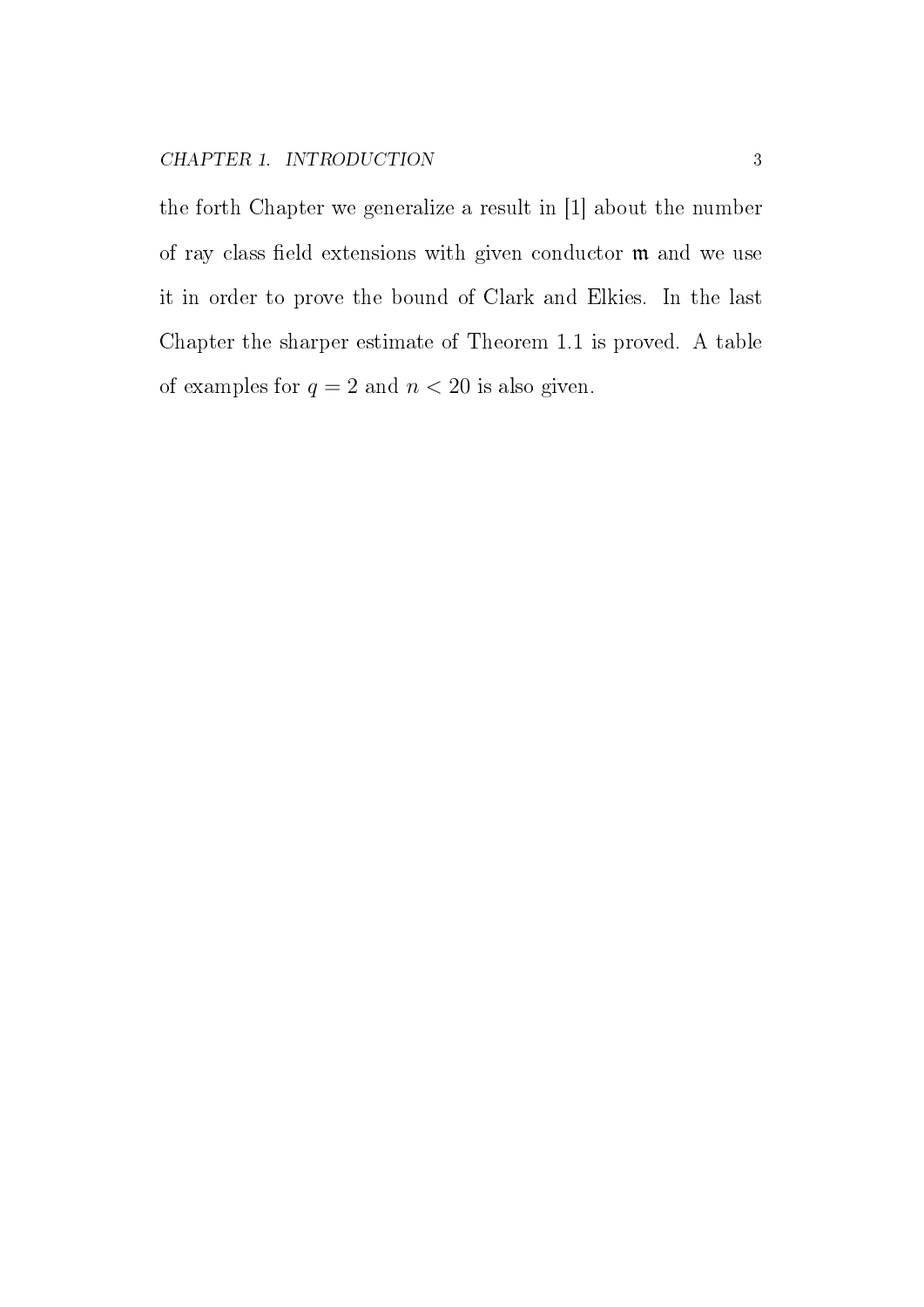the forth Chapter we generalize a result in [1] about the number of ray class field extensions with given conductor  $m$  and we use it in order to prove the bound of Clark and Elkies. In the last Chapter the sharper estimate of Theorem 1.1 is proved. A table of examples for  $q = 2$  and  $n < 20$  is also given.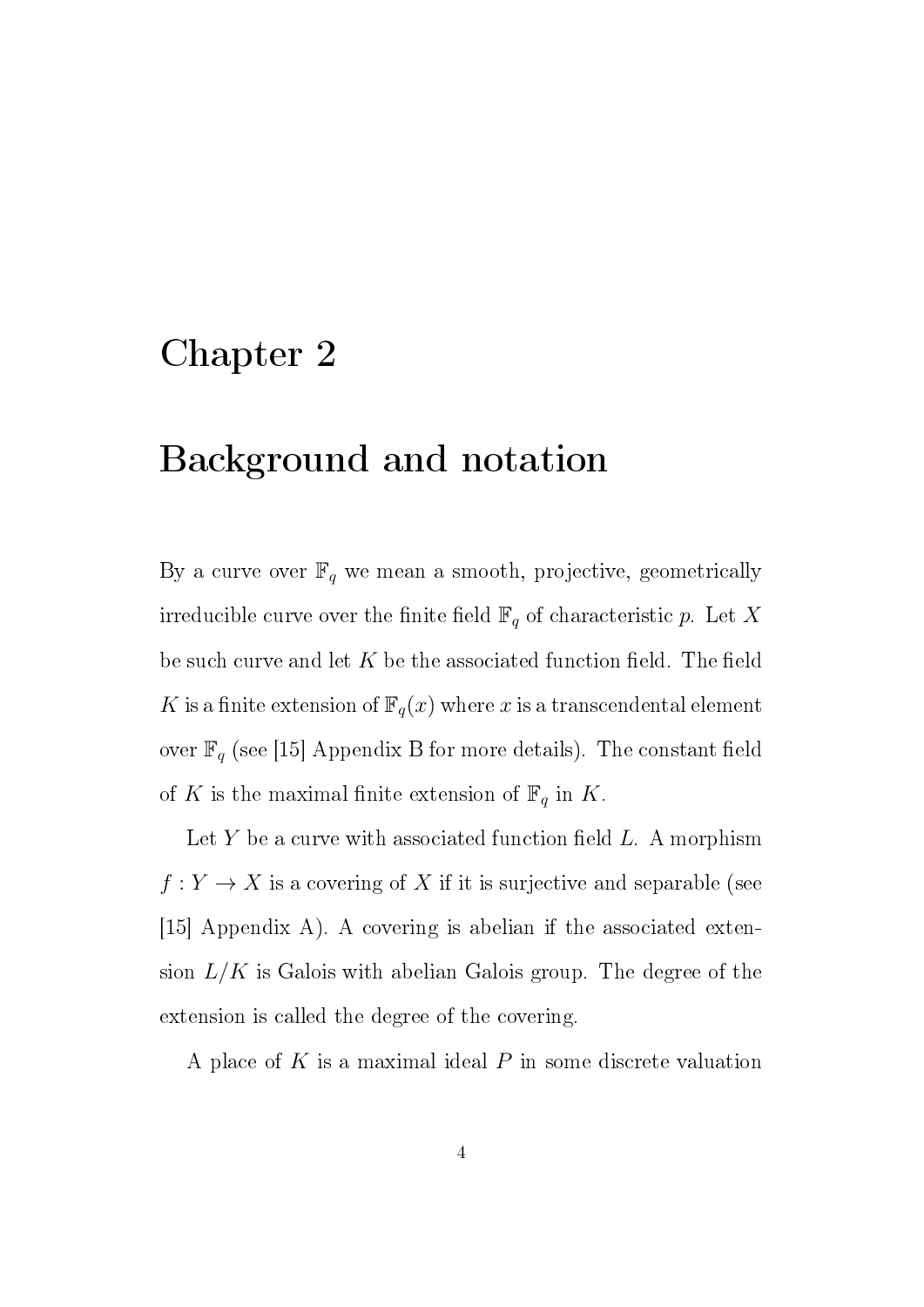### Chapter 2

### Background and notation

By a curve over  $\mathbb{F}_q$  we mean a smooth, projective, geometrically irreducible curve over the finite field  $\mathbb{F}_q$  of characteristic p. Let X be such curve and let  $K$  be the associated function field. The field K is a finite extension of  $\mathbb{F}_q(x)$  where x is a transcendental element over  $\mathbb{F}_q$  (see [15] Appendix B for more details). The constant field of K is the maximal finite extension of  $\mathbb{F}_q$  in K.

Let Y be a curve with associated function field  $L$ . A morphism  $f: Y \to X$  is a covering of X if it is surjective and separable (see [15] Appendix A). A covering is abelian if the associated extension  $L/K$  is Galois with abelian Galois group. The degree of the extension is called the degree of the covering.

A place of  $K$  is a maximal ideal  $P$  in some discrete valuation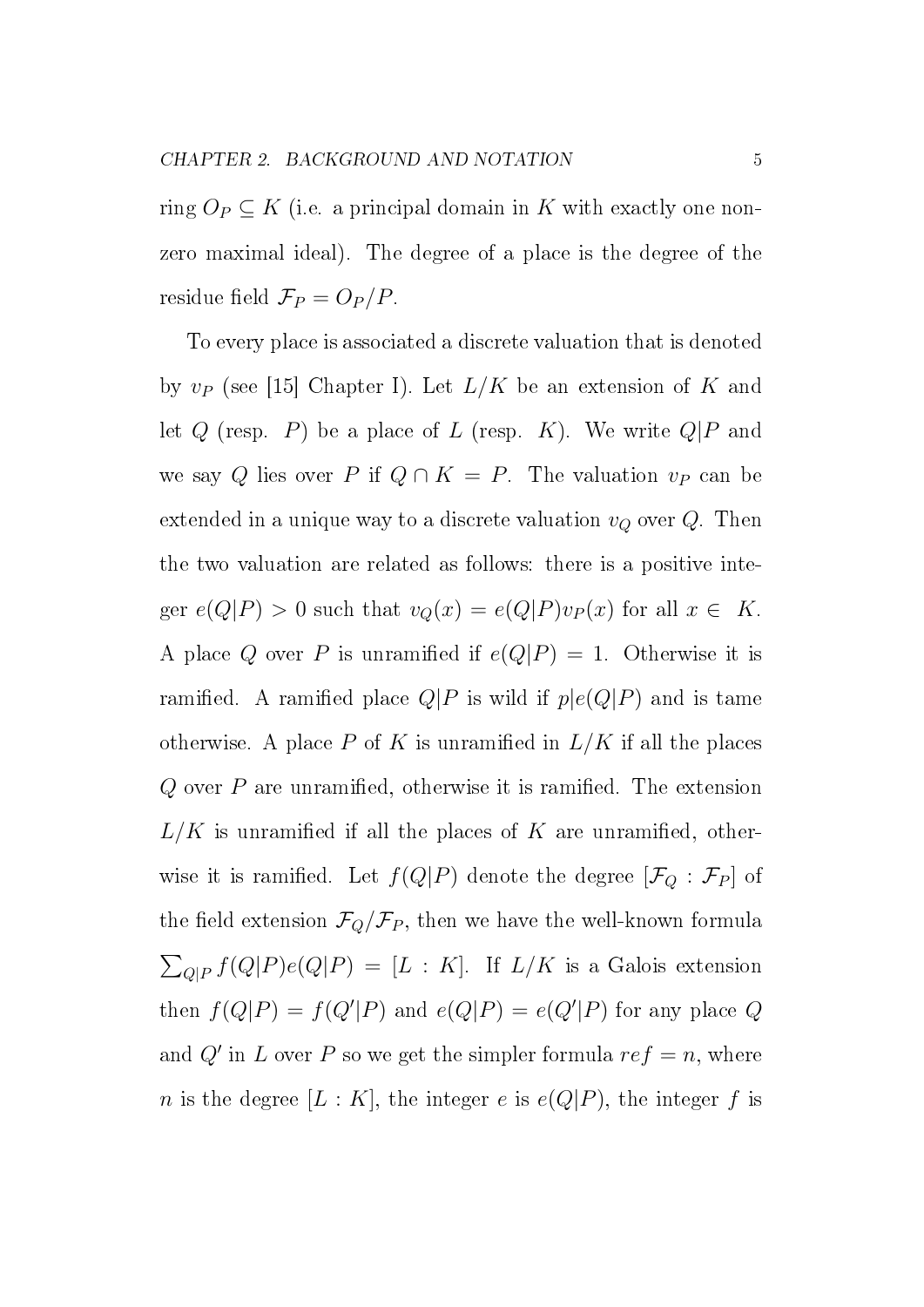ring  $O_P \subseteq K$  (i.e. a principal domain in K with exactly one nonzero maximal ideal). The degree of a place is the degree of the residue field  $\mathcal{F}_P = O_P/P$ .

To every place is associated a discrete valuation that is denoted by  $v_P$  (see [15] Chapter I). Let  $L/K$  be an extension of K and let  $Q$  (resp.  $P$ ) be a place of  $L$  (resp.  $K$ ). We write  $Q|P$  and we say Q lies over P if  $Q \cap K = P$ . The valuation  $v_P$  can be extended in a unique way to a discrete valuation  $v_Q$  over  $Q$ . Then the two valuation are related as follows: there is a positive integer  $e(Q|P) > 0$  such that  $v_Q(x) = e(Q|P)v_P(x)$  for all  $x \in K$ . A place Q over P is unramified if  $e(Q|P) = 1$ . Otherwise it is ramified. A ramified place  $Q|P$  is wild if  $p|e(Q|P)$  and is tame otherwise. A place P of K is unramified in  $L/K$  if all the places  $Q$  over  $P$  are unramified, otherwise it is ramified. The extension  $L/K$  is unramified if all the places of K are unramified, otherwise it is ramified. Let  $f(Q|P)$  denote the degree  $[\mathcal{F}_Q : \mathcal{F}_P]$  of the field extension  $\mathcal{F}_Q/\mathcal{F}_P$ , then we have the well-known formula  $\sum_{Q|P} f(Q|P)e(Q|P) = [L:K]$ . If  $L/K$  is a Galois extension then  $f(Q|P) = f(Q'|P)$  and  $e(Q|P) = e(Q'|P)$  for any place Q and Q' in L over P so we get the simpler formula  $ref = n$ , where *n* is the degree  $[L: K]$ , the integer *e* is  $e(Q|P)$ , the integer *f* is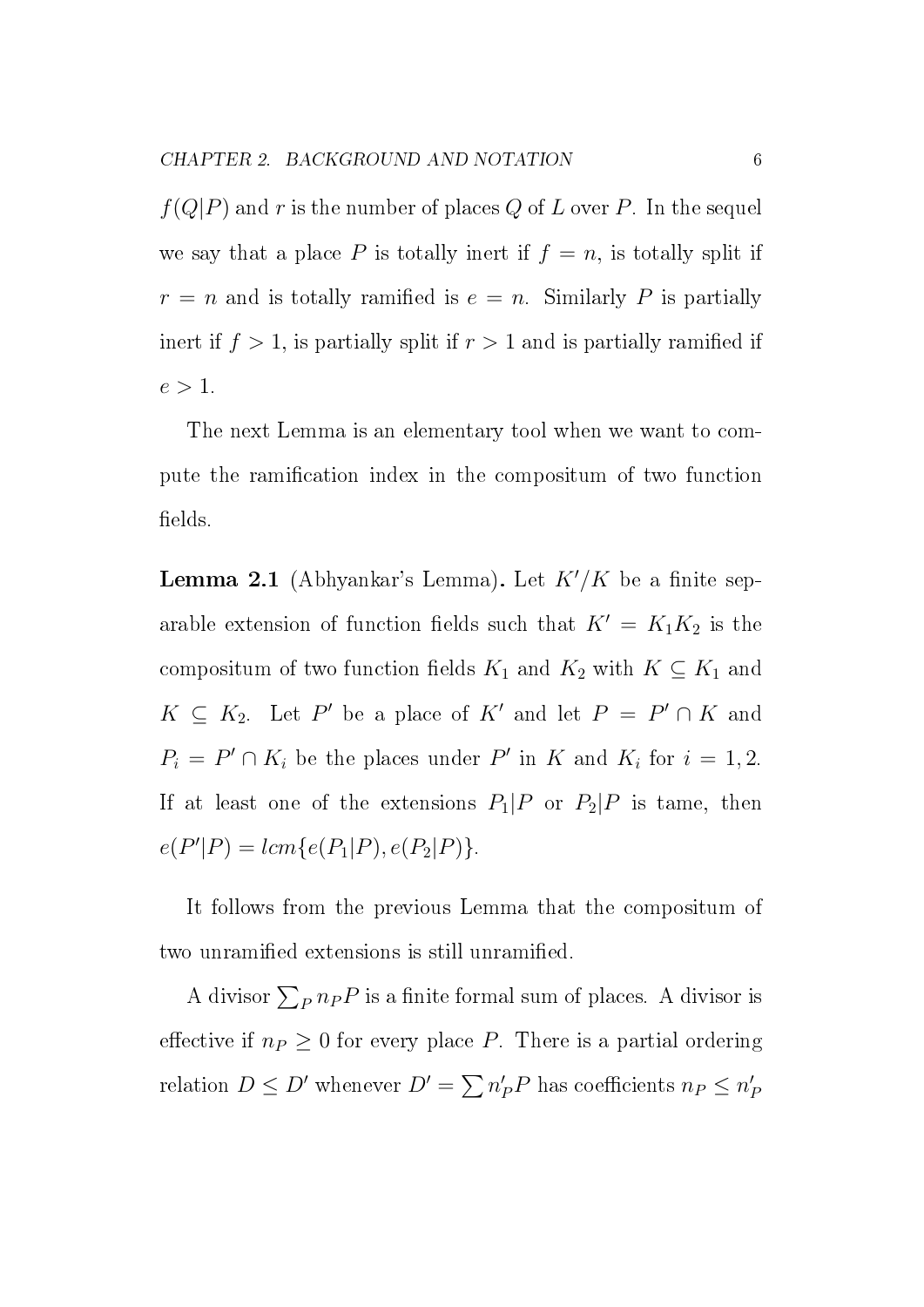$f(Q|P)$  and r is the number of places Q of L over P. In the sequel we say that a place P is totally inert if  $f = n$ , is totally split if  $r = n$  and is totally ramified is  $e = n$ . Similarly P is partially inert if  $f > 1$ , is partially split if  $r > 1$  and is partially ramified if  $e > 1$ .

The next Lemma is an elementary tool when we want to compute the ramification index in the compositum of two function fields.

**Lemma 2.1** (Abhyankar's Lemma). Let  $K'/K$  be a finite separable extension of function fields such that  $K' = K_1K_2$  is the compositum of two function fields  $K_1$  and  $K_2$  with  $K \subseteq K_1$  and  $K \subseteq K_2$ . Let P' be a place of K' and let  $P = P' \cap K$  and  $P_i = P' \cap K_i$  be the places under P' in K and  $K_i$  for  $i = 1, 2$ . If at least one of the extensions  $P_1|P$  or  $P_2|P$  is tame, then  $e(P'|P) = lcm{e(P_1|P), e(P_2|P)}.$ 

It follows from the previous Lemma that the compositum of two unramified extensions is still unramified.

A divisor  $\sum_{P} n_{P} P$  is a finite formal sum of places. A divisor is effective if  $n_P \geq 0$  for every place P. There is a partial ordering relation  $D \le D'$  whenever  $D' = \sum n'_P P$  has coefficients  $n_P \le n'_P$ P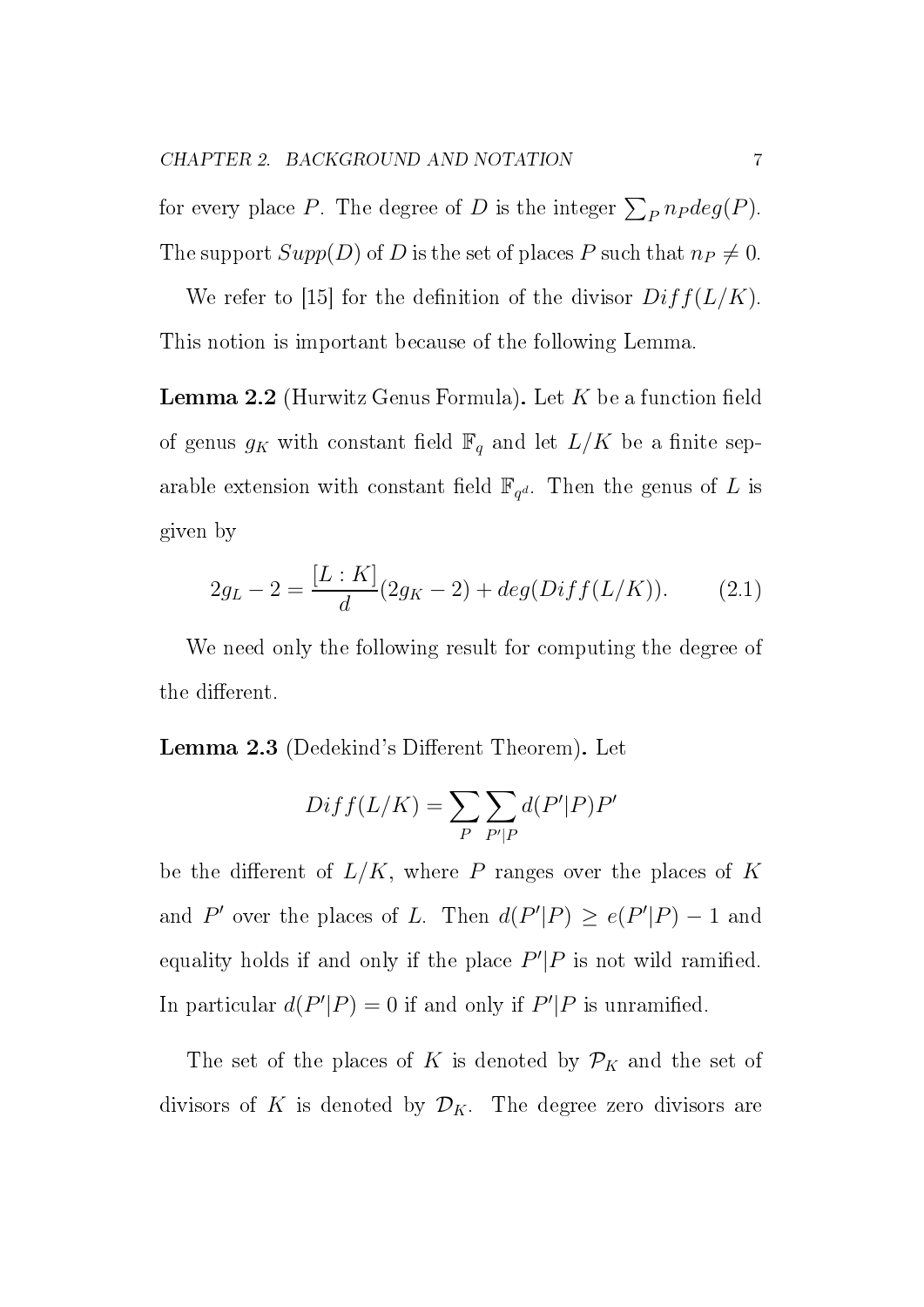for every place P. The degree of D is the integer  $\sum_{P} n_P deg(P)$ . The support  $Supp(D)$  of D is the set of places P such that  $n_P \neq 0$ .

We refer to [15] for the definition of the divisor  $Diff(L/K)$ . This notion is important because of the following Lemma.

**Lemma 2.2** (Hurwitz Genus Formula). Let  $K$  be a function field of genus  $g_K$  with constant field  $\mathbb{F}_q$  and let  $L/K$  be a finite separable extension with constant field  $\mathbb{F}_{q^d}$ . Then the genus of L is given by

$$
2g_L - 2 = \frac{[L:K]}{d}(2g_K - 2) + deg(Diff(L/K)).
$$
 (2.1)

We need only the following result for computing the degree of the different.

Lemma 2.3 (Dedekind's Different Theorem). Let

$$
Diff(L/K) = \sum_{P} \sum_{P'|P} d(P'|P)P'
$$

be the different of  $L/K$ , where P ranges over the places of K and P' over the places of L. Then  $d(P'|P) \ge e(P'|P) - 1$  and equality holds if and only if the place  $P'|P$  is not wild ramified. In particular  $d(P'|P) = 0$  if and only if  $P'|P$  is unramified.

The set of the places of K is denoted by  $\mathcal{P}_K$  and the set of divisors of K is denoted by  $\mathcal{D}_K$ . The degree zero divisors are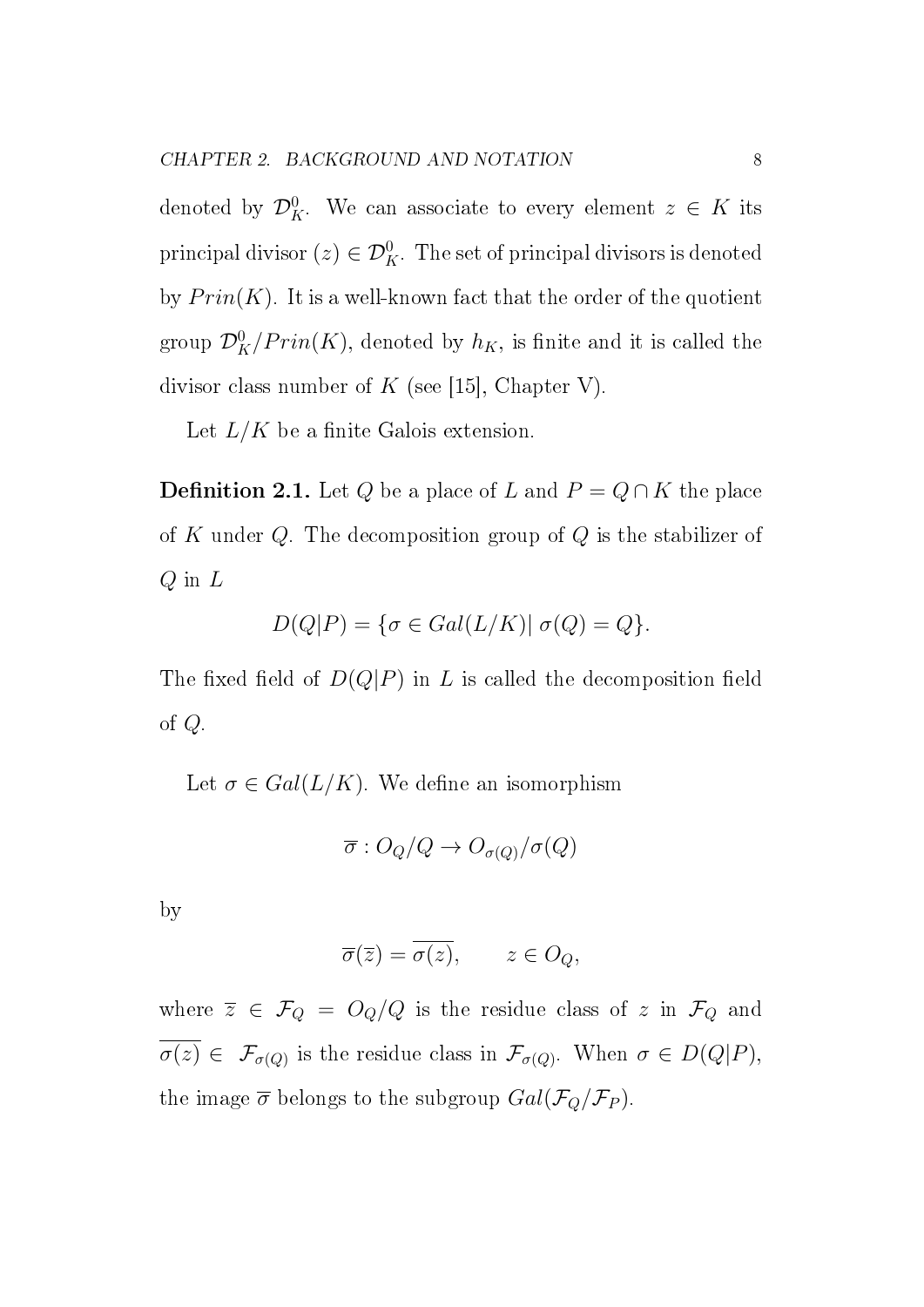denoted by  $\mathcal{D}_K^0$ . We can associate to every element  $z \in K$  its principal divisor  $(z)\in\mathcal{D}^0_K.$  The set of principal divisors is denoted by  $Prin(K)$ . It is a well-known fact that the order of the quotient group  $\mathcal{D}_{K}^{0}/Prin(K)$ , denoted by  $h_{K},$  is finite and it is called the divisor class number of K (see [15], Chapter V).

Let  $L/K$  be a finite Galois extension.

**Definition 2.1.** Let  $Q$  be a place of L and  $P = Q \cap K$  the place of K under  $Q$ . The decomposition group of  $Q$  is the stabilizer of  $Q$  in  $L$ 

$$
D(Q|P) = \{ \sigma \in Gal(L/K) | \sigma(Q) = Q \}.
$$

The fixed field of  $D(Q|P)$  in L is called the decomposition field of Q.

Let  $\sigma \in Gal(L/K)$ . We define an isomorphism

$$
\overline{\sigma}:O_Q/Q\to O_{\sigma(Q)}/\sigma(Q)
$$

by

$$
\overline{\sigma}(\overline{z}) = \overline{\sigma(z)}, \qquad z \in O_Q,
$$

where  $\overline{z} \in \mathcal{F}_Q = O_Q/Q$  is the residue class of z in  $\mathcal{F}_Q$  and  $\sigma(z) \in \mathcal{F}_{\sigma(Q)}$  is the residue class in  $\mathcal{F}_{\sigma(Q)}$ . When  $\sigma \in D(Q|P)$ , the image  $\overline{\sigma}$  belongs to the subgroup  $Gal(\mathcal{F}_Q/\mathcal{F}_P)$ .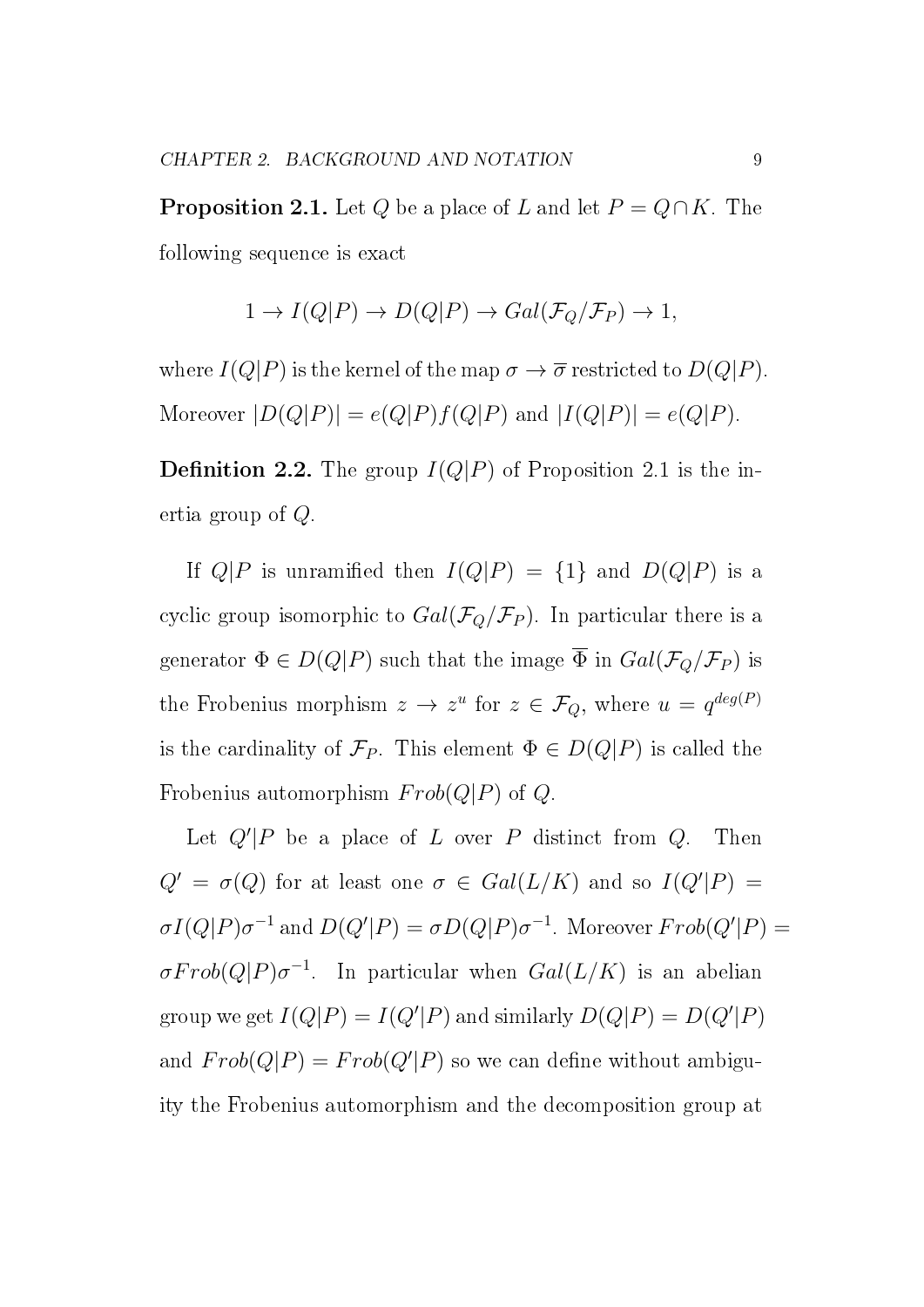**Proposition 2.1.** Let Q be a place of L and let  $P = Q \cap K$ . The following sequence is exact

$$
1 \to I(Q|P) \to D(Q|P) \to Gal(\mathcal{F}_Q/\mathcal{F}_P) \to 1,
$$

where  $I(Q|P)$  is the kernel of the map  $\sigma \to \overline{\sigma}$  restricted to  $D(Q|P)$ . Moreover  $|D(Q|P)| = e(Q|P)f(Q|P)$  and  $|I(Q|P)| = e(Q|P)$ .

**Definition 2.2.** The group  $I(Q|P)$  of Proposition 2.1 is the inertia group of Q.

If  $Q|P$  is unramified then  $I(Q|P) = \{1\}$  and  $D(Q|P)$  is a cyclic group isomorphic to  $Gal(\mathcal{F}_Q/\mathcal{F}_P)$ . In particular there is a generator  $\Phi \in D(Q|P)$  such that the image  $\overline{\Phi}$  in  $Gal(\mathcal{F}_Q/\mathcal{F}_P)$  is the Frobenius morphism  $z \to z^u$  for  $z \in \mathcal{F}_Q$ , where  $u = q^{deg(P)}$ is the cardinality of  $\mathcal{F}_P$ . This element  $\Phi \in D(Q|P)$  is called the Frobenius automorphism  $Frob(Q|P)$  of  $Q$ .

Let  $Q'|P$  be a place of L over P distinct from Q. Then  $Q' = \sigma(Q)$  for at least one  $\sigma \in Gal(L/K)$  and so  $I(Q'|P) =$  $\sigma I(Q|P) \sigma^{-1}$  and  $D(Q'|P) = \sigma D(Q|P) \sigma^{-1}$ . Moreover  $Frob(Q'|P) =$  $\sigma Frob(Q|P) \sigma^{-1}$ . In particular when  $Gal(L/K)$  is an abelian group we get  $I(Q|P) = I(Q'|P)$  and similarly  $D(Q|P) = D(Q'|P)$ and  $Frob(Q|P) = Frob(Q'|P)$  so we can define without ambiguity the Frobenius automorphism and the decomposition group at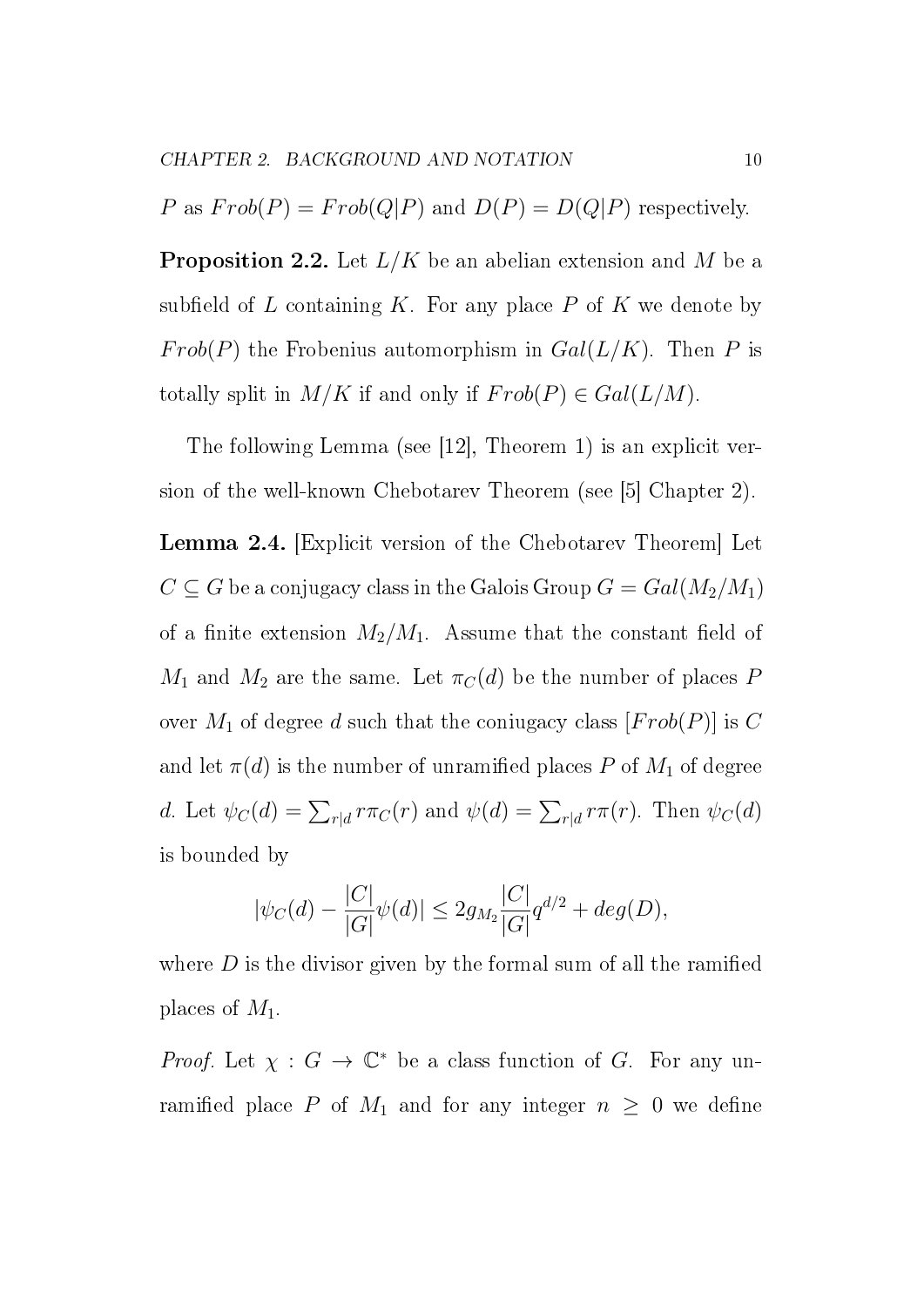P as  $Frob(P) = Frob(Q|P)$  and  $D(P) = D(Q|P)$  respectively.

**Proposition 2.2.** Let  $L/K$  be an abelian extension and M be a subfield of L containing K. For any place P of K we denote by Frob(P) the Frobenius automorphism in  $Gal(L/K)$ . Then P is totally split in  $M/K$  if and only if  $Frob(P) \in Gal(L/M)$ .

The following Lemma (see [12], Theorem 1) is an explicit version of the well-known Chebotarev Theorem (see [5] Chapter 2).

Lemma 2.4. [Explicit version of the Chebotarev Theorem] Let  $C \subseteq G$  be a conjugacy class in the Galois Group  $G = Gal(M_2/M_1)$ of a finite extension  $M_2/M_1$ . Assume that the constant field of  $M_1$  and  $M_2$  are the same. Let  $\pi_C(d)$  be the number of places P over  $M_1$  of degree d such that the coniugacy class  $[Frob(P)]$  is C and let  $\pi(d)$  is the number of unramified places P of  $M_1$  of degree d. Let  $\psi_C(d) = \sum_{r|d} r \pi_C(r)$  and  $\psi(d) = \sum_{r|d} r \pi(r)$ . Then  $\psi_C(d)$ is bounded by

$$
|\psi_C(d) - \frac{|C|}{|G|}\psi(d)| \le 2g_{M_2} \frac{|C|}{|G|} q^{d/2} + deg(D),
$$

where  $D$  is the divisor given by the formal sum of all the ramified places of  $M_1$ .

*Proof.* Let  $\chi : G \to \mathbb{C}^*$  be a class function of G. For any unramified place P of  $M_1$  and for any integer  $n \geq 0$  we define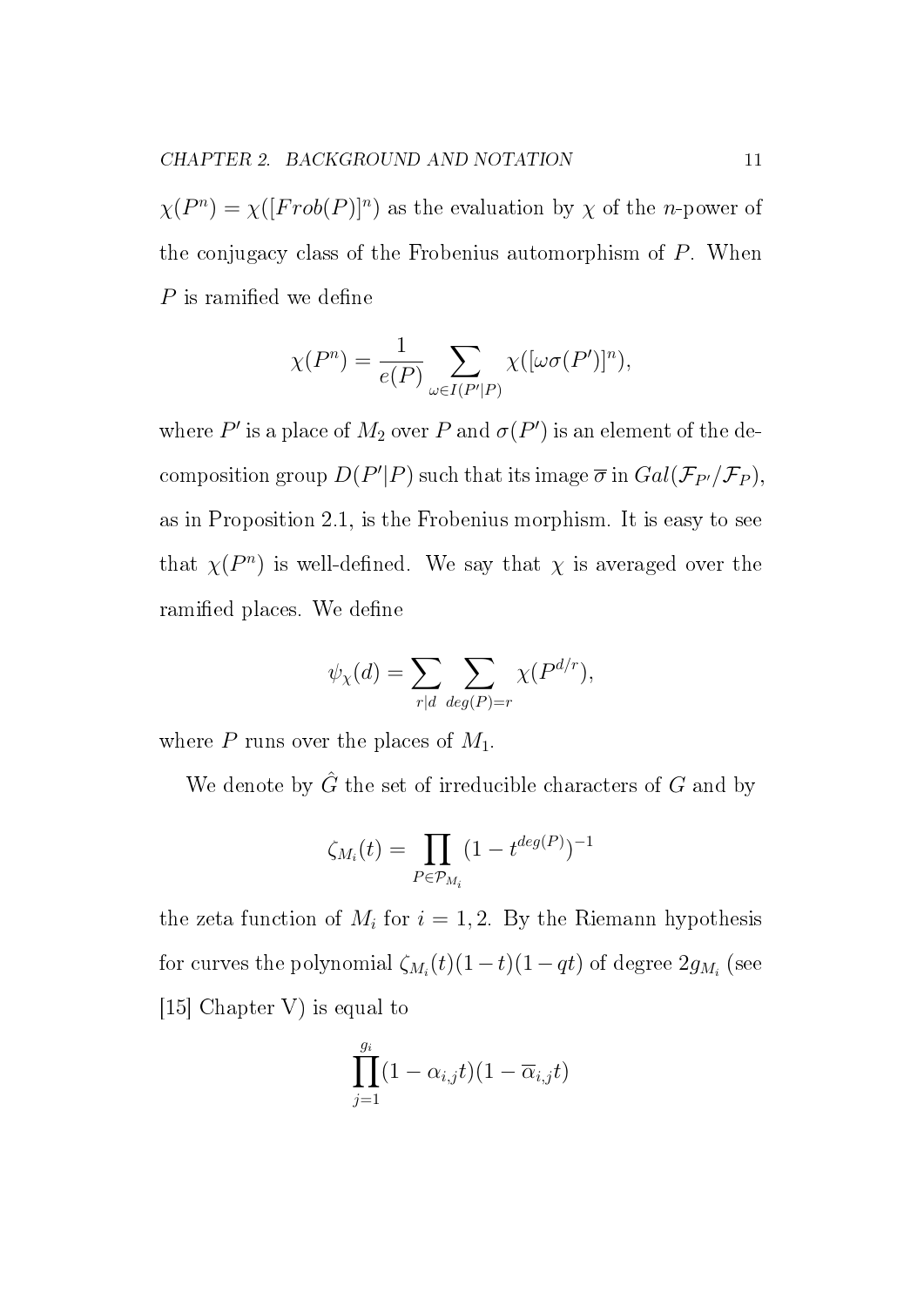$\chi(P^n) = \chi([Frob(P)]^n)$  as the evaluation by  $\chi$  of the *n*-power of the conjugacy class of the Frobenius automorphism of P. When  $P$  is ramified we define

$$
\chi(P^n) = \frac{1}{e(P)} \sum_{\omega \in I(P'|P)} \chi([\omega \sigma(P')]^n),
$$

where  $P'$  is a place of  $M_2$  over  $P$  and  $\sigma(P')$  is an element of the decomposition group  $D(P'|P)$  such that its image  $\overline{\sigma}$  in  $Gal(\mathcal{F}_{P'}/\mathcal{F}_P),$ as in Proposition 2.1, is the Frobenius morphism. It is easy to see that  $\chi(P^n)$  is well-defined. We say that  $\chi$  is averaged over the ramified places. We define

$$
\psi_{\chi}(d) = \sum_{r|d} \sum_{deg(P)=r} \chi(P^{d/r}),
$$

where  $P$  runs over the places of  $M_1$ .

We denote by  $\hat{G}$  the set of irreducible characters of  $G$  and by

$$
\zeta_{M_i}(t)=\prod_{P\in \mathcal{P}_{M_i}} (1-t^{deg(P)})^{-1}
$$

the zeta function of  $M_i$  for  $i = 1, 2$ . By the Riemann hypothesis for curves the polynomial  $\zeta_{M_i}(t)(1-t)(1-qt)$  of degree  $2g_{M_i}$  (see [15] Chapter V) is equal to

$$
\prod_{j=1}^{g_i} (1-\alpha_{i,j}t)(1-\overline{\alpha}_{i,j}t)
$$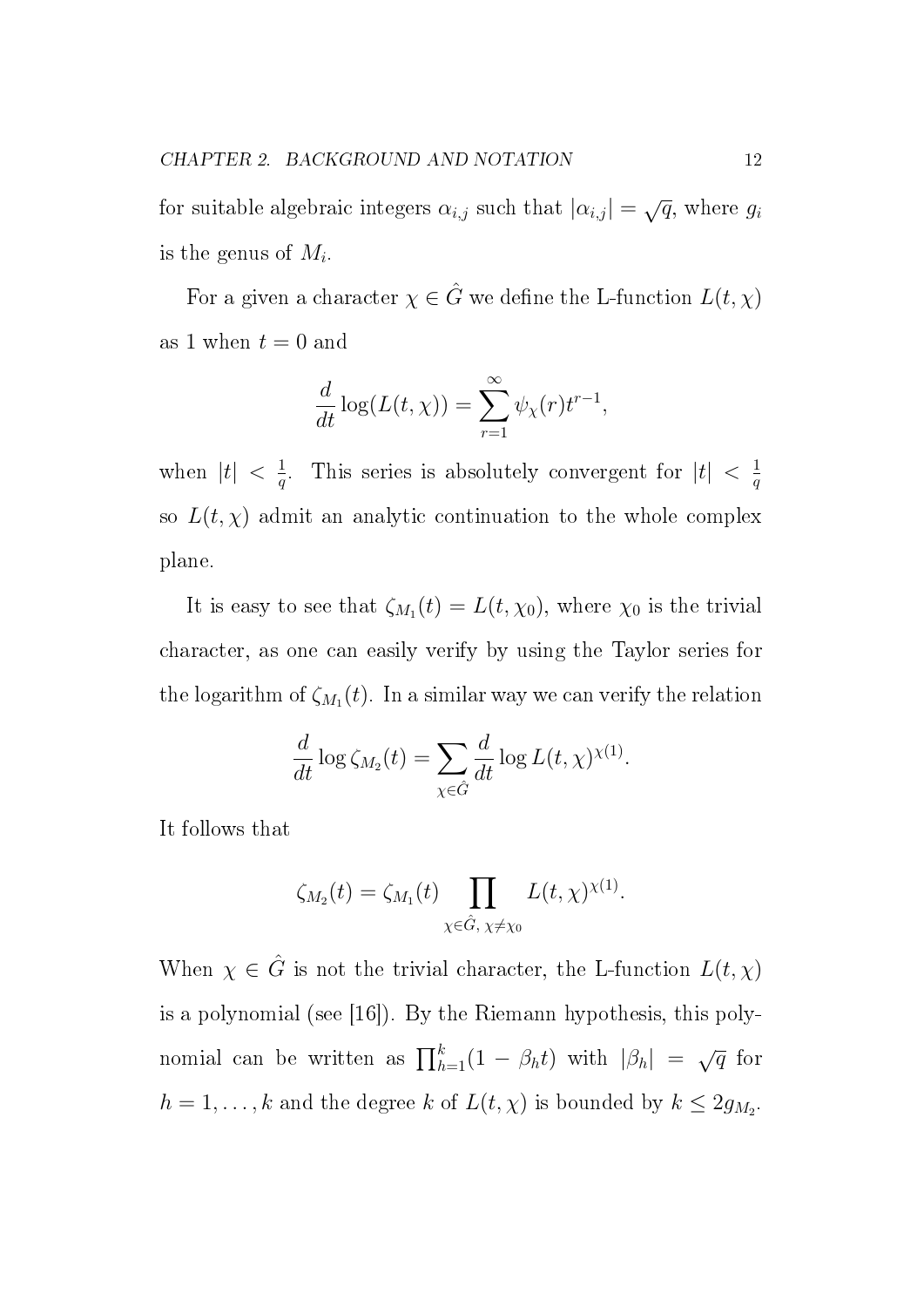for suitable algebraic integers  $\alpha_{i,j}$  such that  $|\alpha_{i,j}| = \sqrt{q}$ , where  $g_i$ is the genus of  $M_i$ .

For a given a character  $\chi \in \hat{G}$  we define the L-function  $L(t, \chi)$ as 1 when  $t = 0$  and

$$
\frac{d}{dt}\log(L(t,\chi)) = \sum_{r=1}^{\infty} \psi_{\chi}(r) t^{r-1},
$$

when  $|t| < \frac{1}{a}$  $\frac{1}{q}$ . This series is absolutely convergent for  $|t| < \frac{1}{q}$  $\overline{q}$ so  $L(t, \chi)$  admit an analytic continuation to the whole complex plane.

It is easy to see that  $\zeta_{M_1}(t) = L(t, \chi_0)$ , where  $\chi_0$  is the trivial character, as one can easily verify by using the Taylor series for the logarithm of  $\zeta_{M_1}(t)$ . In a similar way we can verify the relation

$$
\frac{d}{dt} \log \zeta_{M_2}(t) = \sum_{\chi \in \hat{G}} \frac{d}{dt} \log L(t, \chi)^{\chi(1)}.
$$

It follows that

$$
\zeta_{M_2}(t) = \zeta_{M_1}(t) \prod_{\chi \in \hat{G}, \ \chi \neq \chi_0} L(t, \chi)^{\chi(1)}.
$$

When  $\chi \in \hat{G}$  is not the trivial character, the L-function  $L(t, \chi)$ is a polynomial (see [16]). By the Riemann hypothesis, this polynomial can be written as  $\prod_{h=1}^{k} (1 - \beta_h t)$  with  $|\beta_h| = \sqrt{q}$  for  $h = 1, \ldots, k$  and the degree k of  $L(t, \chi)$  is bounded by  $k \leq 2g_{M_2}$ .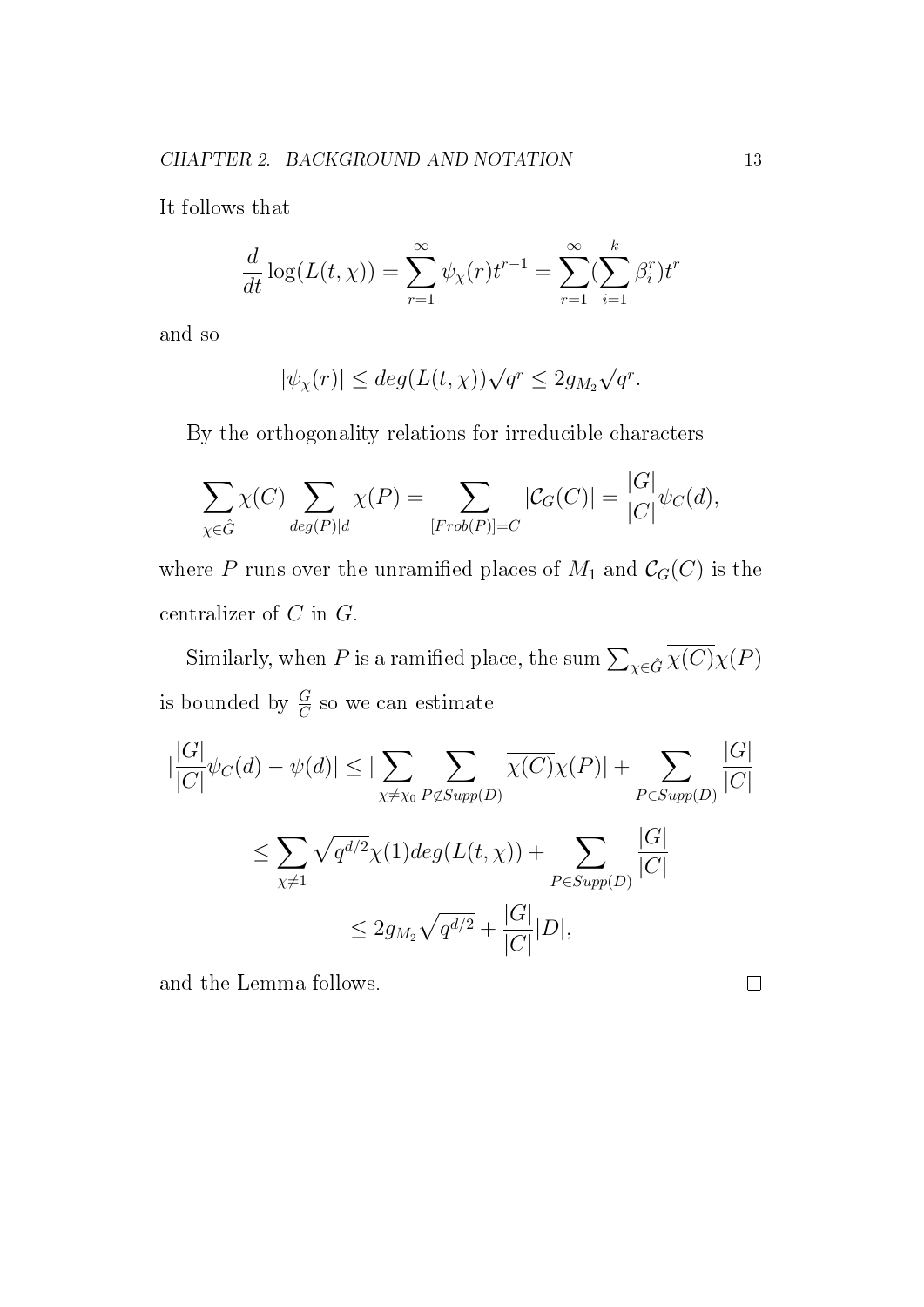It follows that

$$
\frac{d}{dt}\log(L(t,\chi)) = \sum_{r=1}^{\infty} \psi_{\chi}(r)t^{r-1} = \sum_{r=1}^{\infty} (\sum_{i=1}^{k} \beta_{i}^{r})t^{r}
$$

and so

$$
|\psi_{\chi}(r)| \le deg(L(t,\chi))\sqrt{q^r} \le 2g_{M_2}\sqrt{q^r}.
$$

By the orthogonality relations for irreducible characters

$$
\sum_{\chi \in \hat{G}} \overline{\chi(C)} \sum_{deg(P)|d} \chi(P) = \sum_{[Frob(P)] = C} |\mathcal{C}_G(C)| = \frac{|G|}{|C|} \psi_C(d),
$$

where P runs over the unramified places of  $M_1$  and  $\mathcal{C}_G(C)$  is the centralizer of  $C$  in  $G$ .

Similarly, when  $P$  is a ramified place, the sum  $\sum_{\chi \in \hat{G}} \chi(C)\chi(P)$ is bounded by  $\frac{G}{C}$  so we can estimate

$$
\begin{aligned} |\frac{|G|}{|C|}\psi_C(d) - \psi(d)| &\leq |\sum_{\chi \neq \chi_0} \sum_{P \notin Supp(D)} \overline{\chi(C)}\chi(P)| + \sum_{P \in Supp(D)} \frac{|G|}{|C|} \\ &\leq \sum_{\chi \neq 1} \sqrt{q^{d/2}}\chi(1) deg(L(t, \chi)) + \sum_{P \in Supp(D)} \frac{|G|}{|C|} \\ &\leq 2g_{M_2} \sqrt{q^{d/2}} + \frac{|G|}{|C|} |D|, \end{aligned}
$$

and the Lemma follows.

 $\hfill \square$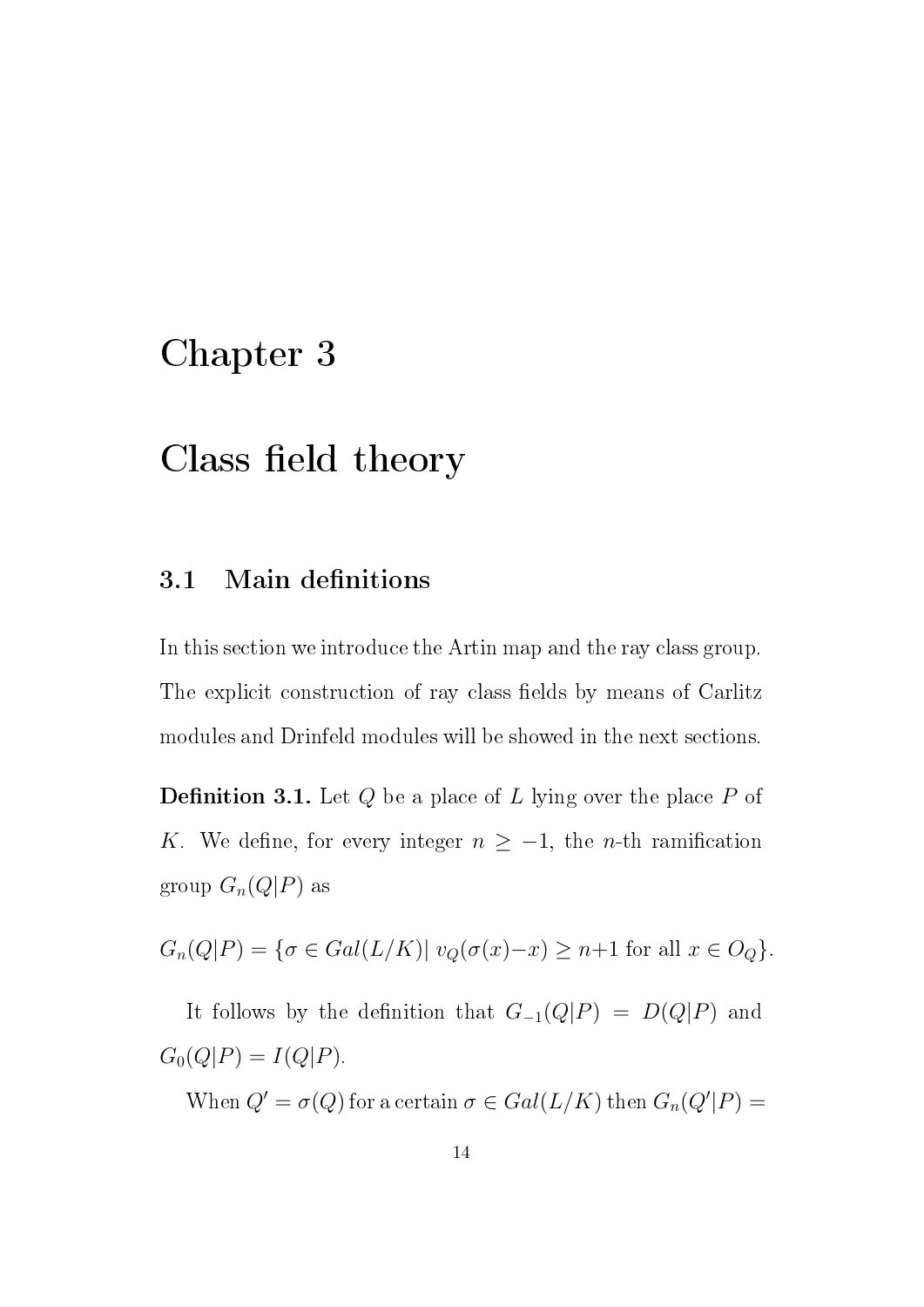### Chapter 3

### Class field theory

#### 3.1 Main definitions

In this section we introduce the Artin map and the ray class group. The explicit construction of ray class fields by means of Carlitz modules and Drinfeld modules will be showed in the next sections.

**Definition 3.1.** Let  $Q$  be a place of  $L$  lying over the place  $P$  of K. We define, for every integer  $n \geq -1$ , the *n*-th ramification group  $G_n(Q|P)$  as

$$
G_n(Q|P) = \{ \sigma \in Gal(L/K) | v_Q(\sigma(x) - x) \ge n+1 \text{ for all } x \in O_Q \}.
$$

It follows by the definition that  $G_{-1}(Q|P) = D(Q|P)$  and  $G_0(Q|P) = I(Q|P).$ 

When  $Q' = \sigma(Q)$  for a certain  $\sigma \in Gal(L/K)$  then  $G_n(Q'|P) =$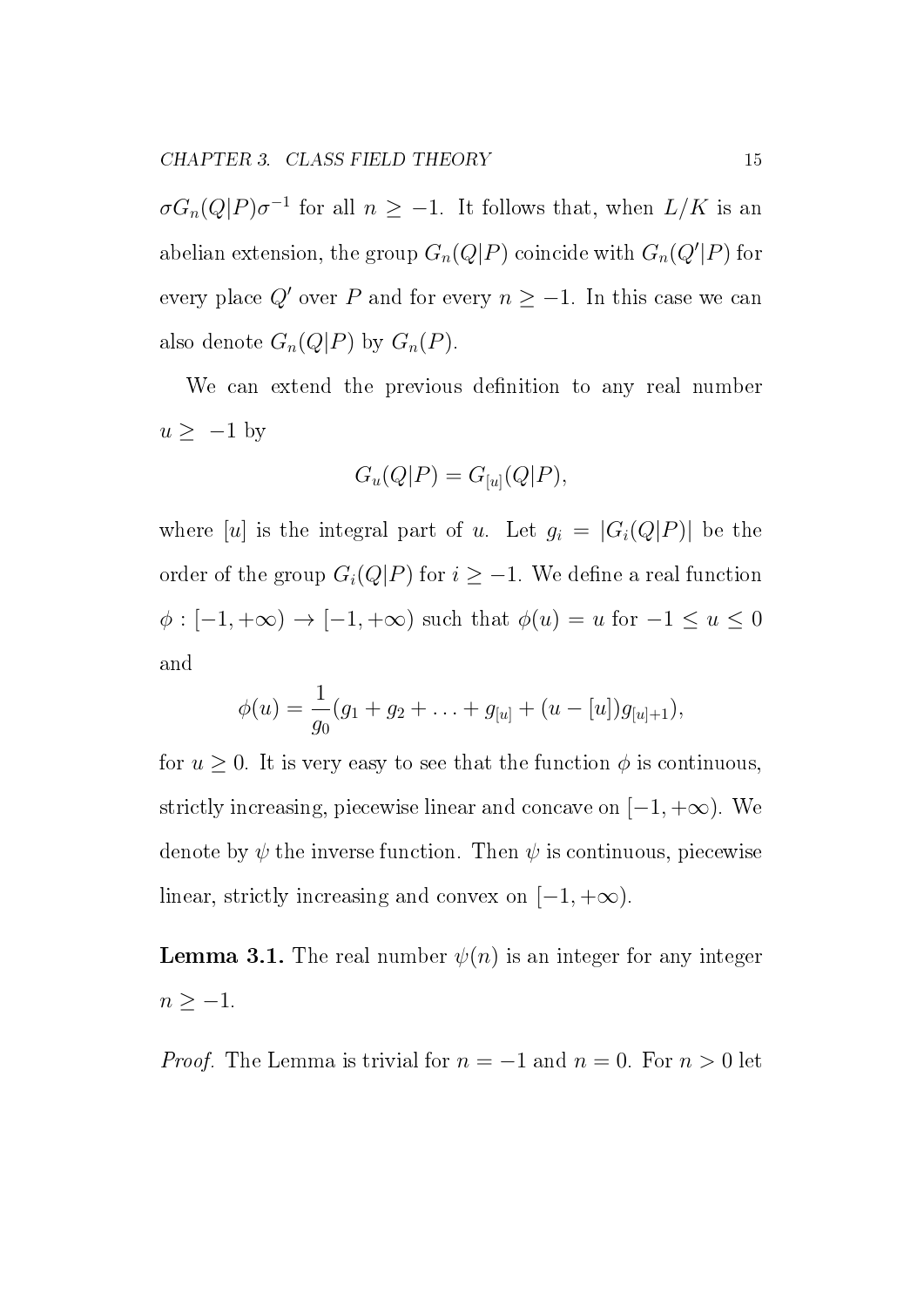$\sigma G_n(Q|P)\sigma^{-1}$  for all  $n \geq -1$ . It follows that, when  $L/K$  is an abelian extension, the group  $G_n(Q|P)$  coincide with  $G_n(Q'|P)$  for every place  $Q'$  over P and for every  $n \geq -1$ . In this case we can also denote  $G_n(Q|P)$  by  $G_n(P)$ .

We can extend the previous definition to any real number  $u \ge -1$  by

$$
G_u(Q|P) = G_{[u]}(Q|P),
$$

where [u] is the integral part of u. Let  $g_i = |G_i(Q|P)|$  be the order of the group  $G_i(Q|P)$  for  $i \geq -1$ . We define a real function  $\phi : [-1, +\infty) \to [-1, +\infty)$  such that  $\phi(u) = u$  for  $-1 \le u \le 0$ and

$$
\phi(u) = \frac{1}{g_0}(g_1 + g_2 + \ldots + g_{[u]} + (u - [u])g_{[u]+1}),
$$

for  $u \geq 0$ . It is very easy to see that the function  $\phi$  is continuous, strictly increasing, piecewise linear and concave on  $[-1, +\infty)$ . We denote by  $\psi$  the inverse function. Then  $\psi$  is continuous, piecewise linear, strictly increasing and convex on  $[-1, +\infty)$ .

**Lemma 3.1.** The real number  $\psi(n)$  is an integer for any integer  $n \geq -1$ .

*Proof.* The Lemma is trivial for  $n = -1$  and  $n = 0$ . For  $n > 0$  let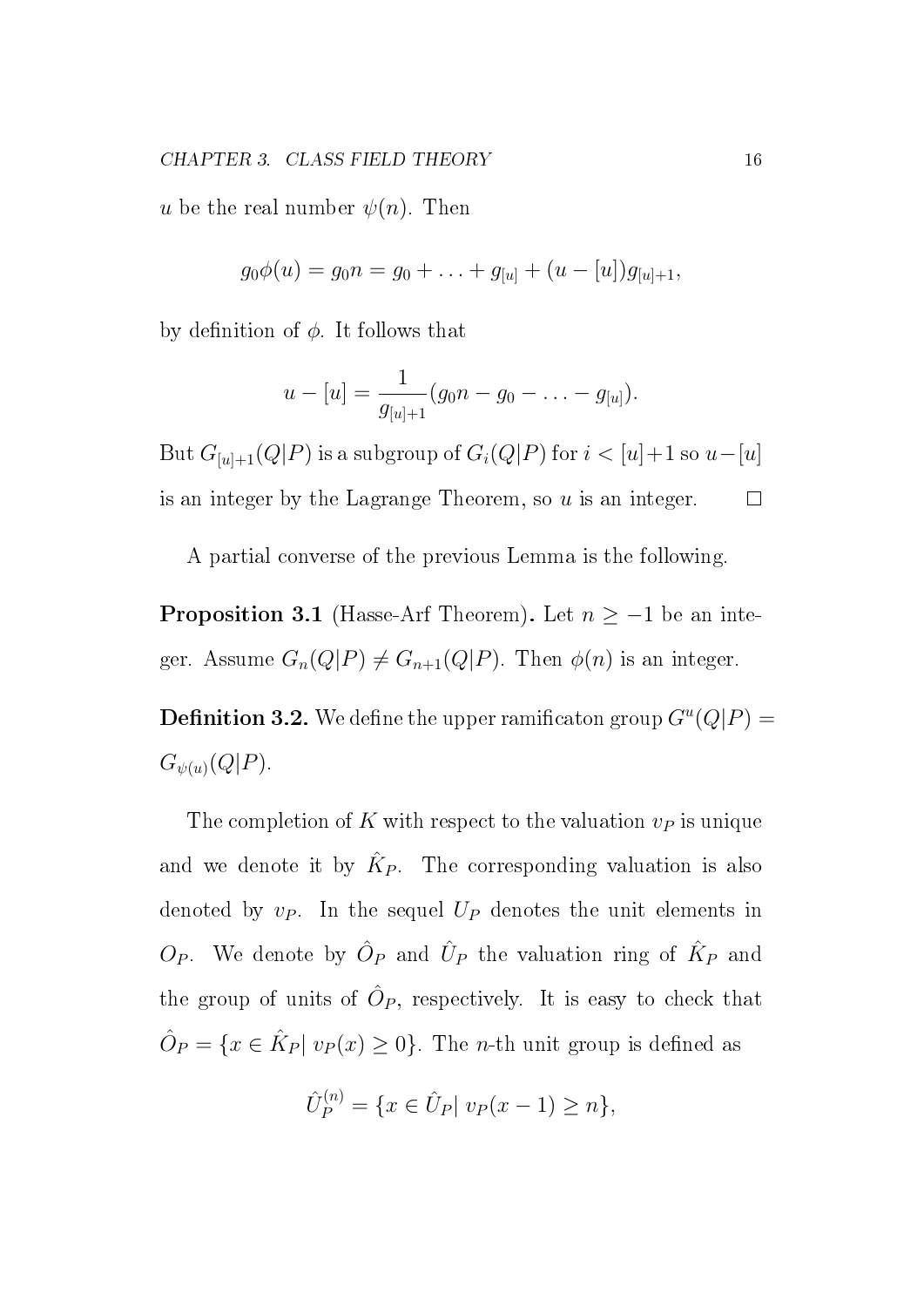u be the real number  $\psi(n)$ . Then

$$
g_0\phi(u) = g_0 n = g_0 + \ldots + g_{[u]} + (u - [u])g_{[u]+1},
$$

by definition of  $\phi$ . It follows that

$$
u - [u] = \frac{1}{g_{[u]+1}} (g_0 n - g_0 - \ldots - g_{[u]}).
$$

But  $G_{[u]+1}(Q|P)$  is a subgroup of  $G_i(Q|P)$  for  $i < [u]+1$  so  $u-[u]$ is an integer by the Lagrange Theorem, so  $u$  is an integer.  $\Box$ 

A partial converse of the previous Lemma is the following.

**Proposition 3.1** (Hasse-Arf Theorem). Let  $n \ge -1$  be an integer. Assume  $G_n(Q|P) \neq G_{n+1}(Q|P)$ . Then  $\phi(n)$  is an integer.

**Definition 3.2.** We define the upper ramificaton group  $G^u(Q|P) =$  $G_{\psi(u)}(Q|P).$ 

The completion of K with respect to the valuation  $v_P$  is unique and we denote it by  $\hat{K}_P$ . The corresponding valuation is also denoted by  $v_P$ . In the sequel  $U_P$  denotes the unit elements in  $O_P$ . We denote by  $\hat{O}_P$  and  $\hat{U}_P$  the valuation ring of  $\hat{K}_P$  and the group of units of  $\hat{O}_P$ , respectively. It is easy to check that  $\hat{O}_P = \{x \in \hat{K}_P | v_P(x) \ge 0\}.$  The *n*-th unit group is defined as

$$
\hat{U}_P^{(n)} = \{ x \in \hat{U}_P | \ v_P(x-1) \ge n \},\
$$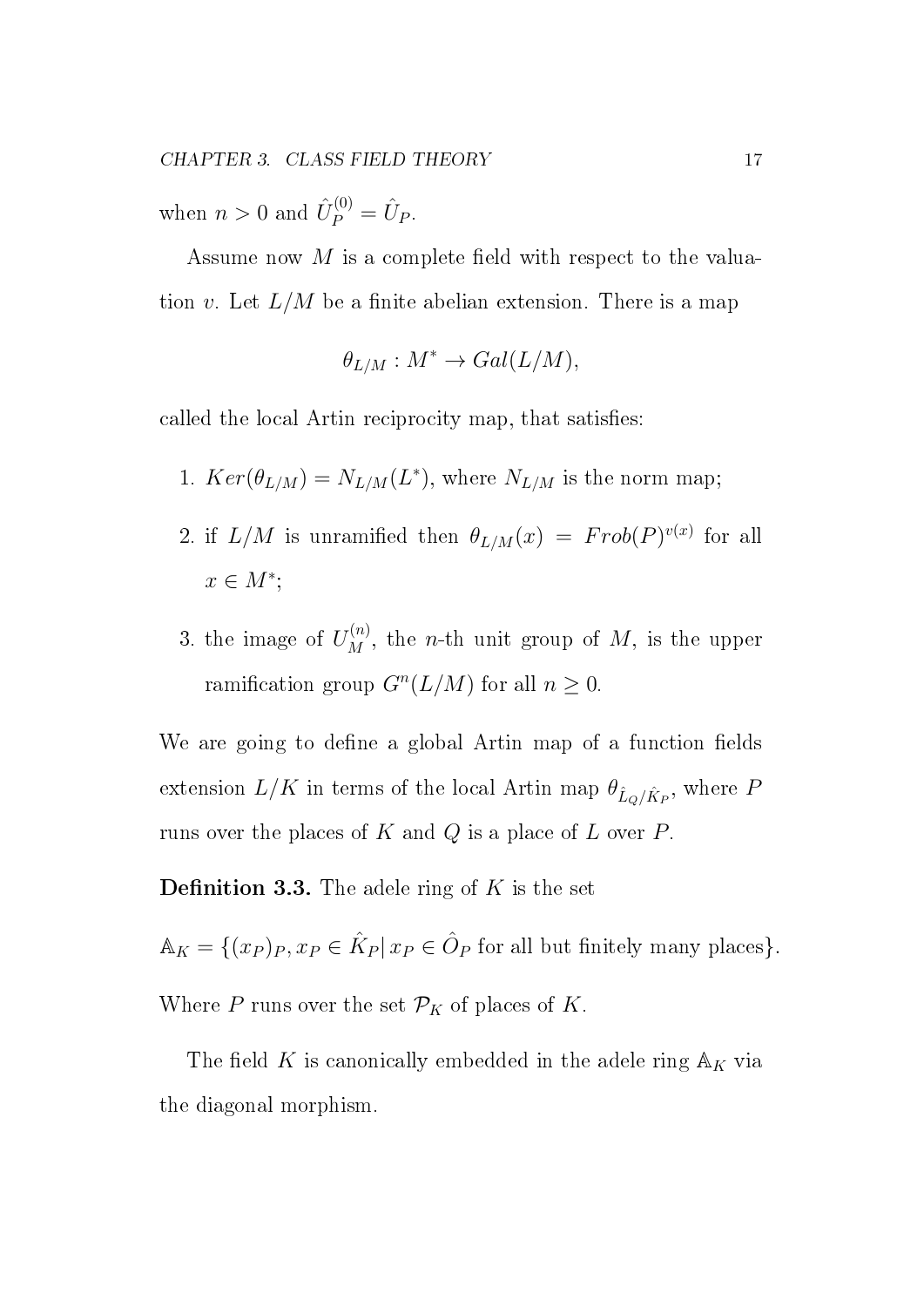when  $n > 0$  and  $\hat{U}_P^{(0)} = \hat{U}_P$ .

Assume now  $M$  is a complete field with respect to the valuation v. Let  $L/M$  be a finite abelian extension. There is a map

$$
\theta_{L/M}: M^* \to Gal(L/M),
$$

called the local Artin reciprocity map, that satisfies:

- 1.  $Ker(\theta_{L/M}) = N_{L/M}(L^*),$  where  $N_{L/M}$  is the norm map;
- 2. if  $L/M$  is unramified then  $\theta_{L/M}(x) = Frob(P)^{v(x)}$  for all  $x \in M^*$ ;
- 3. the image of  $U_M^{(n)}$ , the *n*-th unit group of M, is the upper ramification group  $G^n(L/M)$  for all  $n \geq 0$ .

We are going to define a global Artin map of a function fields extension  $L/K$  in terms of the local Artin map  $\theta_{\hat{L}_Q/\hat{K}_P}$ , where F runs over the places of  $K$  and  $Q$  is a place of  $L$  over  $P$ .

**Definition 3.3.** The adele ring of  $K$  is the set

 $\mathbb{A}_K = \{(x_P)_P, x_P \in \hat{K}_P | x_P \in \hat{O}_P \text{ for all but finitely many places}\}.$ 

Where  $P$  runs over the set  $\mathcal{P}_K$  of places of  $K$ .

The field K is canonically embedded in the adele ring  $\mathbb{A}_K$  via the diagonal morphism.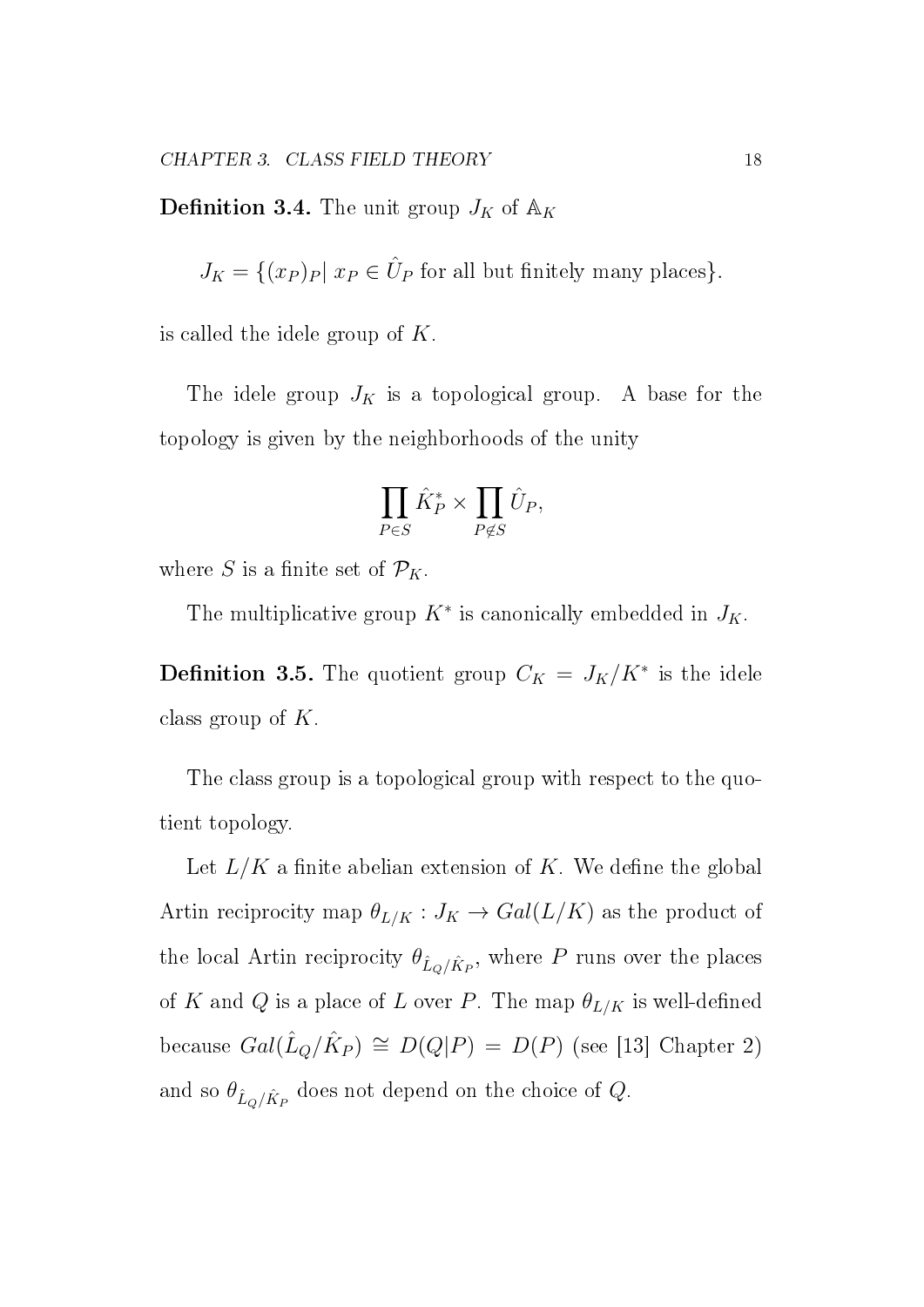**Definition 3.4.** The unit group  $J_K$  of  $\mathbb{A}_K$ 

 $J_K = \{(x_P)_P | x_P \in \hat{U}_P \text{ for all but finitely many places}\}.$ 

is called the idele group of  $K$ .

The idele group  $J_K$  is a topological group. A base for the topology is given by the neighborhoods of the unity

$$
\prod_{P\in S}\hat{K}_P^*\times\prod_{P\not\in S}\hat{U}_P,
$$

where S is a finite set of  $\mathcal{P}_K$ .

The multiplicative group  $K^*$  is canonically embedded in  $J_K$ .

**Definition 3.5.** The quotient group  $C_K = J_K/K^*$  is the idele class group of K.

The class group is a topological group with respect to the quotient topology.

Let  $L/K$  a finite abelian extension of K. We define the global Artin reciprocity map  $\theta_{L/K}: J_K \to Gal(L/K)$  as the product of the local Artin reciprocity  $\theta_{\hat{L}_Q/\hat{K}_P}$ , where P runs over the places of K and Q is a place of L over P. The map  $\theta_{L/K}$  is well-defined because  $Gal(\hat{L}_Q/\hat{K}_P) \cong D(Q|P) = D(P)$  (see [13] Chapter 2) and so  $\theta_{\hat{L}_Q/\hat{K}_P}$  does not depend on the choice of  $Q$ .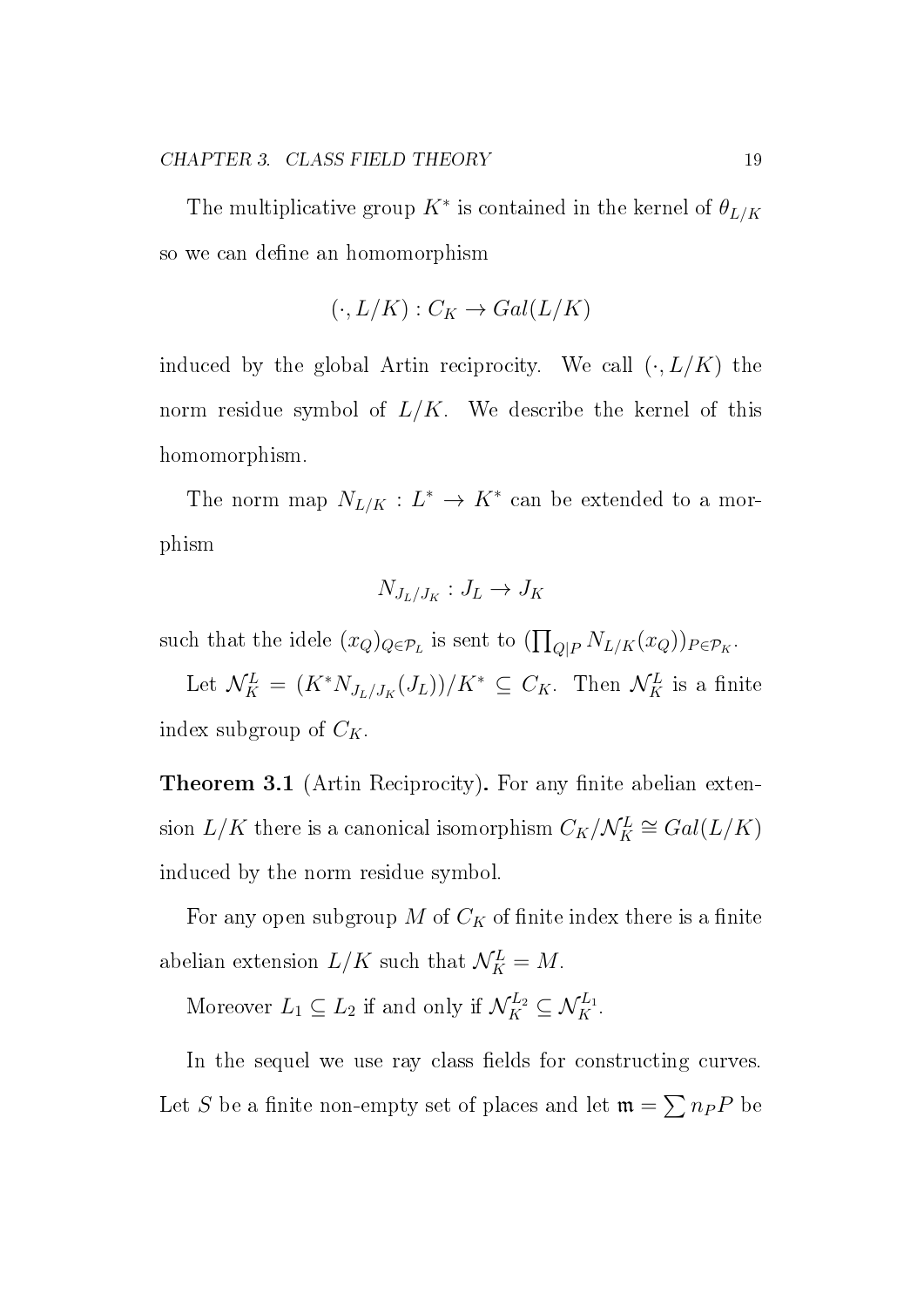The multiplicative group  $K^*$  is contained in the kernel of  $\theta_{L/K}$ so we can define an homomorphism

$$
(\cdot, L/K) : C_K \to Gal(L/K)
$$

induced by the global Artin reciprocity. We call  $(\cdot, L/K)$  the norm residue symbol of  $L/K$ . We describe the kernel of this homomorphism.

The norm map  $N_{L/K}: L^* \to K^*$  can be extended to a morphism

$$
N_{J_L/J_K}: J_L \to J_K
$$

such that the idele  $(x_Q)_{Q \in \mathcal{P}_L}$  is sent to  $(\prod_{Q|P} N_{L/K}(x_Q))_{P \in \mathcal{P}_K}$ .

Let  $\mathcal{N}_K^L = (K^* N_{J_L/J_K}(J_L))/K^* \subseteq C_K$ . Then  $\mathcal{N}_K^L$  is a finite index subgroup of  $C_K$ .

**Theorem 3.1** (Artin Reciprocity). For any finite abelian extension  $L/K$  there is a canonical isomorphism  $C_K/\mathcal{N}_K^L \cong Gal(L/K)$ induced by the norm residue symbol.

For any open subgroup  $M$  of  $C_K$  of finite index there is a finite abelian extension  $L/K$  such that  $\mathcal{N}_K^L = M$ .

Moreover  $L_1 \subseteq L_2$  if and only if  $\mathcal{N}_K^{L_2} \subseteq \mathcal{N}_K^{L_1}$ .

In the sequel we use ray class fields for constructing curves. Let S be a finite non-empty set of places and let  $\mathfrak{m} = \sum n_P P$  be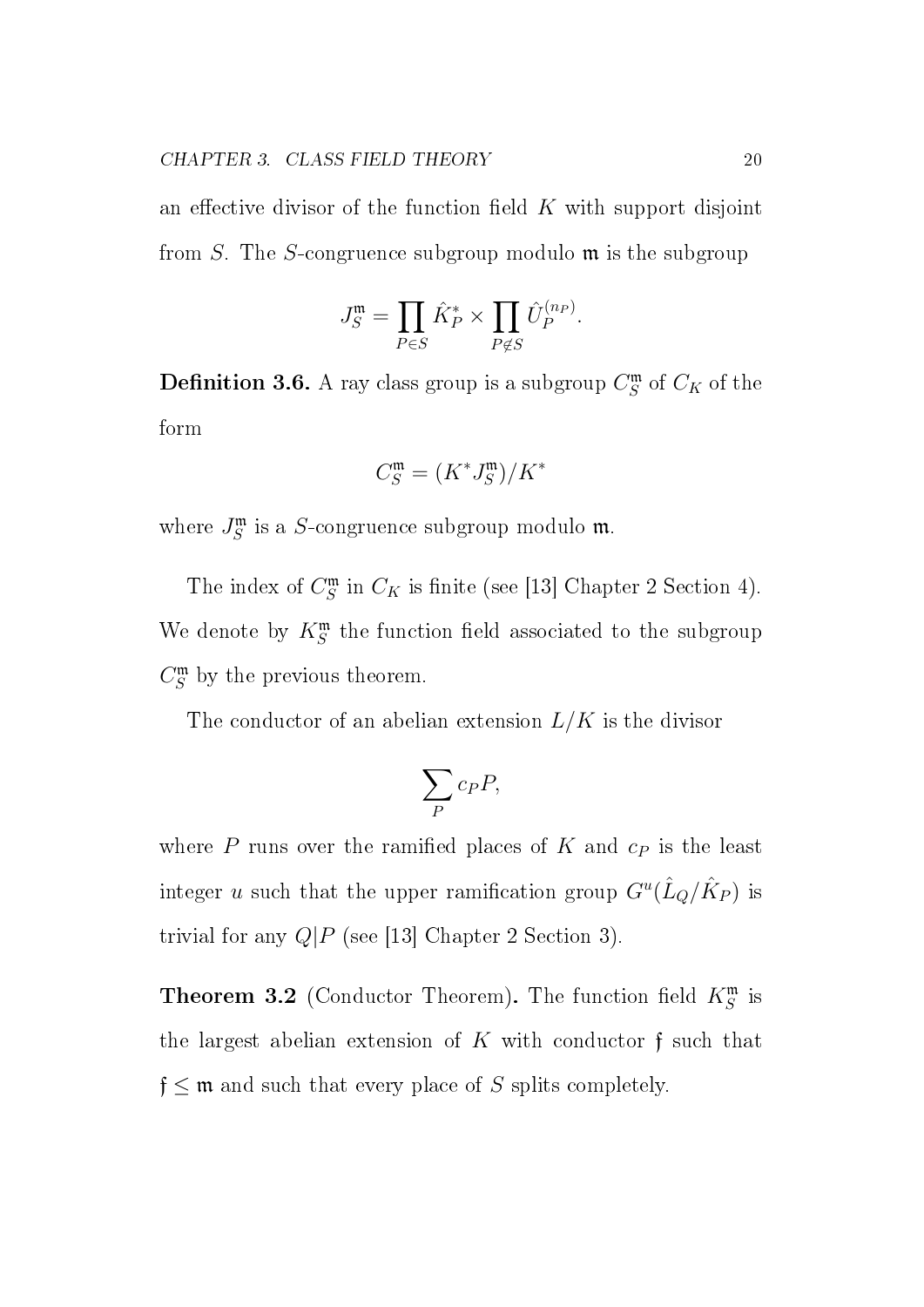an effective divisor of the function field K with support disjoint from S. The S-congruence subgroup modulo  $\mathfrak{m}$  is the subgroup

$$
J_S^{\mathfrak{m}} = \prod_{P \in S} \hat{K}_P^* \times \prod_{P \notin S} \hat{U}_P^{(n_P)}.
$$

**Definition 3.6.** A ray class group is a subgroup  $C_S^{\mathfrak{m}}$  $\int_{S}^{\mathfrak{m}}$  of  $C_K$  of the form

$$
C^{\mathfrak{m}}_S=(K^*J^{\mathfrak{m}}_S)/K^*
$$

where  $J_S^{\mathfrak{m}}$  $S\overline S$  is a *S*-congruence subgroup modulo **m**.

The index of  $C_S^{\mathfrak{m}}$  $\int_{S}^{\mathfrak{m}}$  in  $C_K$  is finite (see [13] Chapter 2 Section 4). We denote by  $K^{\mathfrak{m}}_{S}$  the function field associated to the subgroup  $C_S^{\mathfrak{m}}$  $S<sup>m</sup>$  by the previous theorem.

The conductor of an abelian extension  $L/K$  is the divisor

$$
\sum_P c_P P,
$$

where  $P$  runs over the ramified places of  $K$  and  $c<sub>P</sub>$  is the least integer u such that the upper ramification group  $G^u(\hat{L}_Q/\hat{K}_P)$  is trivial for any  $Q|P$  (see [13] Chapter 2 Section 3).

**Theorem 3.2** (Conductor Theorem). The function field  $K_S^{\mathfrak{m}}$  is the largest abelian extension of  $K$  with conductor  $f$  such that  $f \leq m$  and such that every place of S splits completely.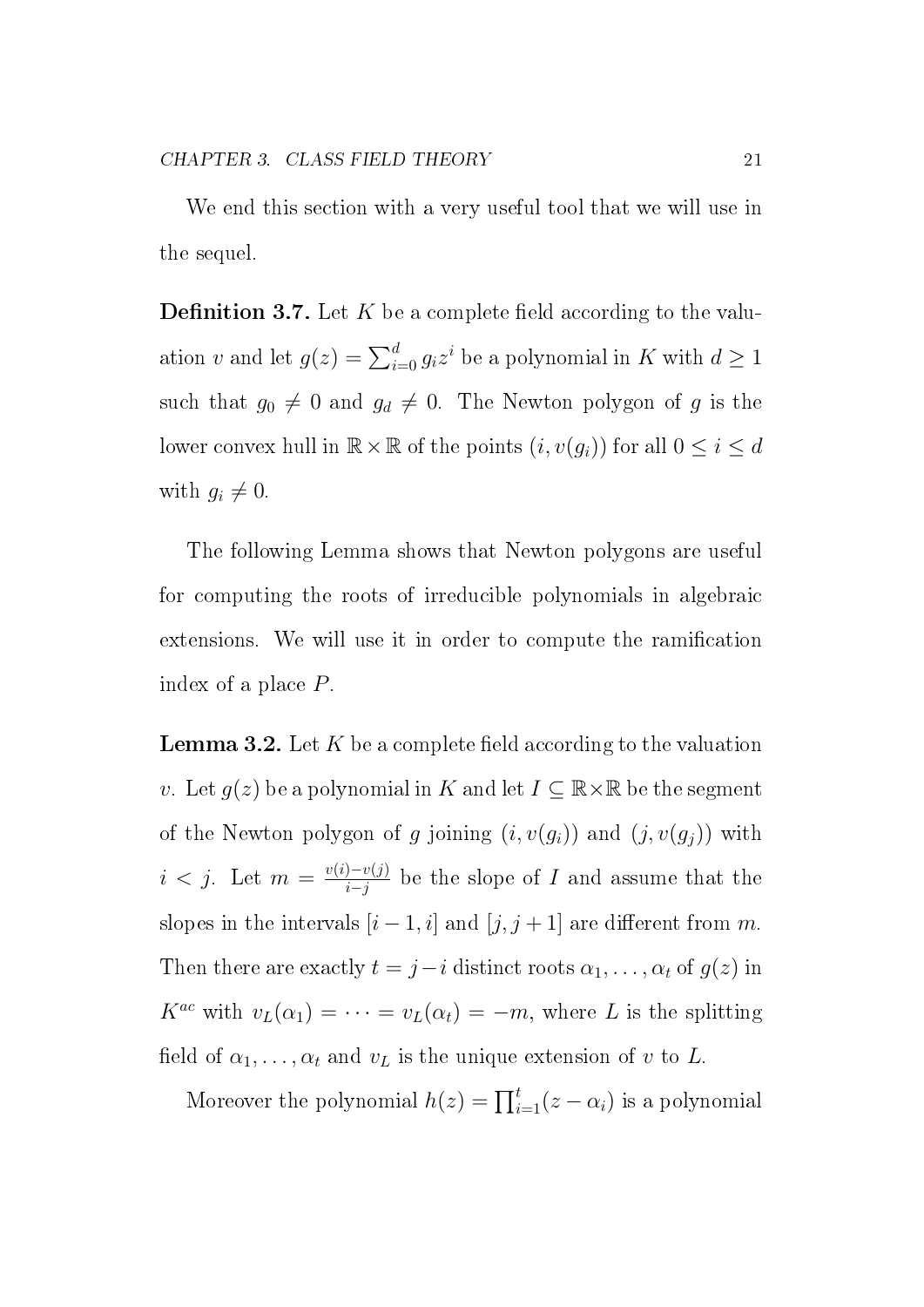We end this section with a very useful tool that we will use in the sequel.

**Definition 3.7.** Let K be a complete field according to the valuation v and let  $g(z) = \sum_{i=0}^{d} g_i z^i$  be a polynomial in K with  $d \ge 1$ such that  $g_0 \neq 0$  and  $g_d \neq 0$ . The Newton polygon of g is the lower convex hull in  $\mathbb{R} \times \mathbb{R}$  of the points  $(i, v(g_i))$  for all  $0 \le i \le d$ with  $g_i \neq 0$ .

The following Lemma shows that Newton polygons are useful for computing the roots of irreducible polynomials in algebraic extensions. We will use it in order to compute the ramification index of a place P.

**Lemma 3.2.** Let K be a complete field according to the valuation v. Let  $g(z)$  be a polynomial in K and let  $I \subseteq \mathbb{R} \times \mathbb{R}$  be the segment of the Newton polygon of g joining  $(i, v(g_i))$  and  $(j, v(g_j))$  with  $i < j$ . Let  $m = \frac{v(i) - v(j)}{i - j}$  $\frac{1-v(j)}{i-j}$  be the slope of I and assume that the slopes in the intervals  $[i - 1, i]$  and  $[j, j + 1]$  are different from m. Then there are exactly  $t = j - i$  distinct roots  $\alpha_1, \ldots, \alpha_t$  of  $g(z)$  in  $K^{ac}$  with  $v_L(\alpha_1) = \cdots = v_L(\alpha_t) = -m$ , where L is the splitting field of  $\alpha_1, \ldots, \alpha_t$  and  $v_L$  is the unique extension of v to L.

Moreover the polynomial  $h(z) = \prod_{i=1}^{t} (z - \alpha_i)$  is a polynomial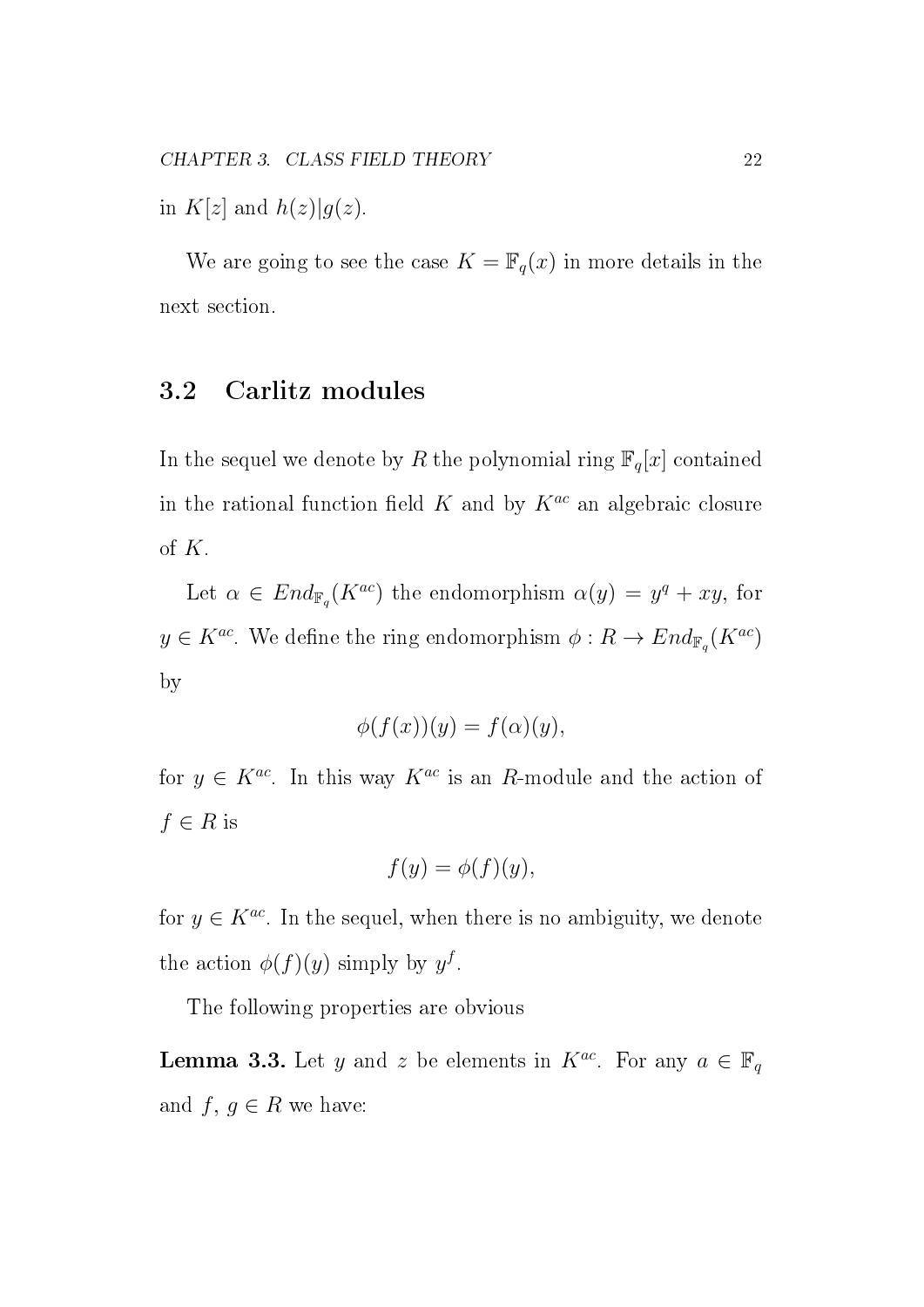in  $K[z]$  and  $h(z)|g(z)$ .

We are going to see the case  $K = \mathbb{F}_q(x)$  in more details in the next section.

#### 3.2 Carlitz modules

In the sequel we denote by R the polynomial ring  $\mathbb{F}_q[x]$  contained in the rational function field K and by  $K^{ac}$  an algebraic closure of  $K$ .

Let  $\alpha \in End_{\mathbb{F}_q}(K^{ac})$  the endomorphism  $\alpha(y) = y^q + xy$ , for  $y \in K^{ac}$ . We define the ring endomorphism  $\phi: R \to End_{\mathbb{F}_q}(K^{ac})$ by

$$
\phi(f(x))(y) = f(\alpha)(y),
$$

for  $y \in K^{ac}$ . In this way  $K^{ac}$  is an R-module and the action of  $f \in R$  is

$$
f(y) = \phi(f)(y),
$$

for  $y \in K^{ac}$ . In the sequel, when there is no ambiguity, we denote the action  $\phi(f)(y)$  simply by  $y^f$ .

The following properties are obvious

**Lemma 3.3.** Let y and z be elements in  $K^{ac}$ . For any  $a \in \mathbb{F}_q$ and  $f, g \in R$  we have: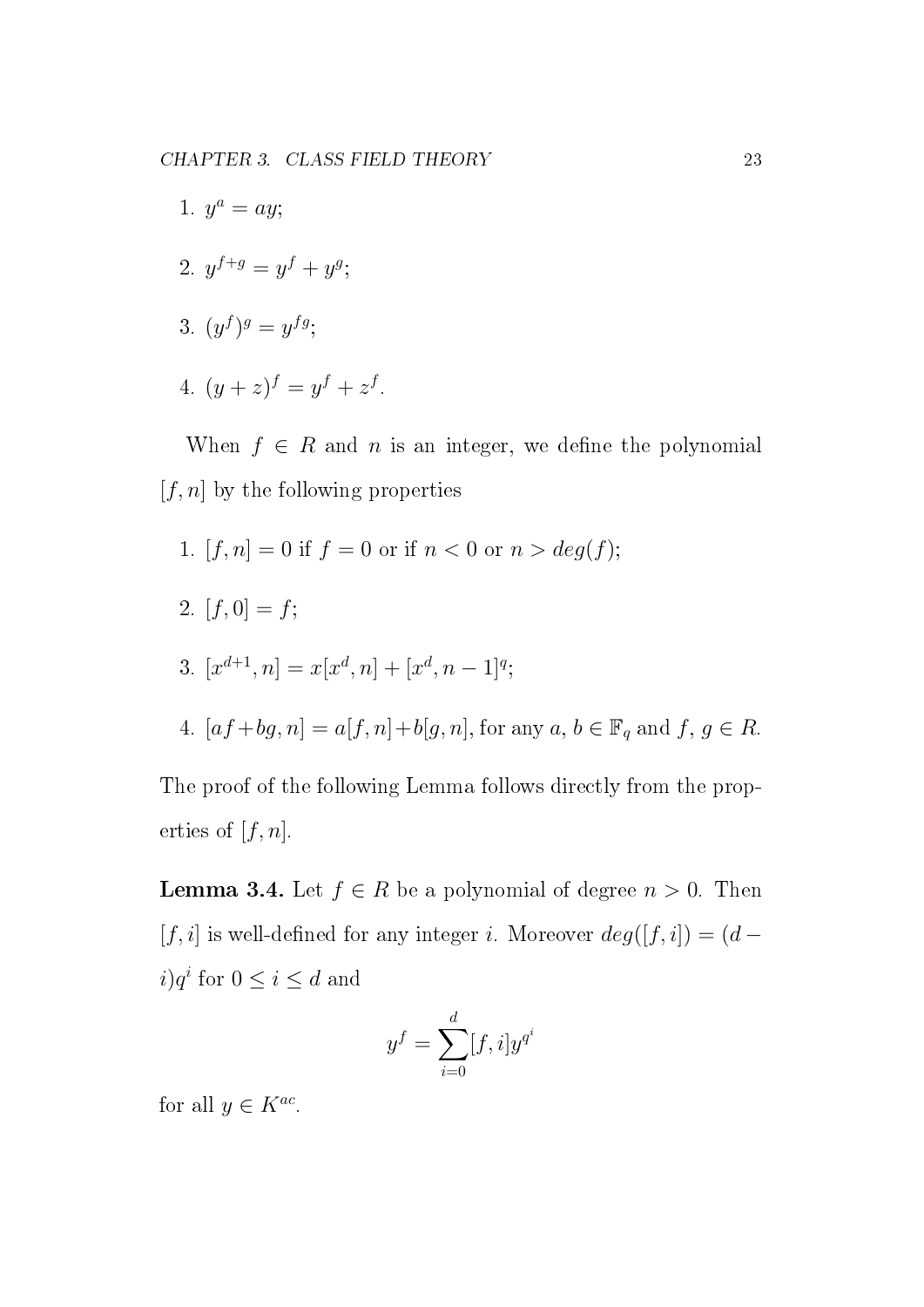- 1.  $y^a = ay;$ 2.  $y^{f+g} = y^f + y^g$ ; 3.  $(y^f)^g = y^{fg}$ ;
- 4.  $(y+z)^f = y^f + z^f$ .

When  $f \in R$  and n is an integer, we define the polynomial  $[f, n]$  by the following properties

1.  $[f, n] = 0$  if  $f = 0$  or if  $n < 0$  or  $n > deg(f)$ ; 2.  $[f, 0] = f;$ 3.  $[x^{d+1}, n] = x[x^d, n] + [x^d, n-1]^q;$ 4.  $[af+bg, n] = a[f, n] + b[g, n]$ , for any  $a, b \in \mathbb{F}_q$  and  $f, g \in R$ .

The proof of the following Lemma follows directly from the properties of  $[f, n]$ .

**Lemma 3.4.** Let  $f \in R$  be a polynomial of degree  $n > 0$ . Then [f, i] is well-defined for any integer i. Moreover  $deg([f, i]) = (d$  $i)q^i$  for  $0 \leq i \leq d$  and

$$
y^f = \sum_{i=0}^d [f, i] y^{q^i}
$$

for all  $y \in K^{ac}$ .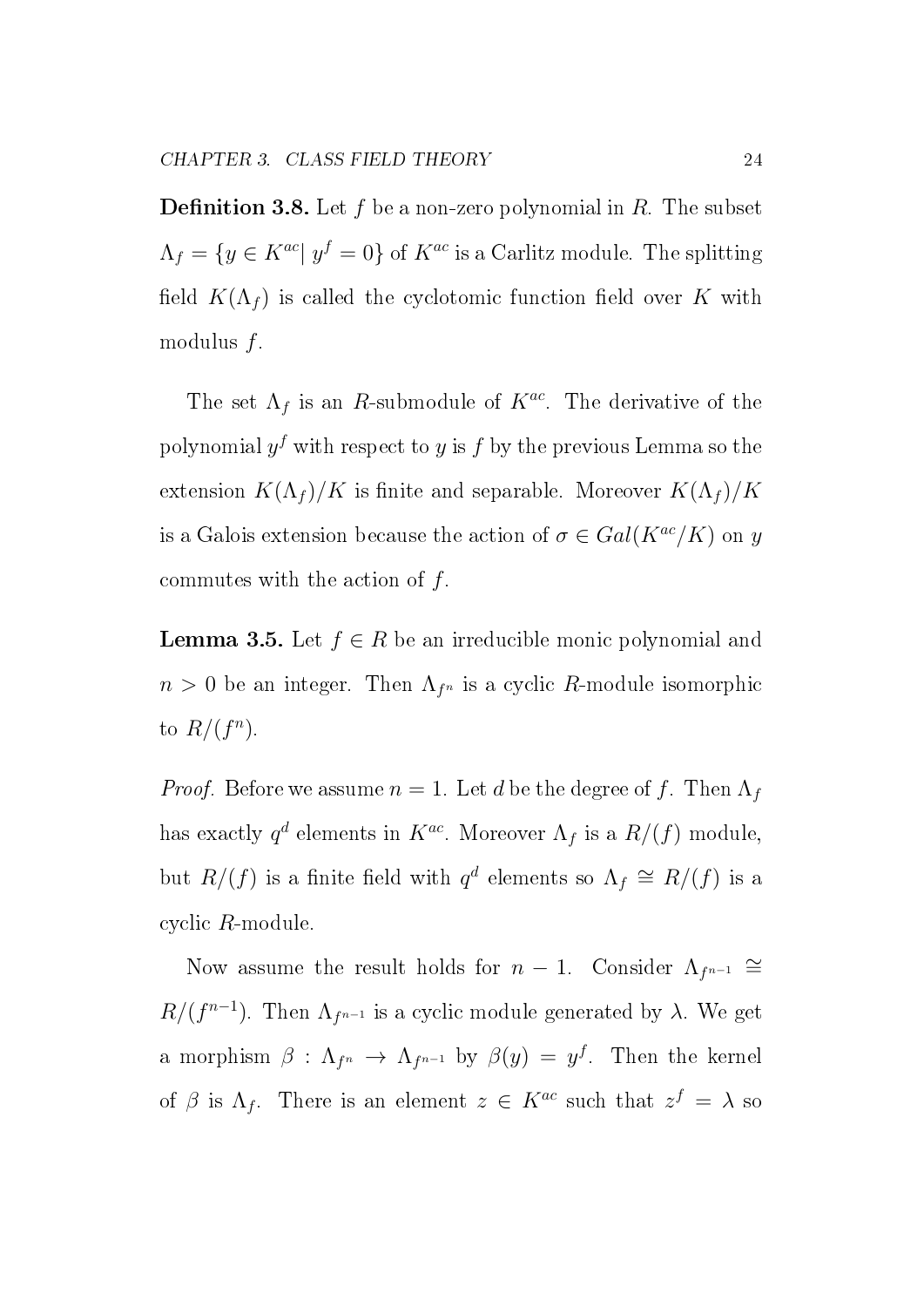**Definition 3.8.** Let f be a non-zero polynomial in R. The subset  $\Lambda_f = \{y \in K^{ac} | y^f = 0\}$  of  $K^{ac}$  is a Carlitz module. The splitting field  $K(\Lambda_f)$  is called the cyclotomic function field over K with modulus  $f$ .

The set  $\Lambda_f$  is an R-submodule of  $K^{ac}$ . The derivative of the polynomial  $y^f$  with respect to  $y$  is  $f$  by the previous Lemma so the extension  $K(\Lambda_f)/K$  is finite and separable. Moreover  $K(\Lambda_f)/K$ is a Galois extension because the action of  $\sigma \in Gal(K^{ac}/K)$  on y commutes with the action of  $f$ .

**Lemma 3.5.** Let  $f \in R$  be an irreducible monic polynomial and  $n > 0$  be an integer. Then  $\Lambda_{f^n}$  is a cyclic R-module isomorphic to  $R/(f^n)$ .

*Proof.* Before we assume  $n = 1$ . Let d be the degree of f. Then  $\Lambda_f$ has exactly  $q^d$  elements in  $K^{ac}$ . Moreover  $\Lambda_f$  is a  $R/(f)$  module, but  $R/(f)$  is a finite field with  $q^d$  elements so  $\Lambda_f \cong R/(f)$  is a cyclic R-module.

Now assume the result holds for  $n-1$ . Consider  $\Lambda_{f^{n-1}} \cong$  $R/(f^{n-1})$ . Then  $\Lambda_{f^{n-1}}$  is a cyclic module generated by  $\lambda$ . We get a morphism  $\beta$  :  $\Lambda_{f^{n}} \to \Lambda_{f^{n-1}}$  by  $\beta(y) = y^f$ . Then the kernel of  $\beta$  is  $\Lambda_f$ . There is an element  $z \in K^{ac}$  such that  $z^f = \lambda$  so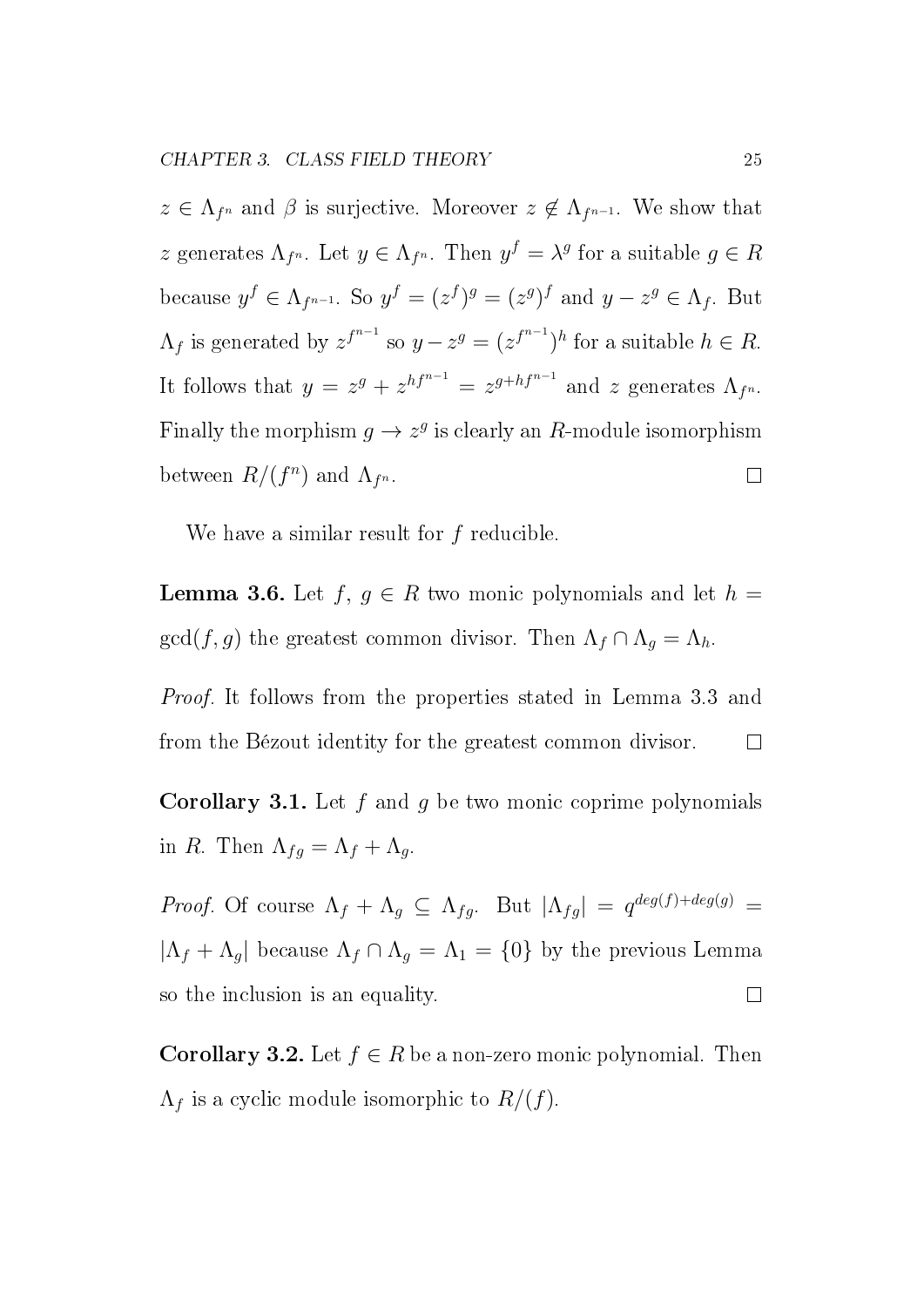$z \in \Lambda_{f^n}$  and  $\beta$  is surjective. Moreover  $z \notin \Lambda_{f^{n-1}}$ . We show that z generates  $\Lambda_{f^n}$ . Let  $y \in \Lambda_{f^n}$ . Then  $y^f = \lambda^g$  for a suitable  $g \in R$ because  $y^f \in \Lambda_{f^{n-1}}$ . So  $y^f = (z^f)^g = (z^g)^f$  and  $y - z^g \in \Lambda_f$ . But  $\Lambda_f$  is generated by  $z^{f^{n-1}}$  so  $y - z^g = (z^{f^{n-1}})^h$  for a suitable  $h \in R$ . It follows that  $y = z^g + z^{hf^{n-1}} = z^{g+hf^{n-1}}$  and z generates  $\Lambda_{f^n}$ . Finally the morphism  $g \to z^g$  is clearly an R-module isomorphism between  $R/(f^n)$  and  $\Lambda_{f^n}$ .  $\Box$ 

We have a similar result for f reducible.

**Lemma 3.6.** Let  $f, g \in R$  two monic polynomials and let  $h =$  $gcd(f, g)$  the greatest common divisor. Then  $\Lambda_f \cap \Lambda_g = \Lambda_h$ .

Proof. It follows from the properties stated in Lemma 3.3 and from the Bézout identity for the greatest common divisor.  $\overline{\phantom{a}}$ 

**Corollary 3.1.** Let  $f$  and  $g$  be two monic coprime polynomials in R. Then  $\Lambda_{fg} = \Lambda_f + \Lambda_g$ .

Proof. Of course  $\Lambda_f + \Lambda_g \subseteq \Lambda_{fg}$ . But  $|\Lambda_{fg}| = q^{deg(f) + deg(g)}$  $|\Lambda_f + \Lambda_g|$  because  $\Lambda_f \cap \Lambda_g = \Lambda_1 = \{0\}$  by the previous Lemma so the inclusion is an equality.  $\Box$ 

**Corollary 3.2.** Let  $f \in R$  be a non-zero monic polynomial. Then  $\Lambda_f$  is a cyclic module isomorphic to  $R/(f)$ .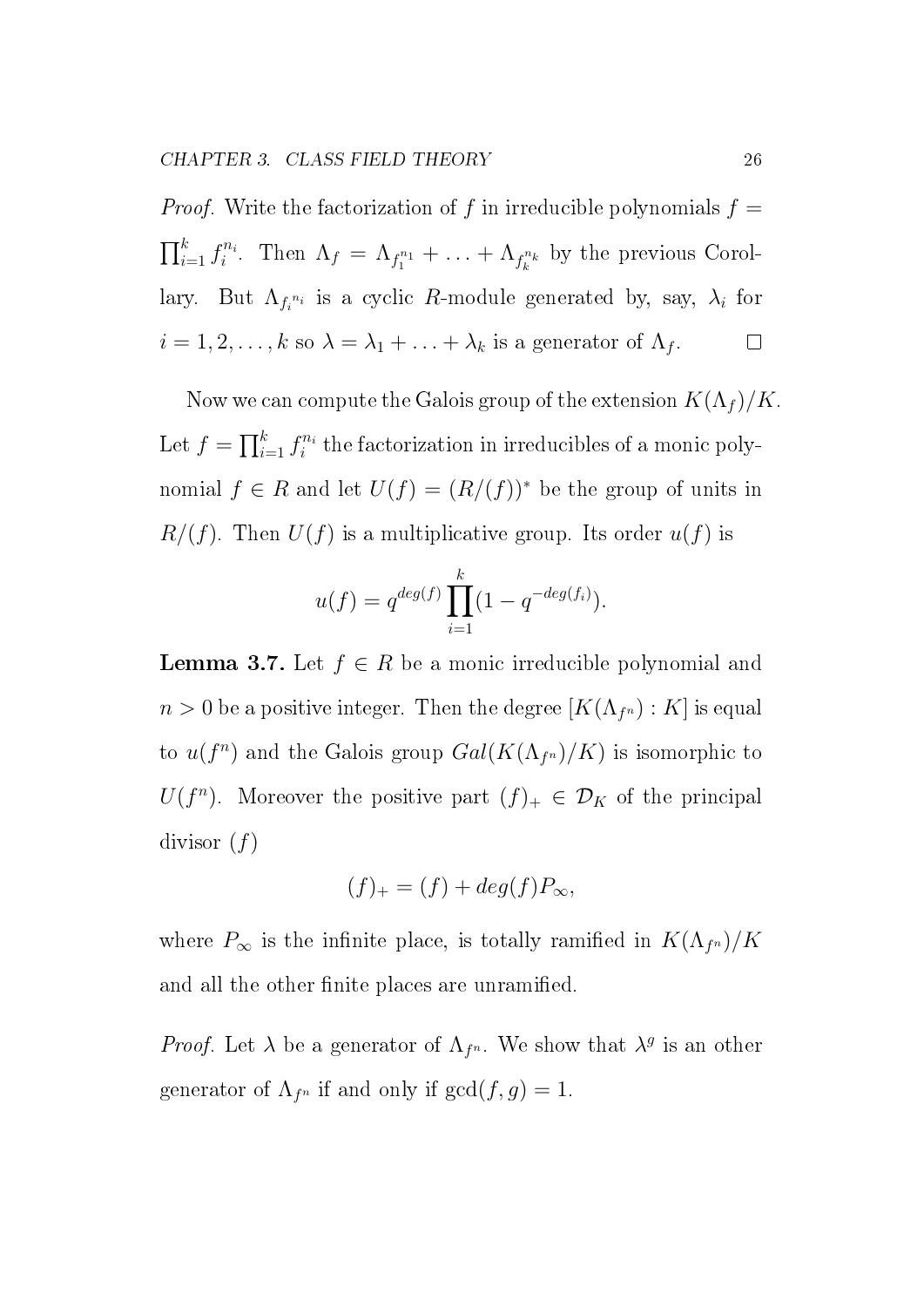*Proof.* Write the factorization of f in irreducible polynomials  $f =$  $\prod_{i=1}^k f_i^{n_i}$  $i^{n_i}$ . Then  $\Lambda_f = \Lambda_{f_1^{n_1}} + \ldots + \Lambda_{f_k^{n_k}}$  by the previous Corollary. But  $\Lambda_{f_i^{n_i}}$  is a cyclic R-module generated by, say,  $\lambda_i$  for  $i = 1, 2, \ldots, k$  so  $\lambda = \lambda_1 + \ldots + \lambda_k$  is a generator of  $\Lambda_f$ .  $\Box$ 

Now we can compute the Galois group of the extension  $K(\Lambda_f)/K$ . Let  $f = \prod_{i=1}^k f_i^{n_i}$  $i^{n_i}$  the factorization in irreducibles of a monic polynomial  $f \in R$  and let  $U(f) = (R/(f))^*$  be the group of units in  $R/(f)$ . Then  $U(f)$  is a multiplicative group. Its order  $u(f)$  is

$$
u(f) = q^{deg(f)} \prod_{i=1}^{k} (1 - q^{-deg(f_i)}).
$$

**Lemma 3.7.** Let  $f \in R$  be a monic irreducible polynomial and  $n > 0$  be a positive integer. Then the degree  $[K(\Lambda_{f^n}):K]$  is equal to  $u(f^n)$  and the Galois group  $Gal(K(\Lambda_{f^n})/K)$  is isomorphic to  $U(f^n)$ . Moreover the positive part  $(f)_+ \in \mathcal{D}_K$  of the principal divisor  $(f)$ 

$$
(f)_+ = (f) + deg(f)P_\infty,
$$

where  $P_{\infty}$  is the infinite place, is totally ramified in  $K(\Lambda_{f^n})/K$ and all the other finite places are unramified.

*Proof.* Let  $\lambda$  be a generator of  $\Lambda_{f^n}$ . We show that  $\lambda^g$  is an other generator of  $\Lambda_{f^n}$  if and only if  $gcd(f,g) = 1$ .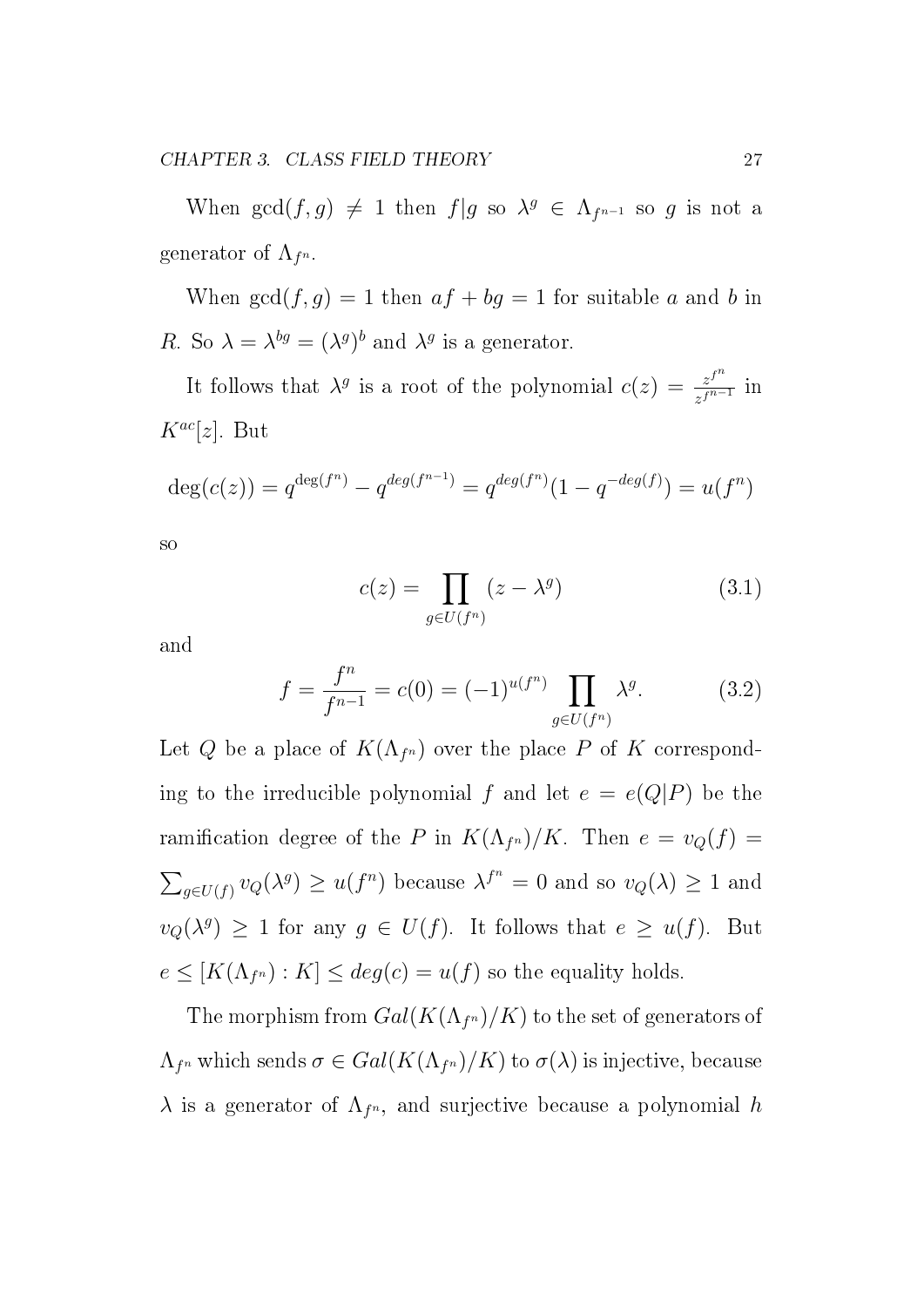When  $gcd(f,g) \neq 1$  then  $f|g$  so  $\lambda^g \in \Lambda_{f^{n-1}}$  so g is not a generator of  $\Lambda _{f^n}.$ 

When  $gcd(f, g) = 1$  then  $af + bg = 1$  for suitable a and b in R. So  $\lambda = \lambda^{bg} = (\lambda^{g})^b$  and  $\lambda^{g}$  is a generator.

It follows that  $\lambda^g$  is a root of the polynomial  $c(z) = \frac{z^{f^n}}{z^{f^n}}$  $\frac{z^j}{z^{f^{n-1}}}$  in  $K^{ac}[z]$ . But

$$
deg(c(z)) = q^{deg(f^n)} - q^{deg(f^{n-1})} = q^{deg(f^n)}(1 - q^{-deg(f)}) = u(f^n)
$$

so

$$
c(z) = \prod_{g \in U(f^n)} (z - \lambda^g) \tag{3.1}
$$

and

$$
f = \frac{f^n}{f^{n-1}} = c(0) = (-1)^{u(f^n)} \prod_{g \in U(f^n)} \lambda^g.
$$
 (3.2)

Let Q be a place of  $K(\Lambda_{f^n})$  over the place P of K corresponding to the irreducible polynomial f and let  $e = e(Q|P)$  be the ramification degree of the P in  $K(\Lambda_{f^n})/K$ . Then  $e = v_Q(f) =$  $\sum_{g\in U(f)} v_Q(\lambda^g) \geq u(f^n)$  because  $\lambda^{f^n} = 0$  and so  $v_Q(\lambda) \geq 1$  and  $v_Q(\lambda^g) \geq 1$  for any  $g \in U(f)$ . It follows that  $e \geq u(f)$ . But  $e \leq [K(\Lambda_{f^n}) : K] \leq deg(c) = u(f)$  so the equality holds.

The morphism from  $Gal(K(\Lambda _{f^n})/K)$  to the set of generators of  $\Lambda_{f^n}$  which sends  $\sigma \in Gal(K(\Lambda_{f^n})/K)$  to  $\sigma(\lambda)$  is injective, because  $\lambda$  is a generator of  $\Lambda_{f^n}$ , and surjective because a polynomial h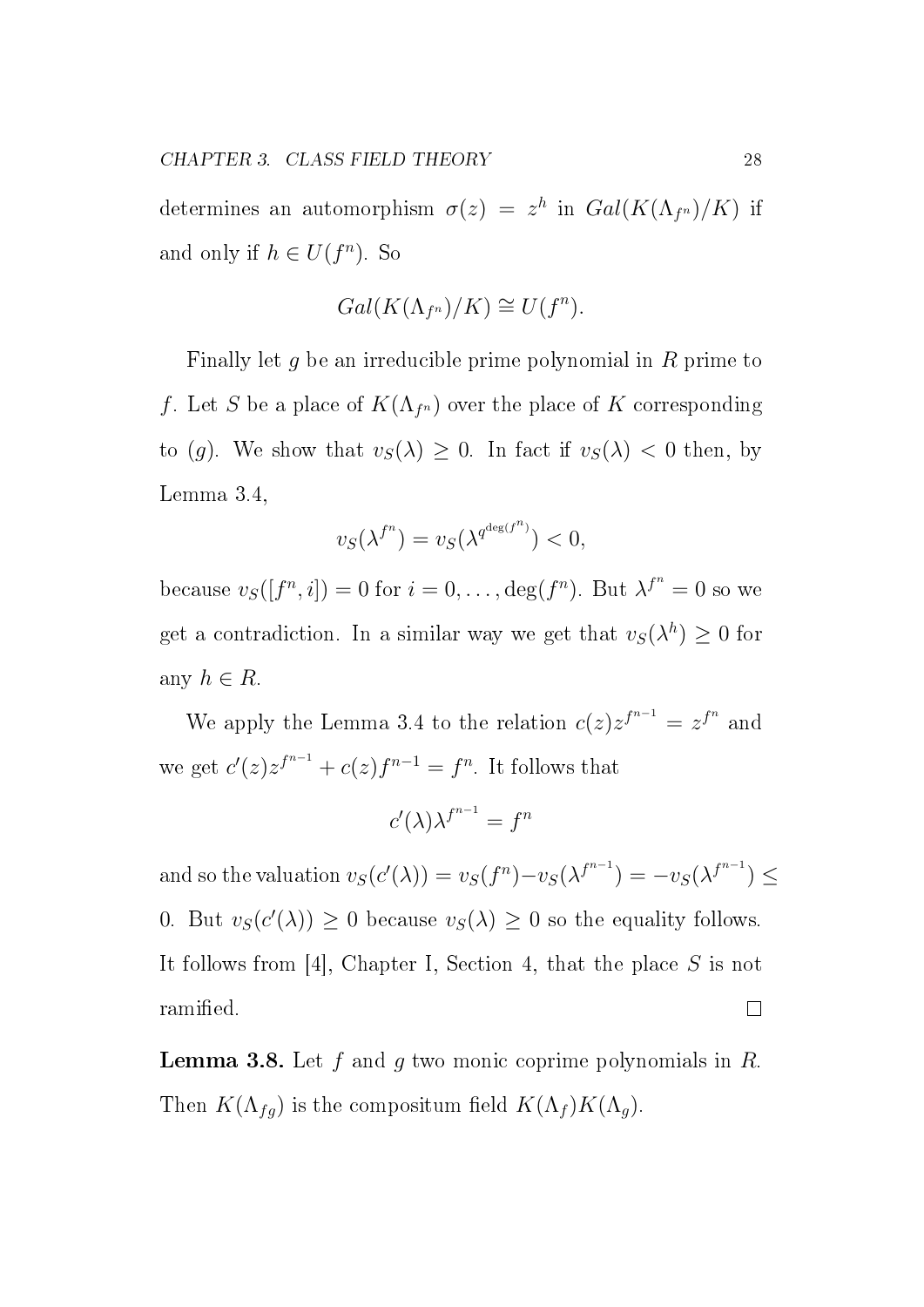determines an automorphism  $\sigma(z) = z^h$  in  $Gal(K(\Lambda_{f^n})/K)$  if and only if  $h \in U(f^n)$ . So

$$
Gal(K(\Lambda_{f^n})/K) \cong U(f^n).
$$

Finally let g be an irreducible prime polynomial in R prime to f. Let S be a place of  $K(\Lambda_{f^n})$  over the place of K corresponding to (g). We show that  $v_S(\lambda) \geq 0$ . In fact if  $v_S(\lambda) < 0$  then, by Lemma 3.4,

$$
v_S(\lambda^{f^n}) = v_S(\lambda^{q^{\deg(f^n)}}) < 0,
$$

because  $v_{S}([f^{n}, i]) = 0$  for  $i = 0, \ldots, \deg(f^{n})$ . But  $\lambda^{f^{n}} = 0$  so we get a contradiction. In a similar way we get that  $v_S(\lambda^h) \geq 0$  for any  $h \in R$ .

We apply the Lemma 3.4 to the relation  $c(z)z^{f^{n-1}} = z^{f^n}$  and we get  $c'(z)z^{f^{n-1}} + c(z)f^{n-1} = f^n$ . It follows that

$$
c'(\lambda)\lambda^{f^{n-1}} = f^n
$$

and so the valuation  $v_S(c'(\lambda)) = v_S(f^n) - v_S(\lambda^{f^{n-1}}) = -v_S(\lambda^{f^{n-1}}) \le$ 0. But  $v_S(c'(\lambda)) \geq 0$  because  $v_S(\lambda) \geq 0$  so the equality follows. It follows from [4], Chapter I, Section 4, that the place S is not ramified.  $\Box$ 

**Lemma 3.8.** Let f and g two monic coprime polynomials in  $R$ . Then  $K(\Lambda_{fg})$  is the compositum field  $K(\Lambda_f)K(\Lambda_g)$ .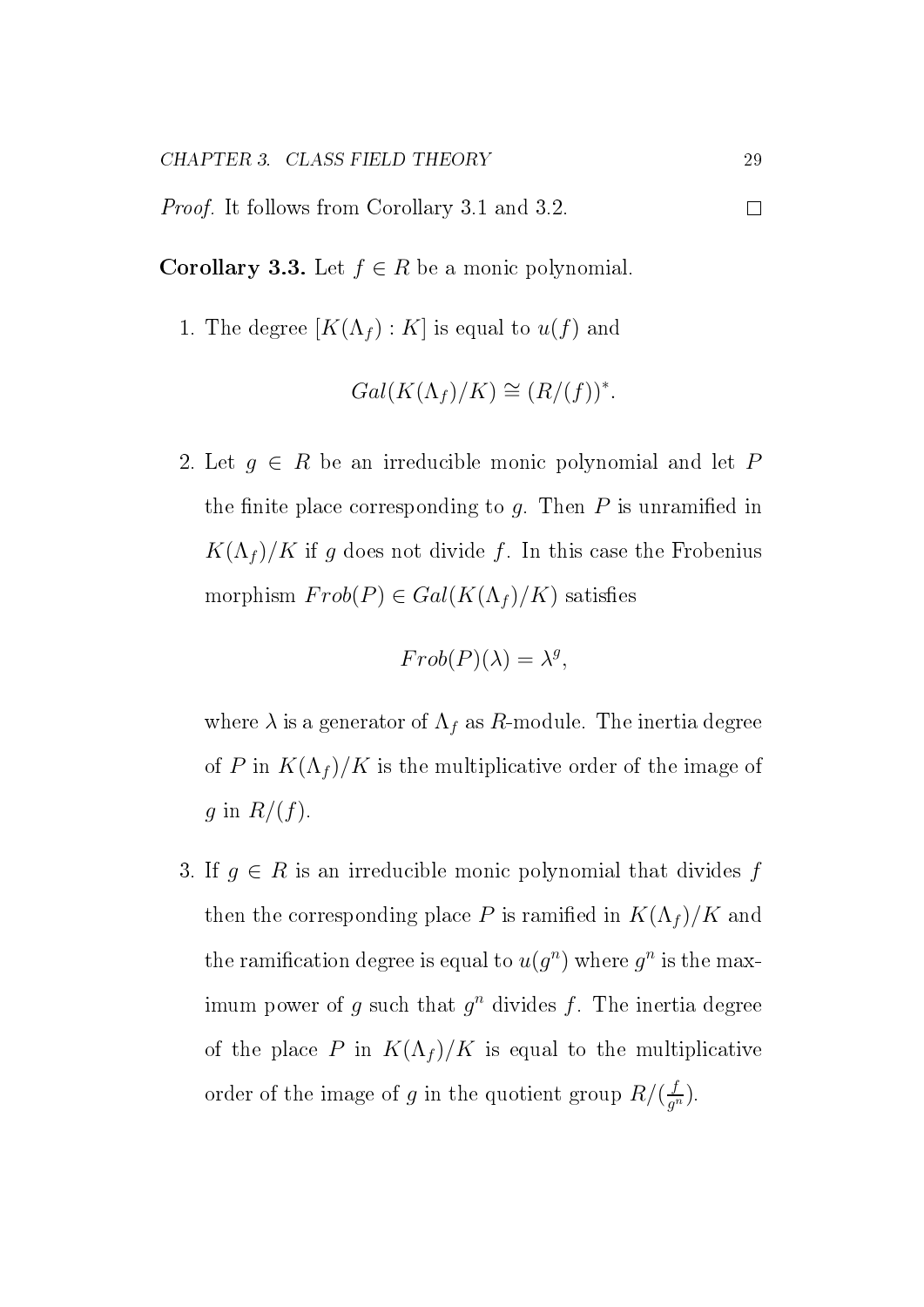Proof. It follows from Corollary 3.1 and 3.2.

Corollary 3.3. Let  $f \in R$  be a monic polynomial.

1. The degree  $[K(\Lambda_f) : K]$  is equal to  $u(f)$  and

$$
Gal(K(\Lambda_f)/K) \cong (R/(f))^*.
$$

2. Let  $g \in R$  be an irreducible monic polynomial and let P the finite place corresponding to  $q$ . Then P is unramified in  $K(\Lambda_f)/K$  if g does not divide f. In this case the Frobenius morphism  $Frob(P) \in Gal(K(\Lambda_f)/K)$  satisfies

$$
Frob(P)(\lambda) = \lambda^g,
$$

where  $\lambda$  is a generator of  $\Lambda_f$  as R-module. The inertia degree of P in  $K(\Lambda_f)/K$  is the multiplicative order of the image of g in  $R/(f)$ .

3. If  $g \in R$  is an irreducible monic polynomial that divides f then the corresponding place P is ramified in  $K(\Lambda_f)/K$  and the ramification degree is equal to  $u(g^n)$  where  $g^n$  is the maximum power of g such that  $g^n$  divides f. The inertia degree of the place P in  $K(\Lambda_f)/K$  is equal to the multiplicative order of the image of g in the quotient group  $R/(\frac{f}{q^2})$  $\frac{f}{g^n}$ .

 $\Box$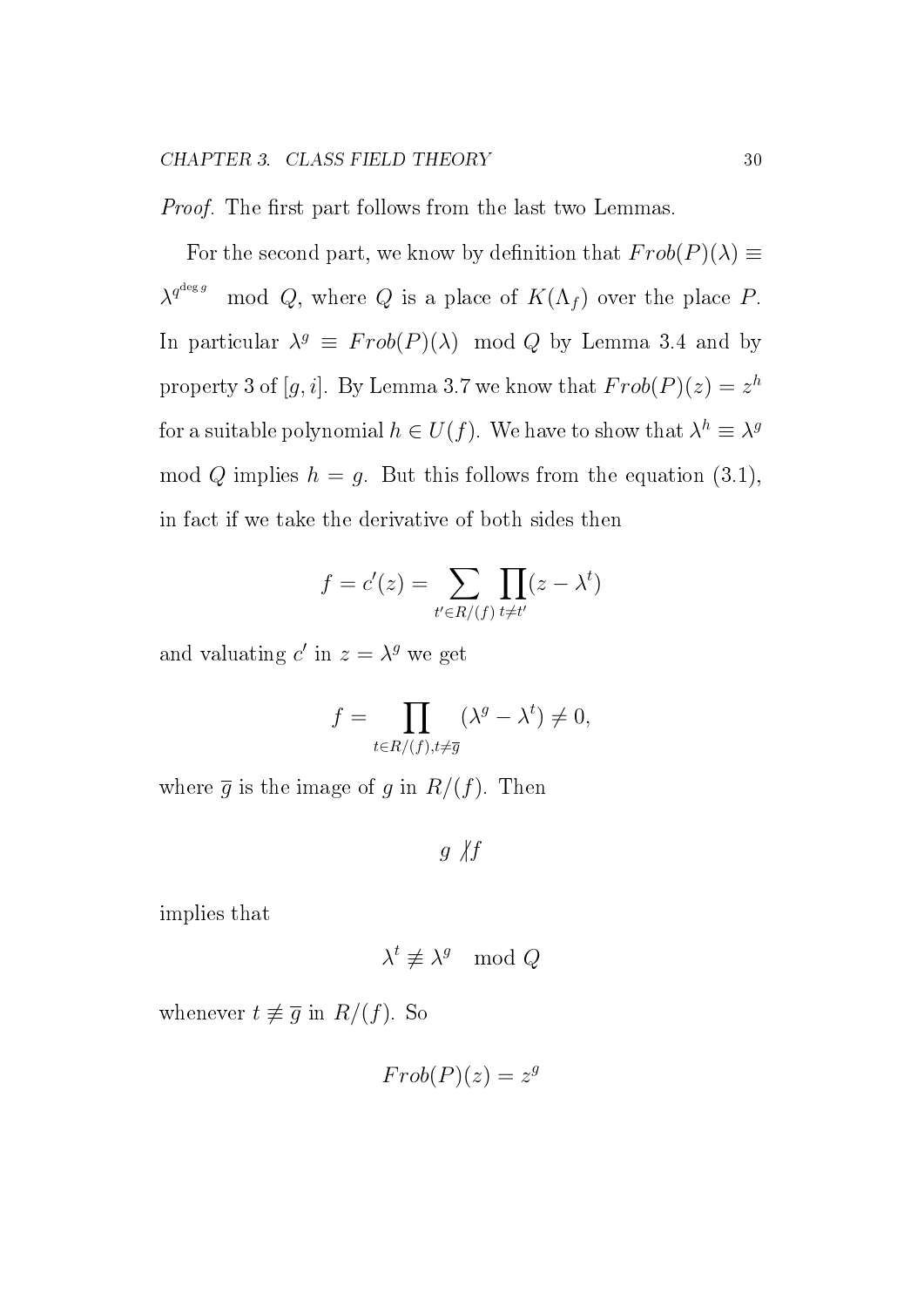*Proof.* The first part follows from the last two Lemmas.

For the second part, we know by definition that  $Frob(P)(\lambda) \equiv$  $\lambda^{q^{\deg g}}$ mod Q, where Q is a place of  $K(\Lambda_f)$  over the place P. In particular  $\lambda^g \equiv \text{Frob}(P)(\lambda) \mod Q$  by Lemma 3.4 and by property 3 of  $[g, i]$ . By Lemma 3.7 we know that  $Frob(P)(z) = z^h$ for a suitable polynomial  $h\in U(f).$  We have to show that  $\lambda^h\equiv\lambda^g$ mod Q implies  $h = g$ . But this follows from the equation (3.1), in fact if we take the derivative of both sides then

$$
f = c'(z) = \sum_{t' \in R/(f)} \prod_{t \neq t'} (z - \lambda^t)
$$

and valuating  $c'$  in  $z = \lambda^g$  we get

$$
f = \prod_{t \in R/(f), t \neq \overline{g}} (\lambda^g - \lambda^t) \neq 0,
$$

where  $\overline{g}$  is the image of g in  $R/(f)$ . Then

 $g \not| f$ 

implies that

$$
\lambda^t \not\equiv \lambda^g \mod Q
$$

whenever  $t \not\equiv \overline{g}$  in  $R/(f)$ . So

$$
Frob(P)(z) = z^g
$$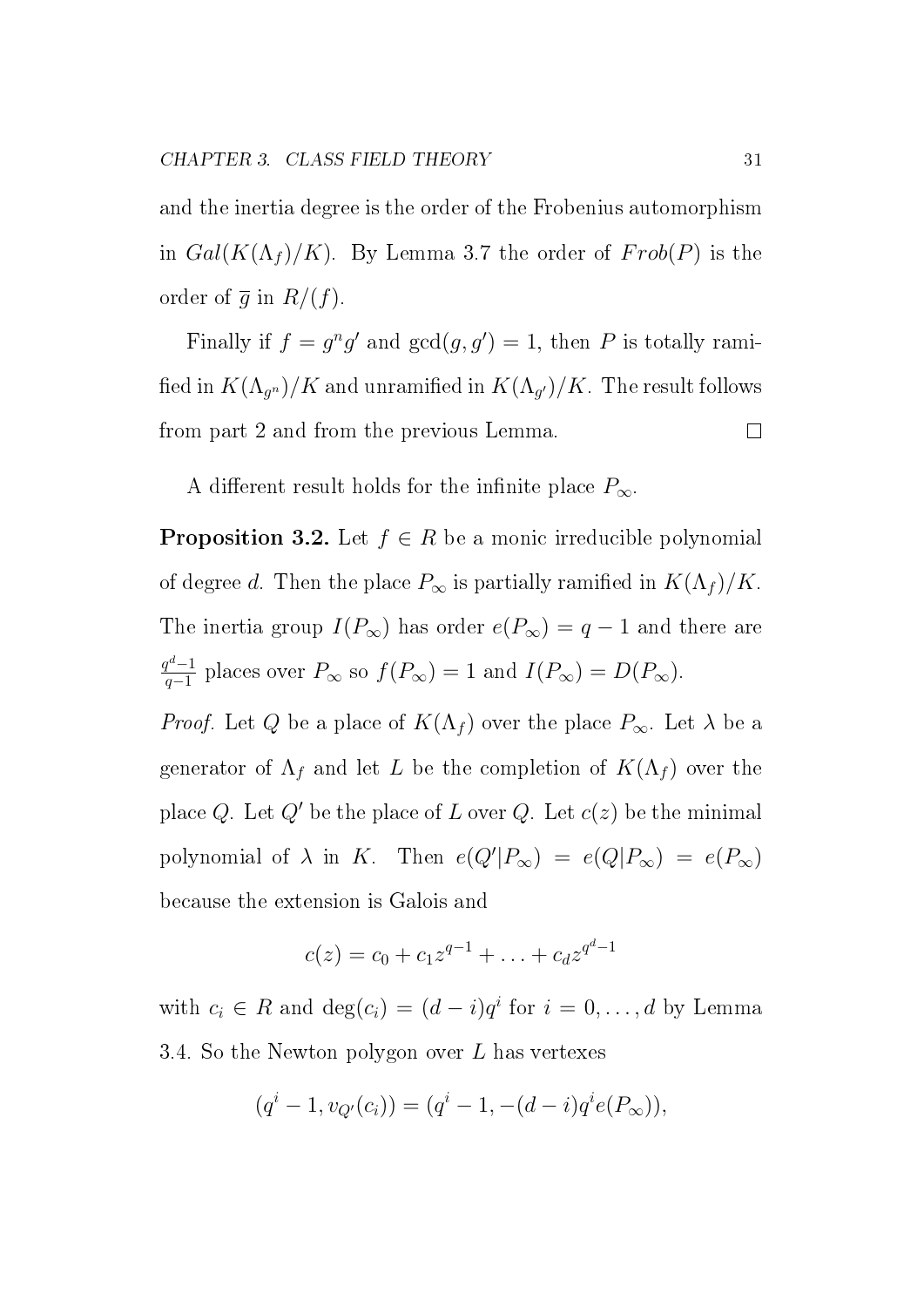and the inertia degree is the order of the Frobenius automorphism in  $Gal(K(\Lambda_f)/K)$ . By Lemma 3.7 the order of  $Frob(P)$  is the order of  $\overline{g}$  in  $R/(f)$ .

Finally if  $f = g^n g'$  and  $gcd(g, g') = 1$ , then P is totally ramified in  $K(\Lambda_{g^n})/K$  and unramified in  $K(\Lambda_{g'})/K.$  The result follows from part 2 and from the previous Lemma.  $\Box$ 

A different result holds for the infinite place  $P_{\infty}$ .

**Proposition 3.2.** Let  $f \in R$  be a monic irreducible polynomial of degree d. Then the place  $P_{\infty}$  is partially ramified in  $K(\Lambda_f)/K$ . The inertia group  $I(P_{\infty})$  has order  $e(P_{\infty}) = q - 1$  and there are  $q^d-1$  $q_{q-1}^{r-1}$  places over  $P_{\infty}$  so  $f(P_{\infty}) = 1$  and  $I(P_{\infty}) = D(P_{\infty})$ .

*Proof.* Let Q be a place of  $K(\Lambda_f)$  over the place  $P_{\infty}$ . Let  $\lambda$  be a generator of  $\Lambda_f$  and let L be the completion of  $K(\Lambda_f)$  over the place Q. Let  $Q'$  be the place of L over Q. Let  $c(z)$  be the minimal polynomial of  $\lambda$  in K. Then  $e(Q'|P_\infty) = e(Q|P_\infty) = e(P_\infty)$ because the extension is Galois and

$$
c(z) = c_0 + c_1 z^{q-1} + \ldots + c_d z^{q^d-1}
$$

with  $c_i \in R$  and  $\deg(c_i) = (d-i)q^i$  for  $i = 0, \ldots, d$  by Lemma 3.4. So the Newton polygon over  $L$  has vertexes

$$
(qi - 1, vQ'(ci)) = (qi - 1, -(d - i)qie(P\infty)),
$$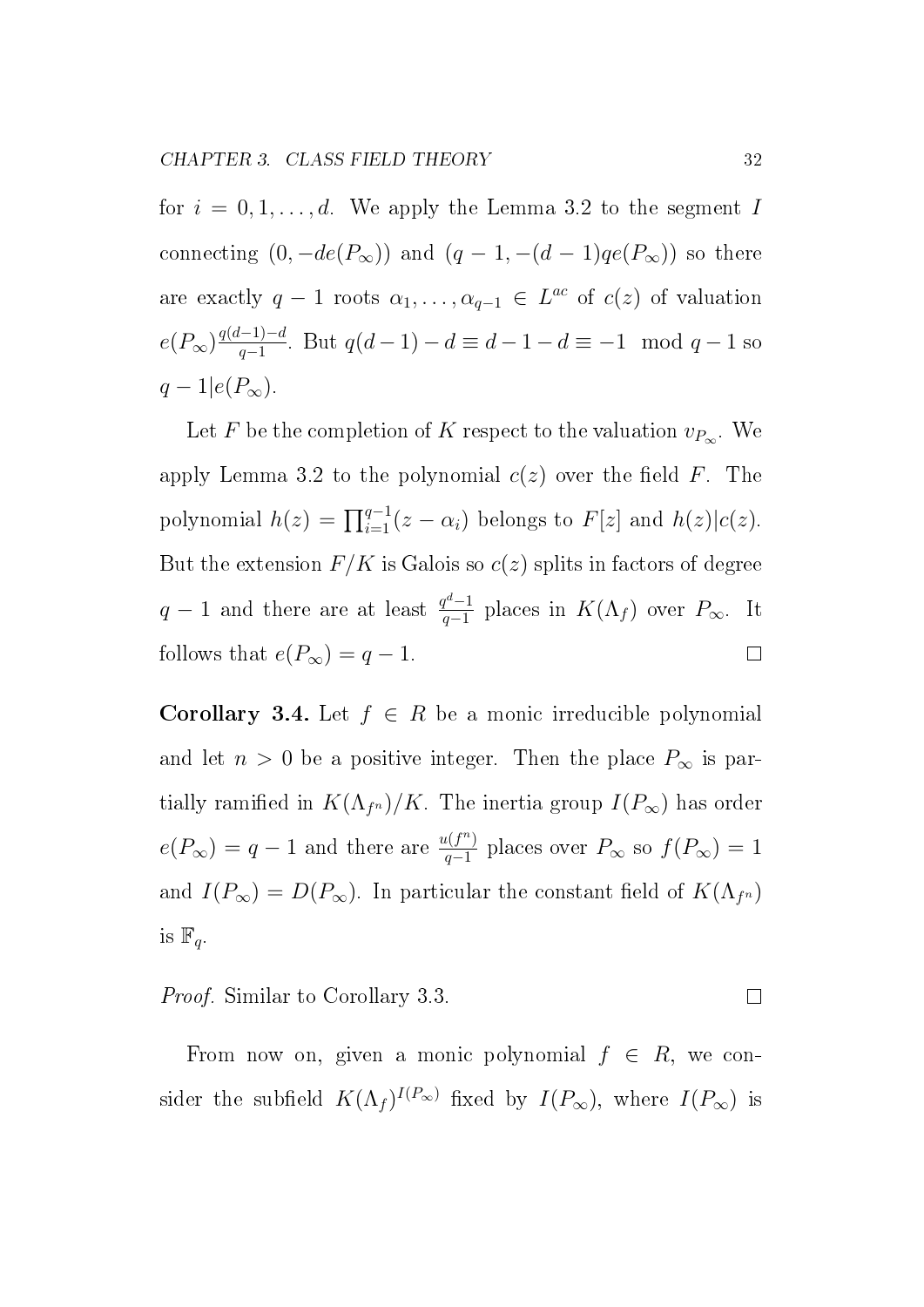for  $i = 0, 1, \ldots, d$ . We apply the Lemma 3.2 to the segment I connecting  $(0, -de(P_{\infty}))$  and  $(q - 1, -(d - 1)qe(P_{\infty}))$  so there are exactly  $q-1$  roots  $\alpha_1, \ldots, \alpha_{q-1} \in L^{ac}$  of  $c(z)$  of valuation  $e(P_{\infty})\frac{q(d-1)-d}{q-1}$  $\frac{q-1}{q-1}$ . But  $q(d-1) - d \equiv d-1-d \equiv -1 \mod q-1$  so  $q-1|e(P_\infty).$ 

Let F be the completion of K respect to the valuation  $v_{P_\infty}$ . We apply Lemma 3.2 to the polynomial  $c(z)$  over the field F. The polynomial  $h(z) = \prod_{i=1}^{q-1} (z - \alpha_i)$  belongs to  $F[z]$  and  $h(z)|c(z)$ . But the extension  $F/K$  is Galois so  $c(z)$  splits in factors of degree  $q-1$  and there are at least  $\frac{q^d-1}{q-1}$  $q^{\frac{q^{\alpha}-1}{q-1}}$  places in  $K(\Lambda_f)$  over  $P_{\infty}$ . It follows that  $e(P_{\infty}) = q - 1$ .  $\Box$ 

**Corollary 3.4.** Let  $f \in R$  be a monic irreducible polynomial and let  $n > 0$  be a positive integer. Then the place  $P_{\infty}$  is partially ramified in  $K(\Lambda_{f^n})/K$ . The inertia group  $I(P_\infty)$  has order  $e(P_{\infty}) = q - 1$  and there are  $\frac{u(f^n)}{q-1}$  $\frac{\mu(I^{n})}{q-1}$  places over  $P_{\infty}$  so  $f(P_{\infty})=1$ and  $I(P_\infty) = D(P_\infty)$ . In particular the constant field of  $K(\Lambda_{f^n})$ is  $\mathbb{F}_q$ .

Proof. Similar to Corollary 3.3.  $\Box$ 

From now on, given a monic polynomial  $f \in R$ , we consider the subfield  $K(\Lambda_f)^{I(P_\infty)}$  fixed by  $I(P_\infty)$ , where  $I(P_\infty)$  is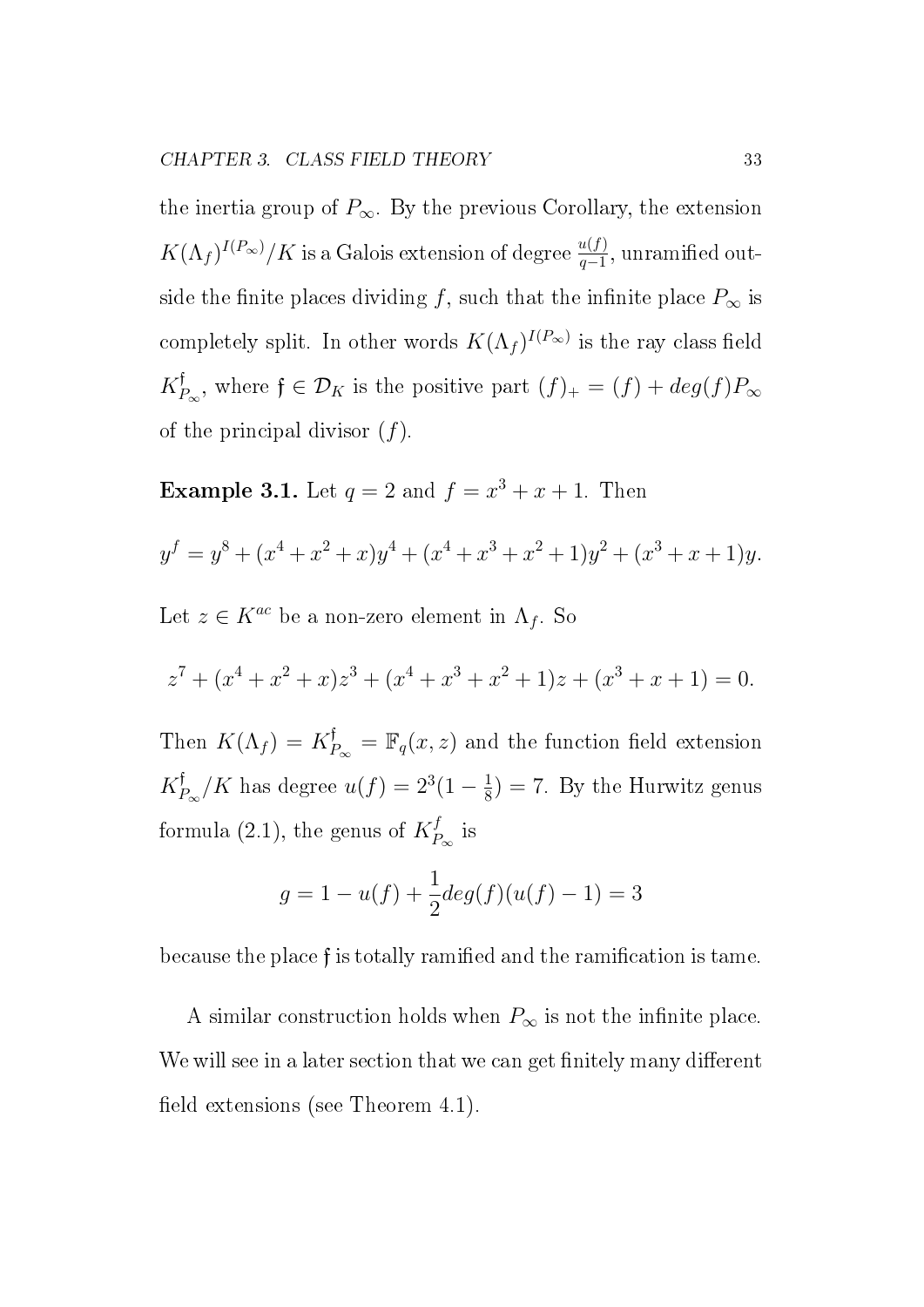the inertia group of  $P_{\infty}$ . By the previous Corollary, the extension  $K(\Lambda_f)^{I(P_\infty)}/K$  is a Galois extension of degree  $\frac{u(f)}{q-1}$ , unramified outside the finite places dividing f, such that the infinite place  $P_{\infty}$  is completely split. In other words  $K(\Lambda_f)^{I(P_\infty)}$  is the ray class field  $K_I^{\mathfrak f}$  $P_{\infty}$ , where  $f \in \mathcal{D}_K$  is the positive part  $(f)_+ = (f) + deg(f)P_{\infty}$ of the principal divisor  $(f)$ .

**Example 3.1.** Let  $q = 2$  and  $f = x^3 + x + 1$ . Then

$$
y^{f} = y^{8} + (x^{4} + x^{2} + x)y^{4} + (x^{4} + x^{3} + x^{2} + 1)y^{2} + (x^{3} + x + 1)y.
$$

Let  $z \in K^{ac}$  be a non-zero element in  $\Lambda_f$ . So

$$
z7 + (x4 + x2 + x)z3 + (x4 + x3 + x2 + 1)z + (x3 + x + 1) = 0.
$$

Then  $K(\Lambda_f) = K_I^{\dagger}$  $P_{P_{\infty}}^{\dagger} = \mathbb{F}_q(x, z)$  and the function field extension  $K_I^{\mathfrak f}$  $P_{\infty}/K$  has degree  $u(f) = 2^3(1 - \frac{1}{8})$  $\frac{1}{8}$ ) = 7. By the Hurwitz genus formula (2.1), the genus of  $K_P^f$  $P_{\infty}$  is

$$
g = 1 - u(f) + \frac{1}{2}deg(f)(u(f) - 1) = 3
$$

because the place f is totally ramified and the ramification is tame.

A similar construction holds when  $P_{\infty}$  is not the infinite place. We will see in a later section that we can get finitely many different field extensions (see Theorem  $4.1$ ).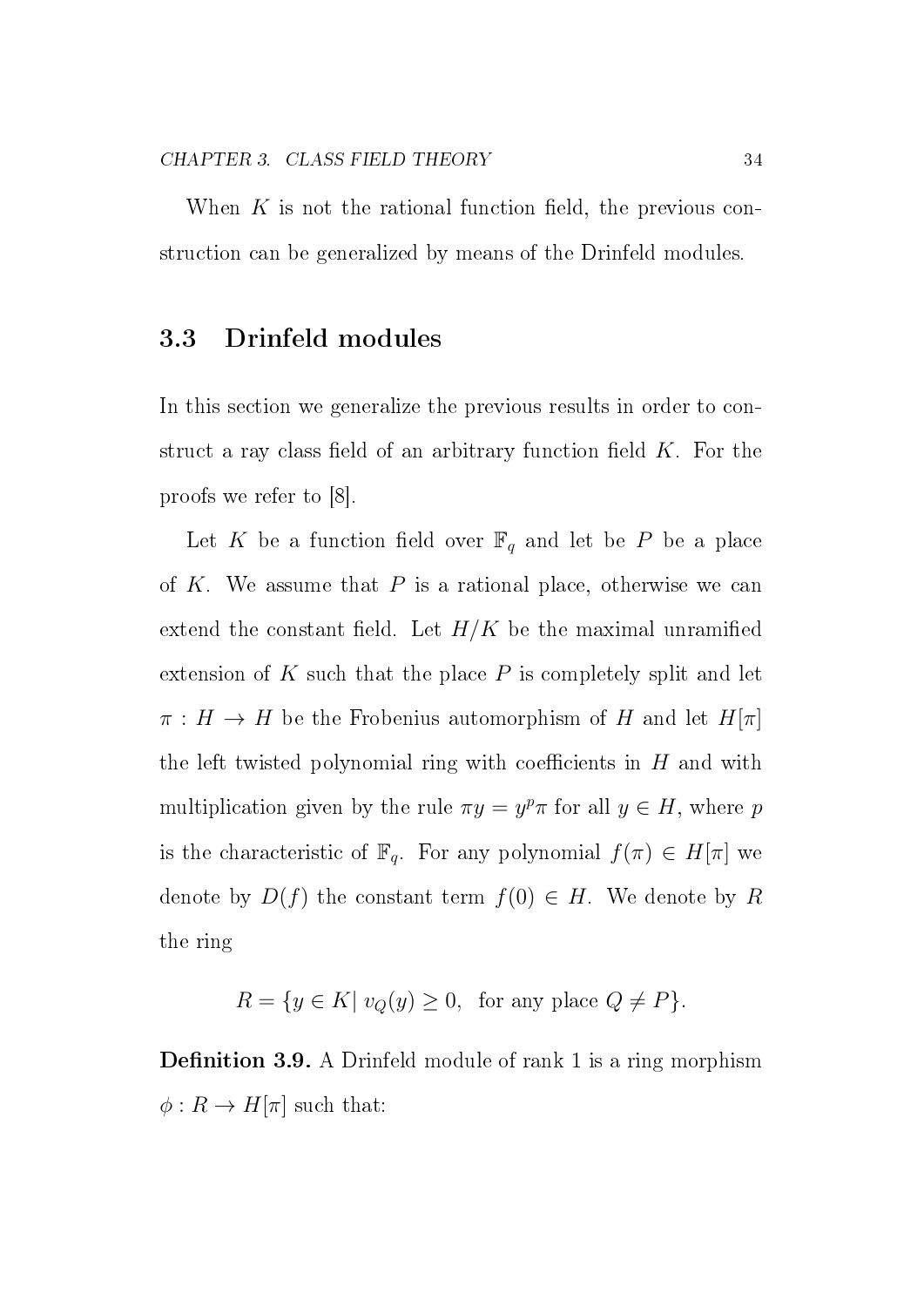When  $K$  is not the rational function field, the previous construction can be generalized by means of the Drinfeld modules.

#### 3.3 Drinfeld modules

In this section we generalize the previous results in order to construct a ray class field of an arbitrary function field  $K$ . For the proofs we refer to [8].

Let K be a function field over  $\mathbb{F}_q$  and let be P be a place of K. We assume that  $P$  is a rational place, otherwise we can extend the constant field. Let  $H/K$  be the maximal unramified extension of K such that the place  $P$  is completely split and let  $\pi : H \to H$  be the Frobenius automorphism of H and let  $H[\pi]$ the left twisted polynomial ring with coefficients in  $H$  and with multiplication given by the rule  $\pi y = y^p \pi$  for all  $y \in H$ , where p is the characteristic of  $\mathbb{F}_q$ . For any polynomial  $f(\pi) \in H[\pi]$  we denote by  $D(f)$  the constant term  $f(0) \in H$ . We denote by R the ring

$$
R = \{ y \in K | \ v_Q(y) \ge 0, \text{ for any place } Q \ne P \}.
$$

**Definition 3.9.** A Drinfeld module of rank 1 is a ring morphism  $\phi: R \to H[\pi]$  such that: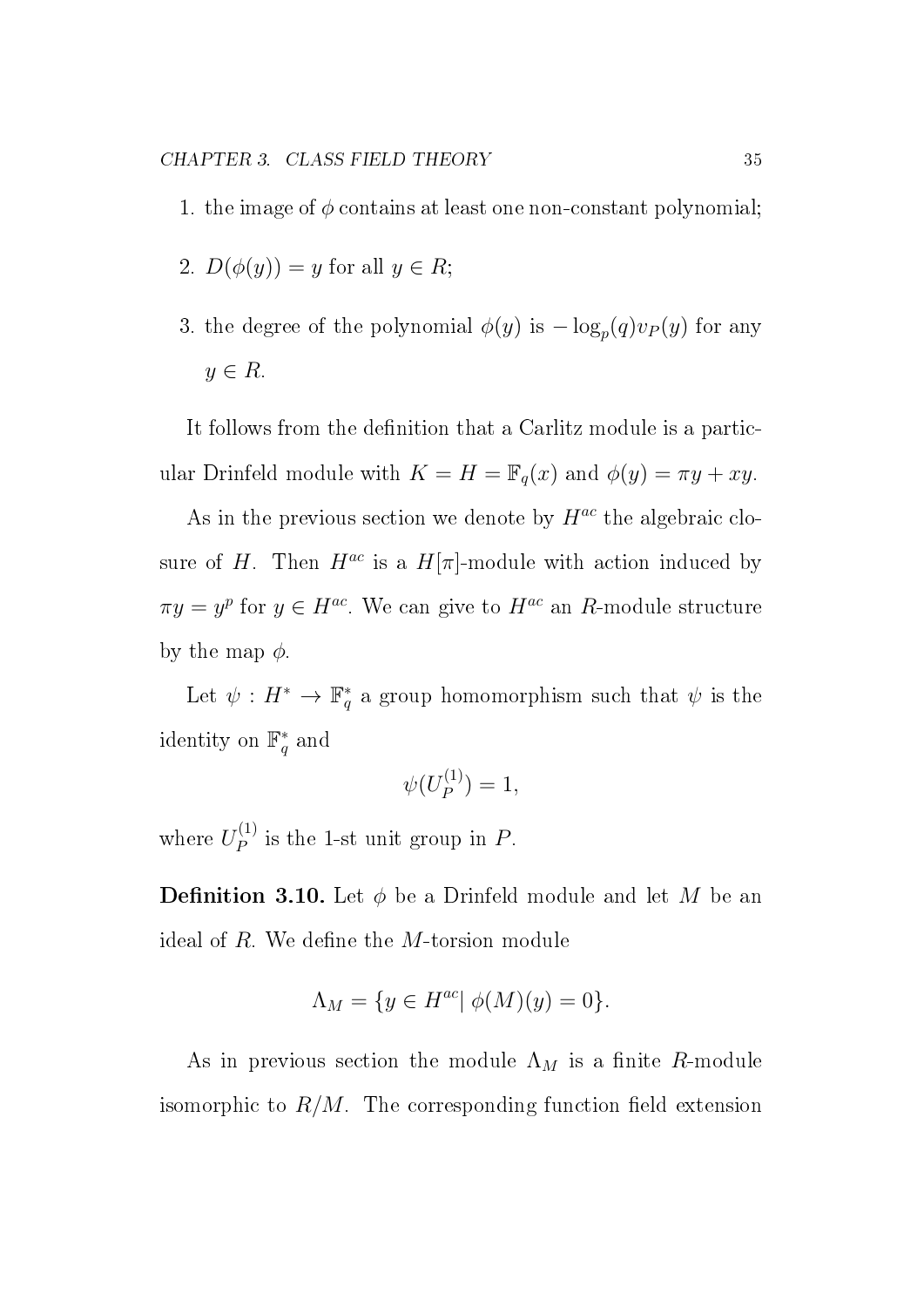- 1. the image of  $\phi$  contains at least one non-constant polynomial;
- 2.  $D(\phi(y)) = y$  for all  $y \in R$ ;
- 3. the degree of the polynomial  $\phi(y)$  is  $-\log_p(q)v_P(y)$  for any  $y \in R$ .

It follows from the definition that a Carlitz module is a particular Drinfeld module with  $K = H = \mathbb{F}_q(x)$  and  $\phi(y) = \pi y + xy$ .

As in the previous section we denote by  $H^{ac}$  the algebraic closure of H. Then  $H^{ac}$  is a  $H[\pi]$ -module with action induced by  $\pi y = y^p$  for  $y \in H^{ac}$ . We can give to  $H^{ac}$  an R-module structure by the map  $\phi$ .

Let  $\psi: H^* \to \mathbb{F}_q^*$  $_{q}^{*}$  a group homomorphism such that  $\psi$  is the identity on  $\mathbb{F}_q^*$  $_q^*$  and

$$
\psi(U_P^{(1)})=1,
$$

where  $U_P^{(1)}$  $P_P^{(1)}$  is the 1-st unit group in P.

**Definition 3.10.** Let  $\phi$  be a Drinfeld module and let M be an ideal of  $R$ . We define the  $M$ -torsion module

$$
\Lambda_M = \{ y \in H^{ac} | \phi(M)(y) = 0 \}.
$$

As in previous section the module  $\Lambda_M$  is a finite R-module isomorphic to  $R/M$ . The corresponding function field extension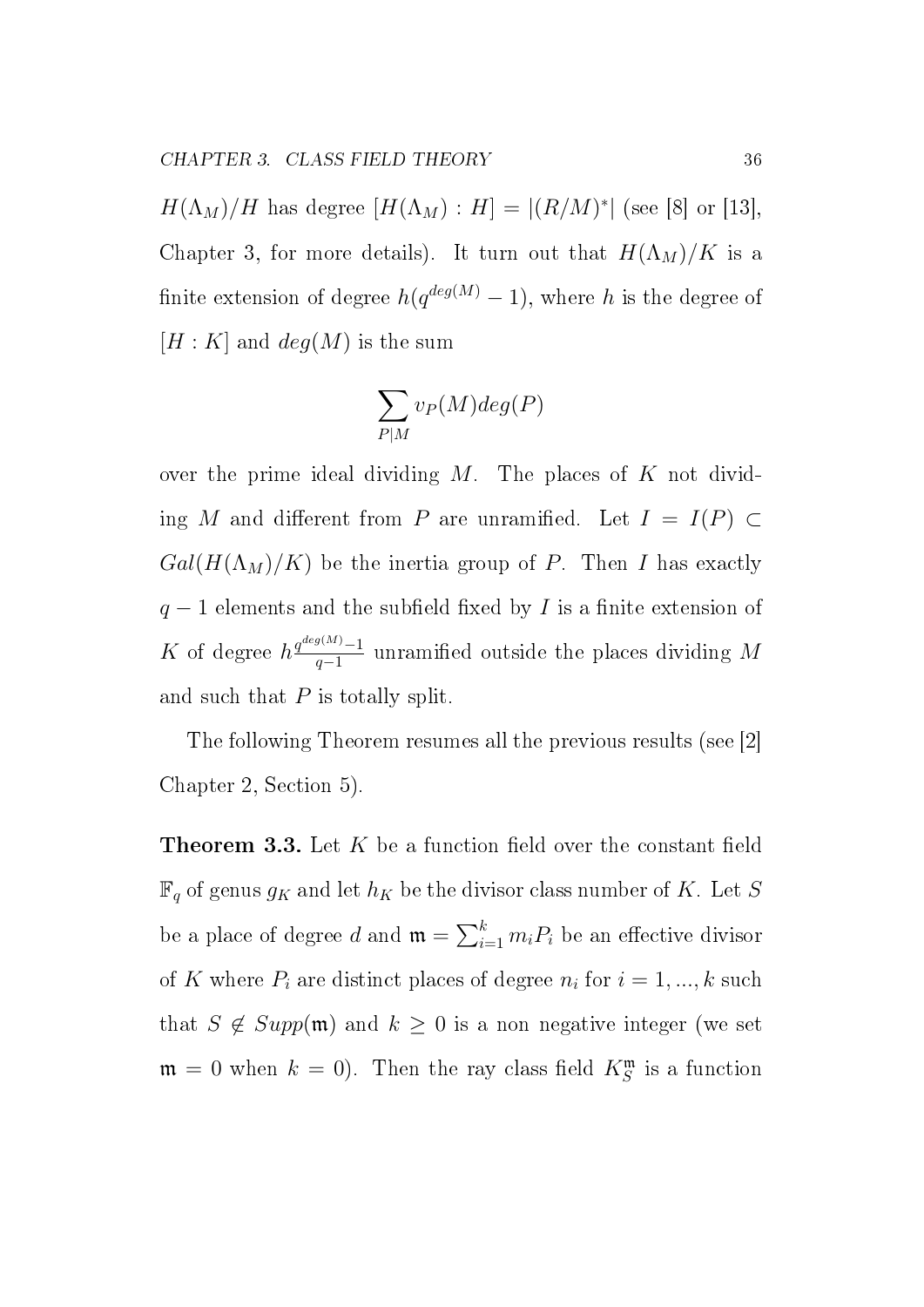$H(\Lambda_M)/H$  has degree  $[H(\Lambda_M):H] = |(R/M)^*|$  (see [8] or [13], Chapter 3, for more details). It turn out that  $H(\Lambda_M)/K$  is a finite extension of degree  $h(q^{deg(M)} - 1)$ , where h is the degree of  $[H: K]$  and  $deg(M)$  is the sum

$$
\sum_{P|M} v_P(M) deg(P)
$$

over the prime ideal dividing  $M$ . The places of  $K$  not dividing M and different from P are unramified. Let  $I = I(P) \subset$  $Gal(H(\Lambda_M)/K)$  be the inertia group of P. Then I has exactly  $q-1$  elements and the subfield fixed by I is a finite extension of K of degree  $h \frac{q^{deg(M)}-1}{q-1}$  $\frac{q_{q-1}}{q-1}$  unramified outside the places dividing M and such that  $P$  is totally split.

The following Theorem resumes all the previous results (see [2] Chapter 2, Section 5).

**Theorem 3.3.** Let  $K$  be a function field over the constant field  $\mathbb{F}_q$  of genus  $g_K$  and let  $h_K$  be the divisor class number of K. Let S be a place of degree d and  $\mathfrak{m} = \sum_{i=1}^{k} m_i P_i$  be an effective divisor of K where  $P_i$  are distinct places of degree  $n_i$  for  $i = 1, ..., k$  such that  $S \notin Supp(\mathfrak{m})$  and  $k \geq 0$  is a non negative integer (we set  $\mathfrak{m} = 0$  when  $k = 0$ ). Then the ray class field  $K_S^{\mathfrak{m}}$  is a function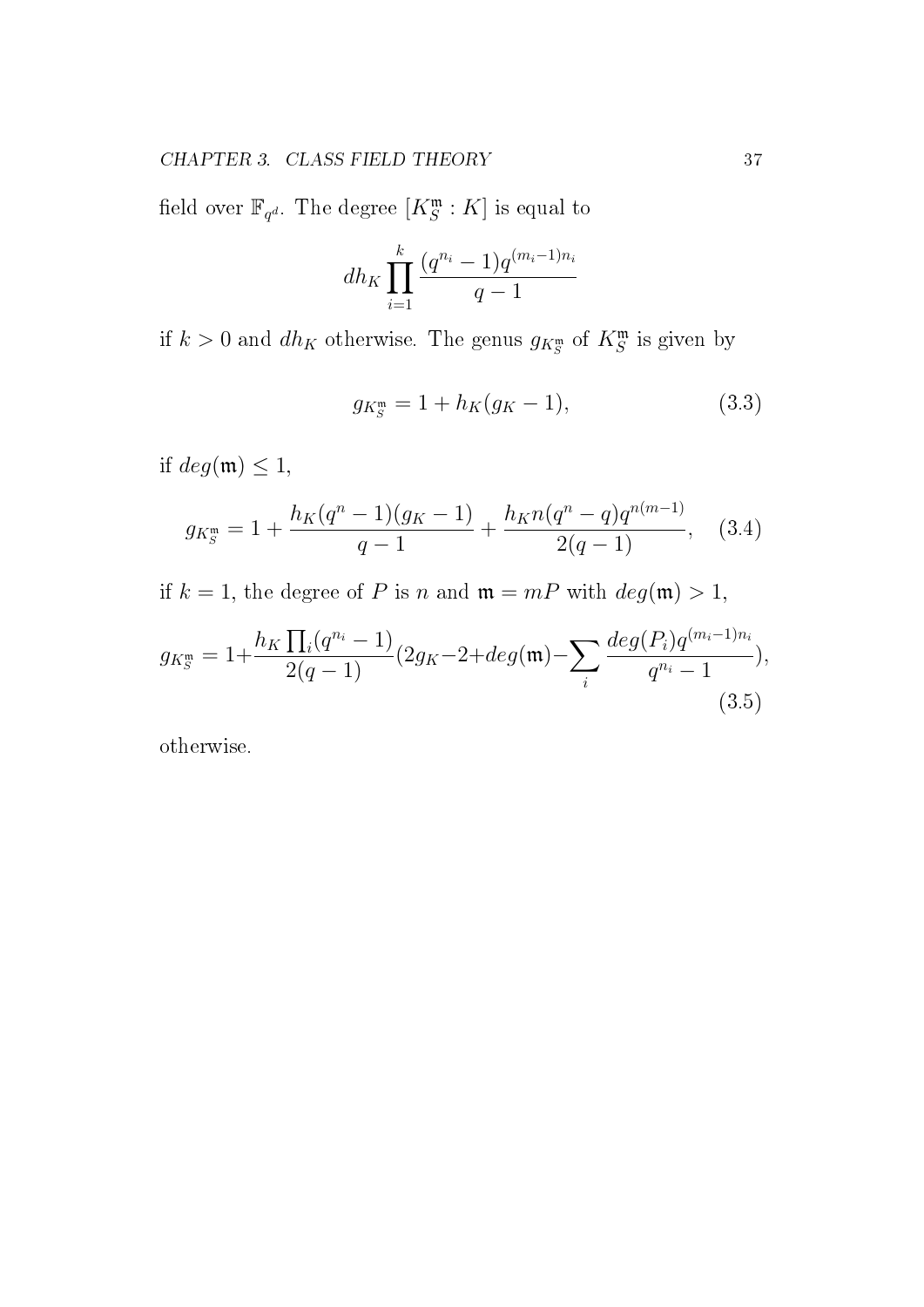field over  $\mathbb{F}_{q^d}$ . The degree  $[K^{\mathfrak{m}}_S : K]$  is equal to

$$
dh_K \prod_{i=1}^k \frac{(q^{n_i} - 1)q^{(m_i - 1)n_i}}{q - 1}
$$

if  $k > 0$  and  $dh_K$  otherwise. The genus  $g_{K_S^{\mathfrak{m}}}$  of  $K_S^{\mathfrak{m}}$  is given by

$$
g_{K_S^{\mathfrak{m}}} = 1 + h_K(g_K - 1), \tag{3.3}
$$

if  $deg(\mathfrak{m}) \leq 1$ ,

$$
g_{K_S^{\mathfrak{m}}} = 1 + \frac{h_K(q^n - 1)(g_K - 1)}{q - 1} + \frac{h_K n(q^n - q)q^{n(m - 1)}}{2(q - 1)}, \quad (3.4)
$$

if  $k = 1$ , the degree of P is n and  $\mathfrak{m} = mP$  with  $deg(\mathfrak{m}) > 1$ ,

$$
g_{K_S^{\mathfrak{m}}} = 1 + \frac{h_K \prod_i (q^{n_i} - 1)}{2(q - 1)} (2g_K - 2 + deg(\mathfrak{m}) - \sum_i \frac{deg(P_i)q^{(m_i - 1)n_i}}{q^{n_i} - 1}),
$$
\n(3.5)

otherwise.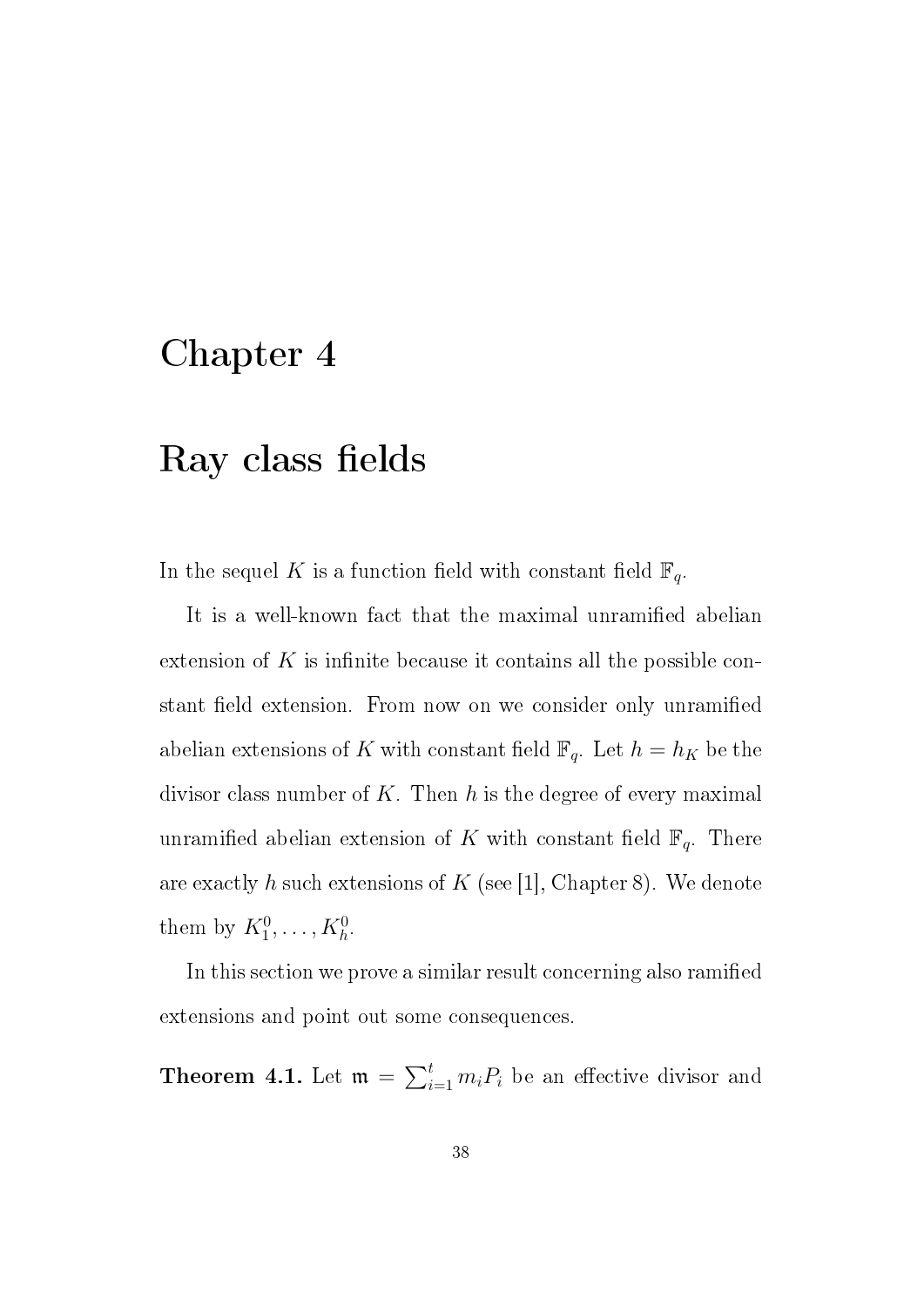### Chapter 4

### Ray class fields

In the sequel K is a function field with constant field  $\mathbb{F}_q$ .

It is a well-known fact that the maximal unramified abelian extension of  $K$  is infinite because it contains all the possible constant field extension. From now on we consider only unramified abelian extensions of K with constant field  $\mathbb{F}_q$ . Let  $h = h_K$  be the divisor class number of K. Then h is the degree of every maximal unramified abelian extension of K with constant field  $\mathbb{F}_q$ . There are exactly h such extensions of  $K$  (see [1], Chapter 8). We denote them by  $K_1^0, \ldots, K_h^0$ .

In this section we prove a similar result concerning also ramified extensions and point out some consequences.

**Theorem 4.1.** Let  $\mathfrak{m} = \sum_{i=1}^{t} m_i P_i$  be an effective divisor and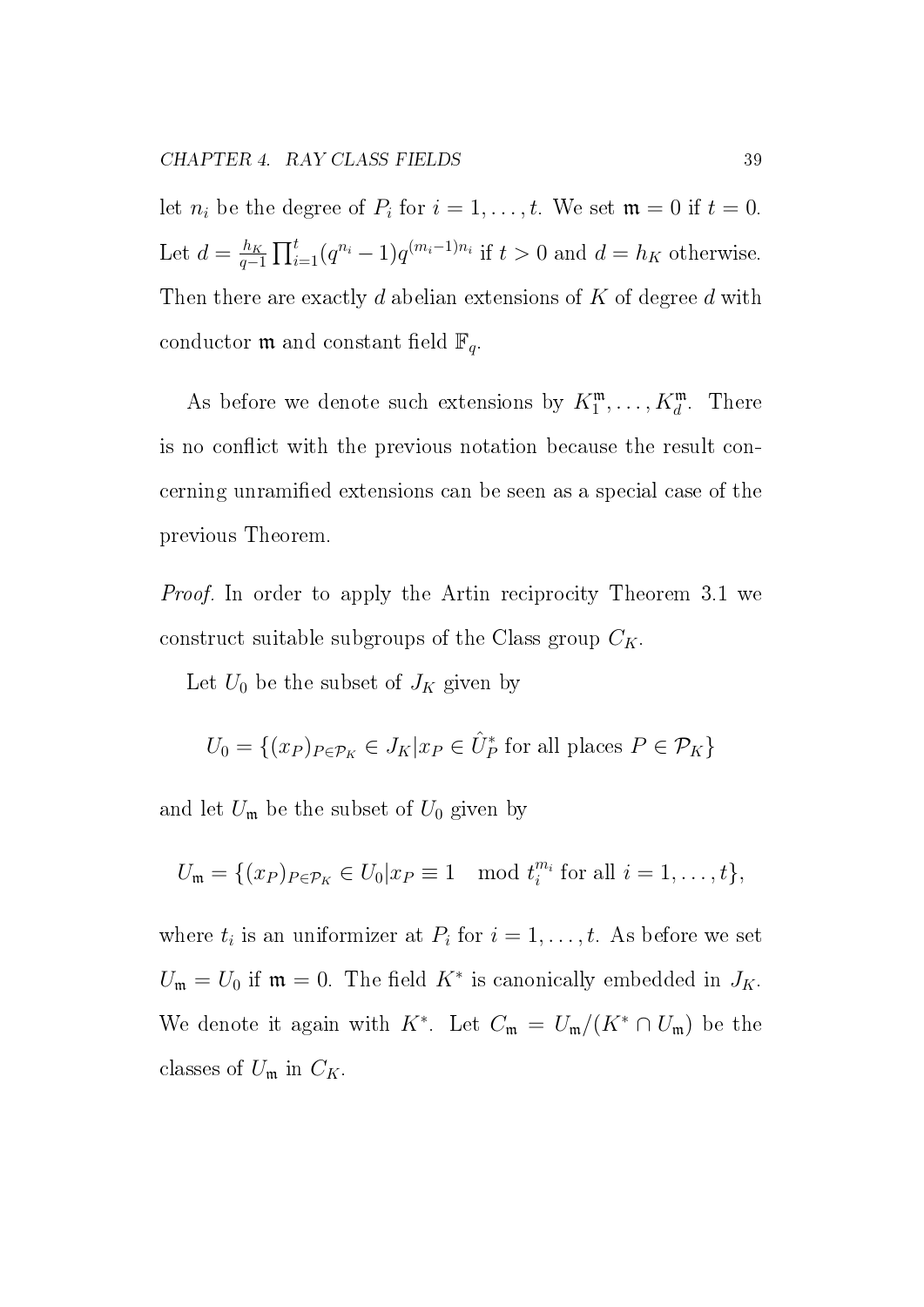let  $n_i$  be the degree of  $P_i$  for  $i = 1, \ldots, t$ . We set  $\mathfrak{m} = 0$  if  $t = 0$ . Let  $d = \frac{h_K}{a}$  $\frac{h_K}{q-1} \prod_{i=1}^t (q^{n_i} - 1) q^{(m_i - 1)n_i}$  if  $t > 0$  and  $d = h_K$  otherwise. Then there are exactly  $d$  abelian extensions of  $K$  of degree  $d$  with conductor **m** and constant field  $\mathbb{F}_q$ .

As before we denote such extensions by  $K_1^{\mathfrak{m}}, \ldots, K_d^{\mathfrak{m}}$ . There is no conflict with the previous notation because the result concerning unramified extensions can be seen as a special case of the previous Theorem.

Proof. In order to apply the Artin reciprocity Theorem 3.1 we construct suitable subgroups of the Class group  $C_K$ .

Let  $U_0$  be the subset of  $J_K$  given by

$$
U_0 = \{(x_P)_{P \in \mathcal{P}_K} \in J_K | x_P \in \hat{U}_P^* \text{ for all places } P \in \mathcal{P}_K \}
$$

and let  $U_m$  be the subset of  $U_0$  given by

$$
U_{\mathfrak{m}} = \{(x_P)_{P \in \mathcal{P}_K} \in U_0 | x_P \equiv 1 \mod t_i^{m_i} \text{ for all } i = 1, \ldots, t\},\
$$

where  $t_i$  is an uniformizer at  $P_i$  for  $i = 1, \ldots, t$ . As before we set  $U_{\mathfrak{m}} = U_0$  if  $\mathfrak{m} = 0$ . The field  $K^*$  is canonically embedded in  $J_K$ . We denote it again with K<sup>\*</sup>. Let  $C_{\mathfrak{m}} = U_{\mathfrak{m}}/(K^* \cap U_{\mathfrak{m}})$  be the classes of  $U_{\mathfrak{m}}$  in  $C_K$ .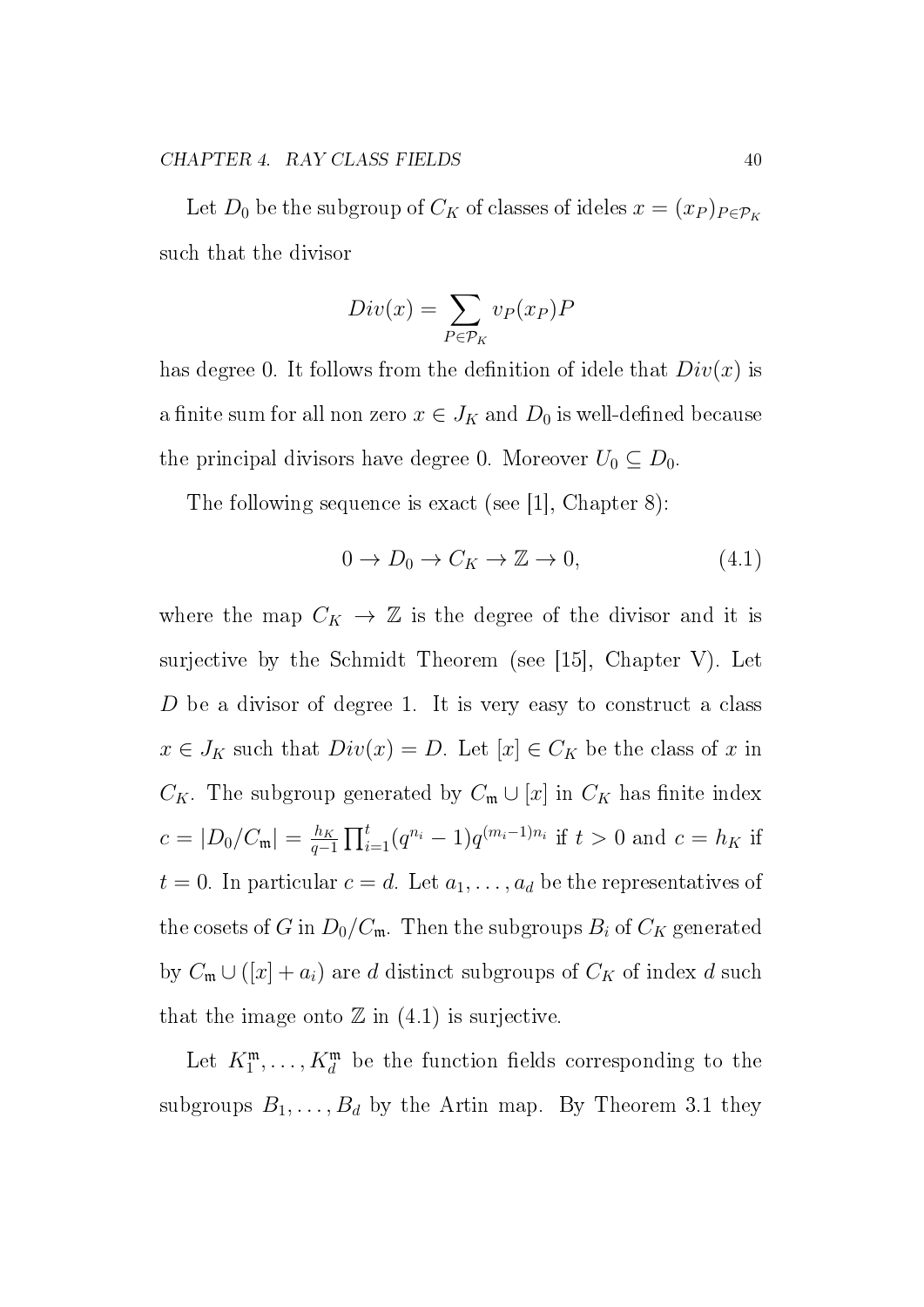Let  $D_0$  be the subgroup of  $C_K$  of classes of ideles  $x = (x_P)_{P \in \mathcal{P}_K}$ such that the divisor

$$
Div(x) = \sum_{P \in \mathcal{P}_K} v_P(x_P) P
$$

has degree 0. It follows from the definition of idele that  $Div(x)$  is a finite sum for all non zero  $x \in J_K$  and  $D_0$  is well-defined because the principal divisors have degree 0. Moreover  $U_0 \subseteq D_0$ .

The following sequence is exact (see [1], Chapter 8):

$$
0 \to D_0 \to C_K \to \mathbb{Z} \to 0,\tag{4.1}
$$

where the map  $C_K \to \mathbb{Z}$  is the degree of the divisor and it is surjective by the Schmidt Theorem (see [15], Chapter V). Let D be a divisor of degree 1. It is very easy to construct a class  $x \in J_K$  such that  $Div(x) = D$ . Let  $[x] \in C_K$  be the class of x in  $C_K$ . The subgroup generated by  $C_m \cup [x]$  in  $C_K$  has finite index  $c = |D_0/C_{\rm m}| = \frac{h_K}{a^{-1}}$  $\frac{h_K}{q-1} \prod_{i=1}^t (q^{n_i} - 1) q^{(m_i - 1)n_i}$  if  $t > 0$  and  $c = h_K$  if  $t = 0$ . In particular  $c = d$ . Let  $a_1, \ldots, a_d$  be the representatives of the cosets of G in  $D_0/C_m$ . Then the subgroups  $B_i$  of  $C_K$  generated by  $C_m \cup ([x] + a_i)$  are d distinct subgroups of  $C_K$  of index d such that the image onto  $\mathbb Z$  in (4.1) is surjective.

Let  $K_1^{\mathfrak{m}}, \ldots, K_d^{\mathfrak{m}}$  be the function fields corresponding to the subgroups  $B_1, \ldots, B_d$  by the Artin map. By Theorem 3.1 they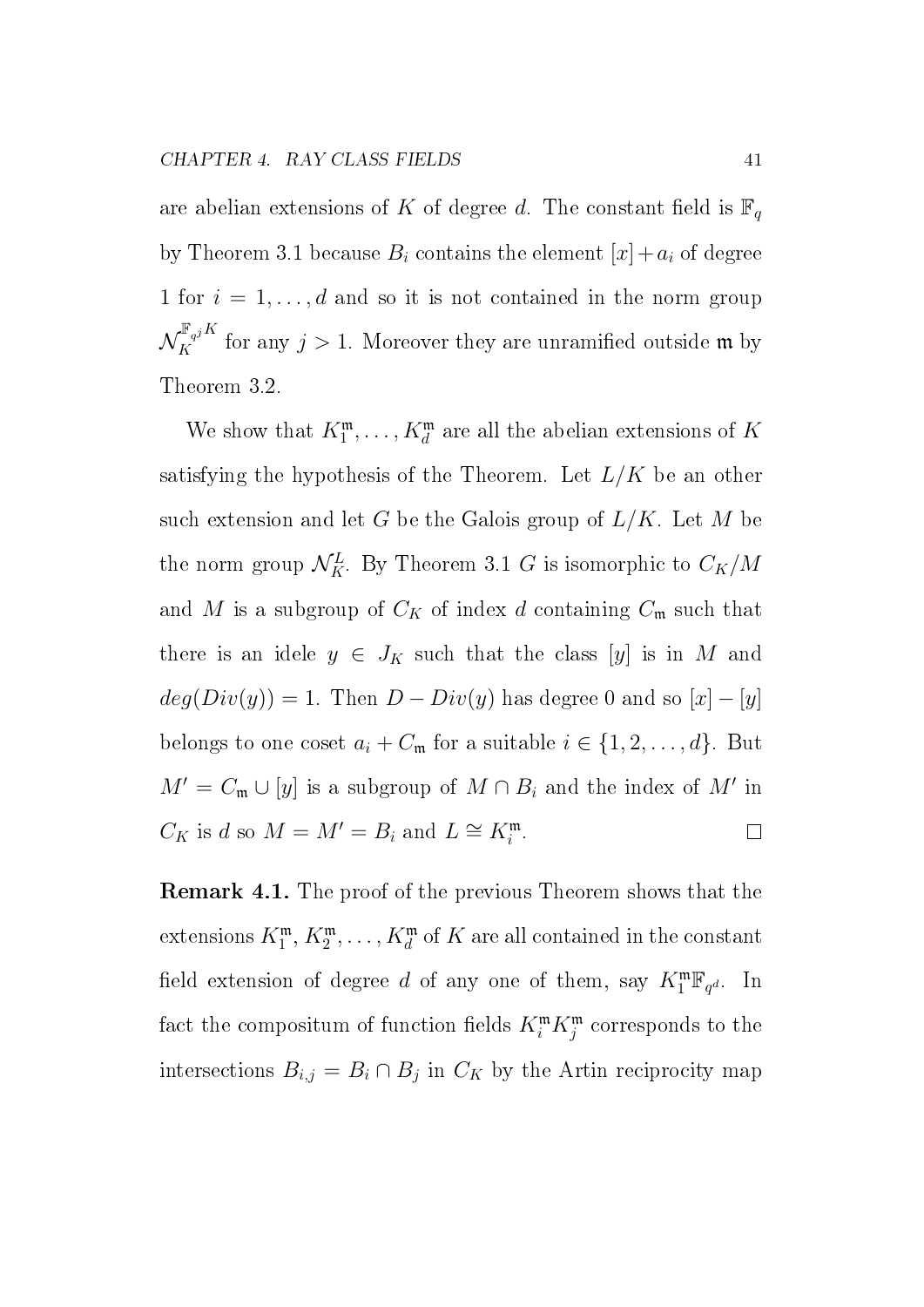are abelian extensions of K of degree d. The constant field is  $\mathbb{F}_q$ by Theorem 3.1 because  $B_i$  contains the element  $[x]+a_i$  of degree 1 for  $i = 1, \ldots, d$  and so it is not contained in the norm group  $\mathcal{N}_K^{\mathbb{F}_{q^j} K}$  for any  $j > 1$ . Moreover they are unramified outside m by Theorem 3.2.

We show that  $K_1^{\mathfrak{m}}, \ldots, K_d^{\mathfrak{m}}$  are all the abelian extensions of K satisfying the hypothesis of the Theorem. Let  $L/K$  be an other such extension and let G be the Galois group of  $L/K$ . Let M be the norm group  $\mathcal{N}_K^L$ . By Theorem 3.1 G is isomorphic to  $C_K/M$ and M is a subgroup of  $C_K$  of index d containing  $C_m$  such that there is an idele  $y \in J_K$  such that the class [y] is in M and  $deg(Div(y)) = 1.$  Then  $D - Div(y)$  has degree 0 and so  $[x] - [y]$ belongs to one coset  $a_i + C_m$  for a suitable  $i \in \{1, 2, ..., d\}$ . But  $M' = C_{\mathfrak{m}} \cup [y]$  is a subgroup of  $M \cap B_i$  and the index of  $M'$  in  $C_K$  is d so  $M = M' = B_i$  and  $L \cong K_i^{\mathfrak{m}}$ .  $\Box$ 

Remark 4.1. The proof of the previous Theorem shows that the extensions  $K^{\mathfrak{m}}_{1},\,K^{\mathfrak{m}}_{2},\ldots,K^{\mathfrak{m}}_{d}$  of  $K$  are all contained in the constant field extension of degree d of any one of them, say  $K_1^{\mathfrak{m}}\mathbb{F}_{q^d}$ . In fact the compositum of function fields  $K_i^{\mathfrak{m}} K_j^{\mathfrak{m}}$  corresponds to the intersections  $B_{i,j} = B_i \cap B_j$  in  $C_K$  by the Artin reciprocity map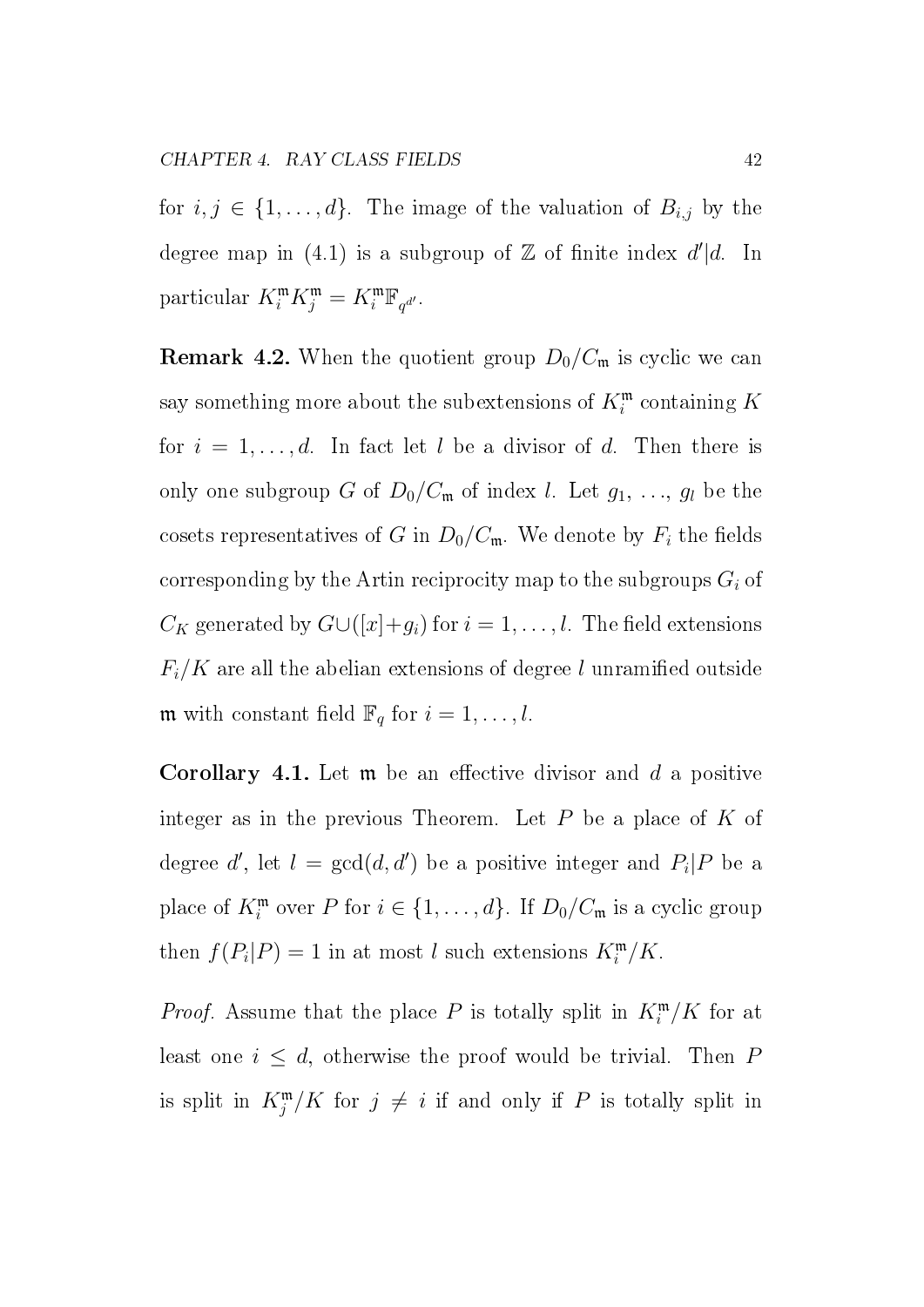for  $i, j \in \{1, ..., d\}$ . The image of the valuation of  $B_{i,j}$  by the degree map in (4.1) is a subgroup of  $\mathbb Z$  of finite index  $d' | d$ . In particular  $K_i^{\mathfrak{m}} K_j^{\mathfrak{m}} = K_i^{\mathfrak{m}} \mathbb{F}_{q^{d'}}$ .

**Remark 4.2.** When the quotient group  $D_0/C_m$  is cyclic we can say something more about the subextensions of  $K^{\mathfrak{m}}_{i}$  containing  $K$ for  $i = 1, \ldots, d$ . In fact let l be a divisor of d. Then there is only one subgroup G of  $D_0/C_m$  of index l. Let  $g_1, \ldots, g_l$  be the cosets representatives of G in  $D_0/C_{\mathfrak{m}}$ . We denote by  $F_i$  the fields corresponding by the Artin reciprocity map to the subgroups  $G_i$  of  $C_K$  generated by  $G\cup([x]+g_i)$  for  $i=1,\ldots,l$ . The field extensions  $F_i/K$  are all the abelian extensions of degree l unramified outside **m** with constant field  $\mathbb{F}_q$  for  $i = 1, \ldots, l$ .

**Corollary 4.1.** Let  $\mathfrak{m}$  be an effective divisor and d a positive integer as in the previous Theorem. Let  $P$  be a place of  $K$  of degree d', let  $l = \gcd(d, d')$  be a positive integer and  $P_i | P$  be a place of  $K_i^{\mathfrak{m}}$  over P for  $i \in \{1, ..., d\}$ . If  $D_0/C_{\mathfrak{m}}$  is a cyclic group then  $f(P_i|P) = 1$  in at most l such extensions  $K_i^{\mathfrak{m}}/K$ .

*Proof.* Assume that the place P is totally split in  $K_i^{\mathfrak{m}}/K$  for at least one  $i \leq d$ , otherwise the proof would be trivial. Then P is split in  $K_j^{\mathfrak{m}}/K$  for  $j \neq i$  if and only if P is totally split in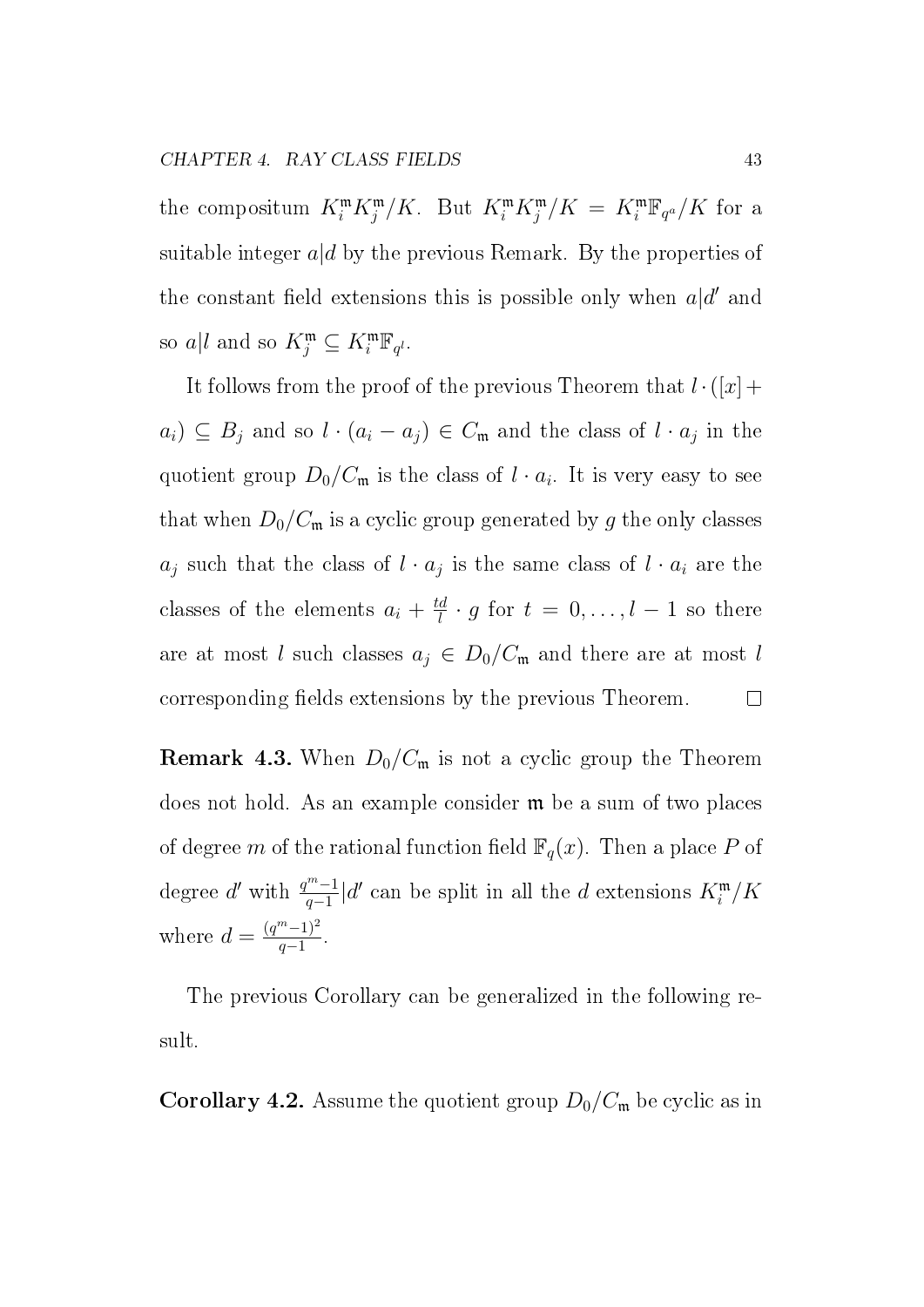the compositum  $K_i^{\mathfrak{m}} K_j^{\mathfrak{m}} / K$ . But  $K_i^{\mathfrak{m}} K_j^{\mathfrak{m}} / K = K_i^{\mathfrak{m}} \mathbb{F}_{q^a} / K$  for a suitable integer  $a/d$  by the previous Remark. By the properties of the constant field extensions this is possible only when  $a|d'$  and so  $a|l$  and so  $K_j^{\mathfrak{m}} \subseteq K_i^{\mathfrak{m}} \mathbb{F}_{q^l}$ .

It follows from the proof of the previous Theorem that  $l \cdot (x) +$  $a_i) \subseteq B_j$  and so  $l \cdot (a_i - a_j) \in C_{\mathfrak{m}}$  and the class of  $l \cdot a_j$  in the quotient group  $D_0/C_{\mathfrak{m}}$  is the class of  $l \cdot a_i$ . It is very easy to see that when  $D_0/C_m$  is a cyclic group generated by g the only classes  $a_j$  such that the class of  $l \cdot a_j$  is the same class of  $l \cdot a_i$  are the classes of the elements  $a_i + \frac{td}{l}$  $\frac{d}{l} \cdot g$  for  $t = 0, \ldots, l - 1$  so there are at most l such classes  $a_j \in D_0/C_{\mathfrak{m}}$  and there are at most l corresponding fields extensions by the previous Theorem.  $\Box$ 

**Remark 4.3.** When  $D_0/C_m$  is not a cyclic group the Theorem does not hold. As an example consider m be a sum of two places of degree m of the rational function field  $\mathbb{F}_q(x)$ . Then a place P of degree d' with  $\frac{q^m-1}{q-1}$  $\frac{m-1}{q-1}$ |d' can be split in all the d extensions  $K_i^{\mathfrak{m}}/K_i$ where  $d = \frac{(q^m - 1)^2}{q - 1}$  $\frac{(-1)^2}{q-1}$ .

The previous Corollary can be generalized in the following result.

**Corollary 4.2.** Assume the quotient group  $D_0/C_m$  be cyclic as in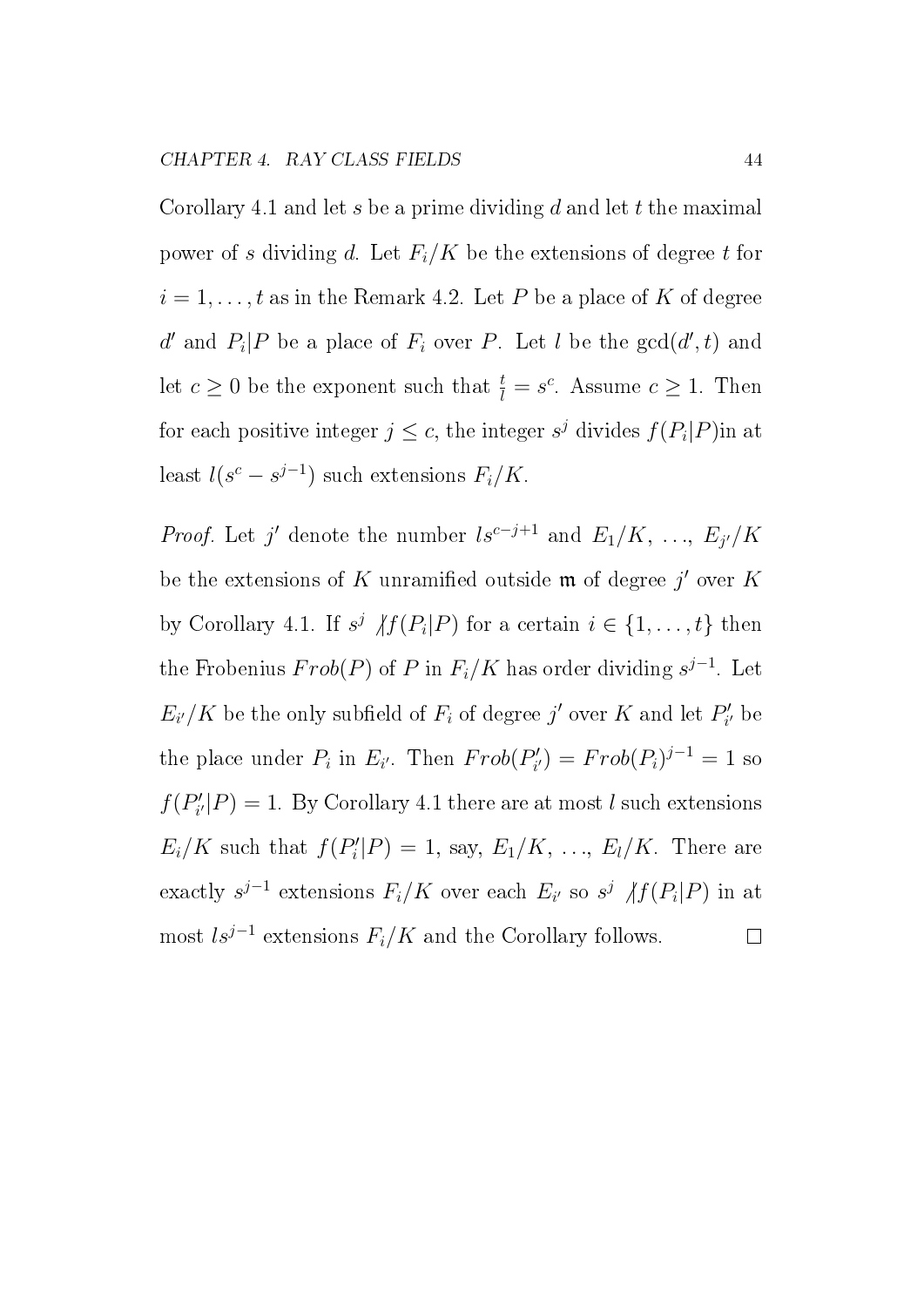Corollary 4.1 and let s be a prime dividing d and let t the maximal power of s dividing d. Let  $F_i/K$  be the extensions of degree t for  $i = 1, \ldots, t$  as in the Remark 4.2. Let P be a place of K of degree d' and  $P_i$ |P be a place of  $F_i$  over P. Let l be the  $gcd(d', t)$  and let  $c \geq 0$  be the exponent such that  $\frac{t}{l} = s^c$ . Assume  $c \geq 1$ . Then for each positive integer  $j \leq c$ , the integer  $s^j$  divides  $f(P_i|P)$ in at least  $l(s^c - s^{j-1})$  such extensions  $F_i/K$ .

*Proof.* Let j' denote the number  $ls^{c-j+1}$  and  $E_1/K, \ldots, E_{j'}/K$ be the extensions of  $K$  unramified outside  $\mathfrak m$  of degree  $j'$  over  $K$ by Corollary 4.1. If  $s^j$   $\langle f(P_i|P)$  for a certain  $i \in \{1, \ldots, t\}$  then the Frobenius  $Frob(P)$  of P in  $F_i/K$  has order dividing  $s^{j-1}$ . Let  $E_{i'}/K$  be the only subfield of  $F_i$  of degree j' over K and let  $P_i'$  $_{i^{\prime }}^{\prime }$  be the place under  $P_i$  in  $E_{i'}$ . Then  $Frob(P'_i)$  $P'_{i'}$ ) =  $Frob(P_i)^{j-1} = 1$  so  $f(P'_i)$  $\mathcal{C}'_{i'}|P) = 1$ . By Corollary 4.1 there are at most l such extensions  $E_i/K$  such that  $f(P'_i)$  $E'_i|P) = 1$ , say,  $E_1/K, \ldots, E_l/K$ . There are exactly  $s^{j-1}$  extensions  $F_i/K$  over each  $E_{i'}$  so  $s^j$   $\langle f(P_i|P)$  in at most  $ls^{j-1}$  extensions  $F_i/K$  and the Corollary follows.  $\Box$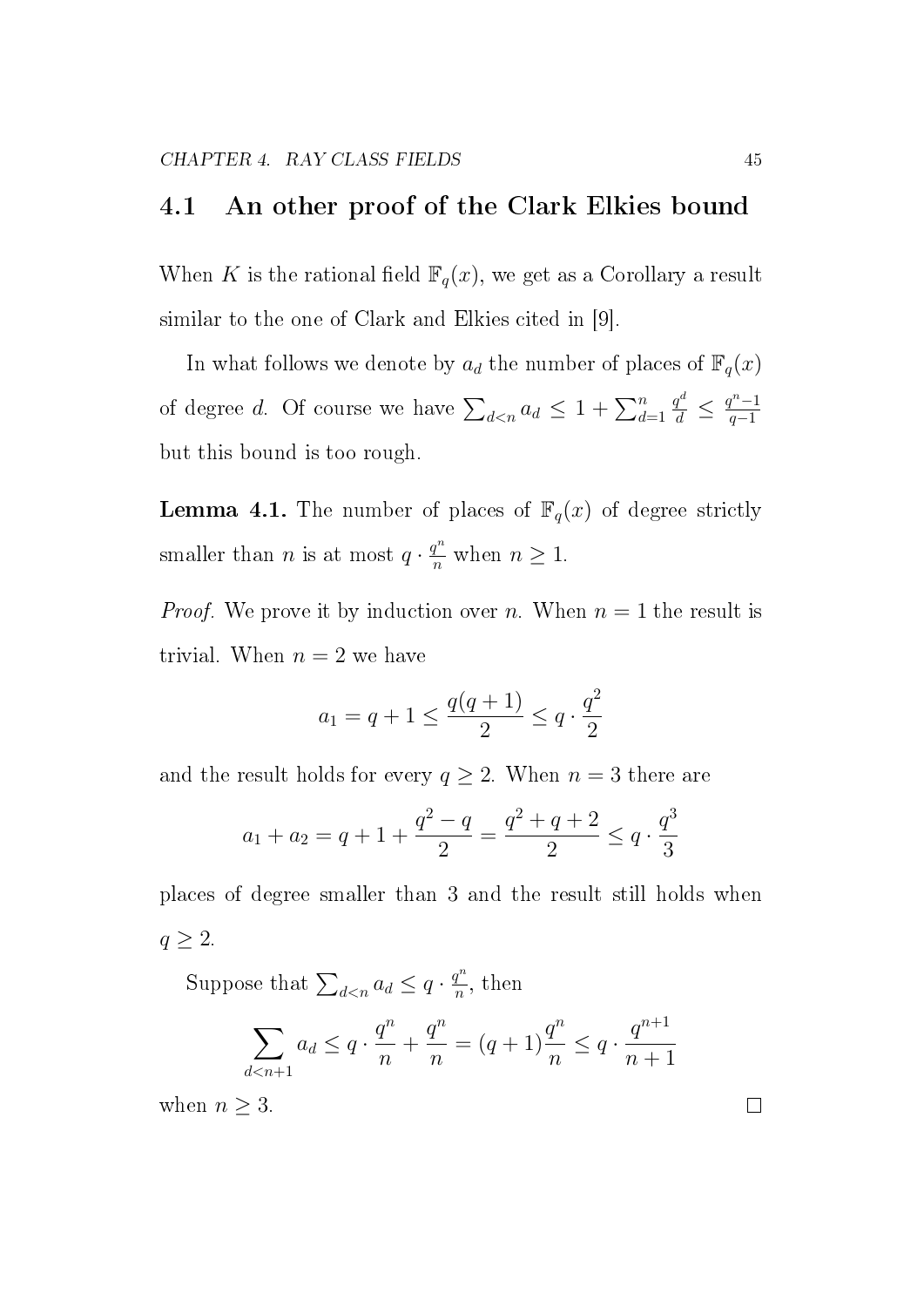#### 4.1 An other proof of the Clark Elkies bound

When K is the rational field  $\mathbb{F}_q(x)$ , we get as a Corollary a result similar to the one of Clark and Elkies cited in [9].

In what follows we denote by  $a_d$  the number of places of  $\mathbb{F}_q(x)$ of degree d. Of course we have  $\sum_{d \leq n} a_d \leq 1 + \sum_{d=1}^n a_d$  $\frac{q^d}{d} \leq \frac{q^n-1}{q-1}$  $q-1$ but this bound is too rough.

**Lemma 4.1.** The number of places of  $\mathbb{F}_q(x)$  of degree strictly smaller than *n* is at most  $q \cdot \frac{q^n}{n}$  $\frac{q^n}{n}$  when  $n \geq 1$ .

*Proof.* We prove it by induction over n. When  $n = 1$  the result is trivial. When  $n = 2$  we have

$$
a_1 = q + 1 \le \frac{q(q+1)}{2} \le q \cdot \frac{q^2}{2}
$$

and the result holds for every  $q \ge 2$ . When  $n = 3$  there are

$$
a_1 + a_2 = q + 1 + \frac{q^2 - q}{2} = \frac{q^2 + q + 2}{2} \le q \cdot \frac{q^3}{3}
$$

places of degree smaller than 3 and the result still holds when  $q\geq 2.$ 

Suppose that  $\sum_{d \leq n} a_d \leq q \cdot \frac{q^n}{n}$  $\frac{1}{n}$ , then

$$
\sum_{d \le n+1} a_d \le q \cdot \frac{q^n}{n} + \frac{q^n}{n} = (q+1)\frac{q^n}{n} \le q \cdot \frac{q^{n+1}}{n+1}
$$

when  $n \geq 3$ .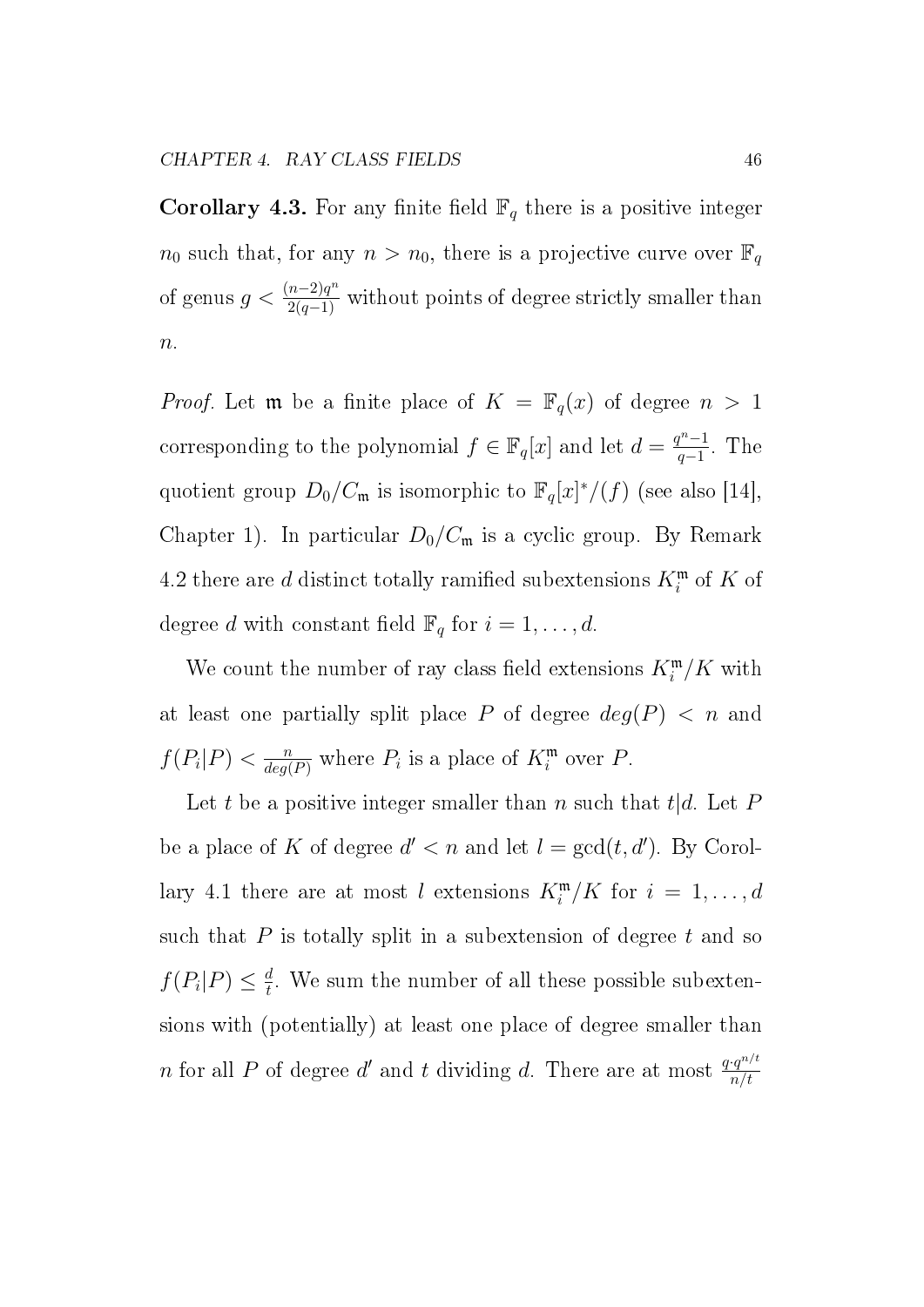**Corollary 4.3.** For any finite field  $\mathbb{F}_q$  there is a positive integer  $n_0$  such that, for any  $n > n_0$ , there is a projective curve over  $\mathbb{F}_q$ of genus  $g < \frac{(n-2)q^n}{2(q-1)}$  without points of degree strictly smaller than  $n$ .

*Proof.* Let **m** be a finite place of  $K = \mathbb{F}_q(x)$  of degree  $n > 1$ corresponding to the polynomial  $f \in \mathbb{F}_q[x]$  and let  $d = \frac{q^n - 1}{q - 1}$  $\frac{q^{n}-1}{q-1}$ . The quotient group  $D_0/C_{\mathfrak{m}}$  is isomorphic to  $\mathbb{F}_q[x]^*/(f)$  (see also [14], Chapter 1). In particular  $D_0/C_m$  is a cyclic group. By Remark 4.2 there are  $d$  distinct totally ramified subextensions  $K_i^{\mathfrak{m}}$  of  $K$  of degree d with constant field  $\mathbb{F}_q$  for  $i = 1, \ldots, d$ .

We count the number of ray class field extensions  $K_i^{\mathfrak{m}}/K$  with at least one partially split place P of degree  $deg(P) < n$  and  $f(P_i|P) < \frac{n}{deq}$  $\frac{n}{deg(P)}$  where  $P_i$  is a place of  $K_i^{\mathfrak{m}}$  over  $P$ .

Let t be a positive integer smaller than n such that  $t|d$ . Let P be a place of K of degree  $d' < n$  and let  $l = \gcd(t, d')$ . By Corollary 4.1 there are at most l extensions  $K_i^{\mathfrak{m}}/K$  for  $i = 1, \ldots, d$ such that  $P$  is totally split in a subextension of degree  $t$  and so  $f(P_i|P) \leq \frac{d}{t}$  $\frac{d}{t}$ . We sum the number of all these possible subextensions with (potentially) at least one place of degree smaller than n for all P of degree d' and t dividing d. There are at most  $\frac{q \cdot q^{n/t}}{n/t}$  $n/t$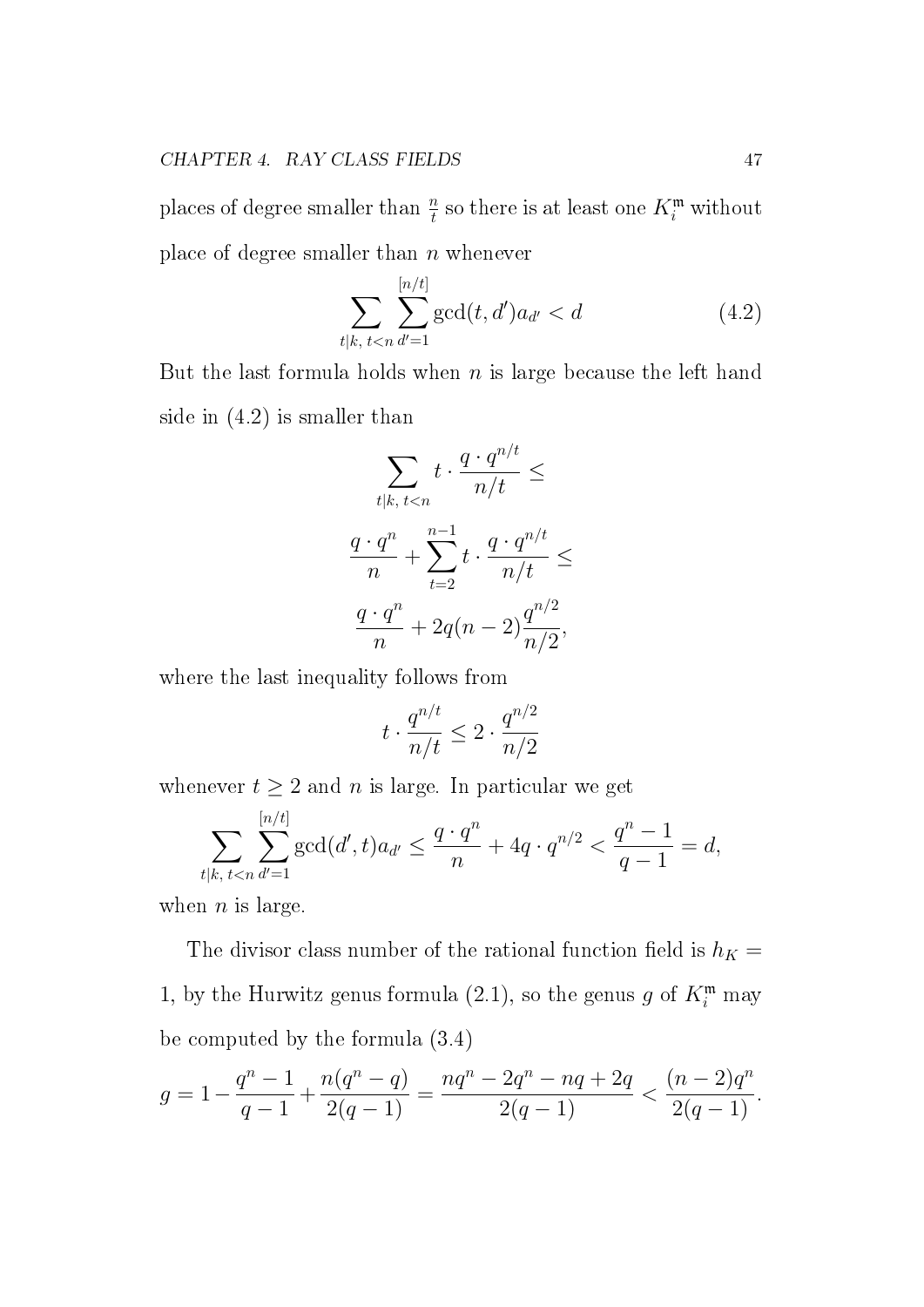places of degree smaller than  $\frac{n}{t}$  so there is at least one  $K^{\mathfrak{m}}_{i}$  without place of degree smaller than  $n$  whenever

$$
\sum_{t|k, t < n} \sum_{d'=1}^{[n/t]} \gcd(t, d') a_{d'} < d \tag{4.2}
$$

But the last formula holds when  $n$  is large because the left hand side in (4.2) is smaller than

$$
\sum_{t|k, t
$$
\frac{q \cdot q^n}{n} + \sum_{t=2}^{n-1} t \cdot \frac{q \cdot q^{n/t}}{n/t} \le
$$

$$
\frac{q \cdot q^n}{n} + 2q(n-2)\frac{q^{n/2}}{n/2},
$$
$$

where the last inequality follows from

$$
t\cdot \frac{q^{n/t}}{n/t}\leq 2\cdot \frac{q^{n/2}}{n/2}
$$

whenever  $t \geq 2$  and n is large. In particular we get

$$
\sum_{t|k, t < n} \sum_{d'=1}^{[n/t]} \gcd(d', t) a_{d'} \le \frac{q \cdot q^n}{n} + 4q \cdot q^{n/2} < \frac{q^n - 1}{q - 1} = d,
$$

when  $n$  is large.

The divisor class number of the rational function field is  $h_K =$ 1, by the Hurwitz genus formula (2.1), so the genus g of  $K_i^{\mathfrak{m}}$  may be computed by the formula (3.4)

$$
g = 1 - \frac{q^n - 1}{q - 1} + \frac{n(q^n - q)}{2(q - 1)} = \frac{nq^n - 2q^n - nq + 2q}{2(q - 1)} < \frac{(n - 2)q^n}{2(q - 1)}.
$$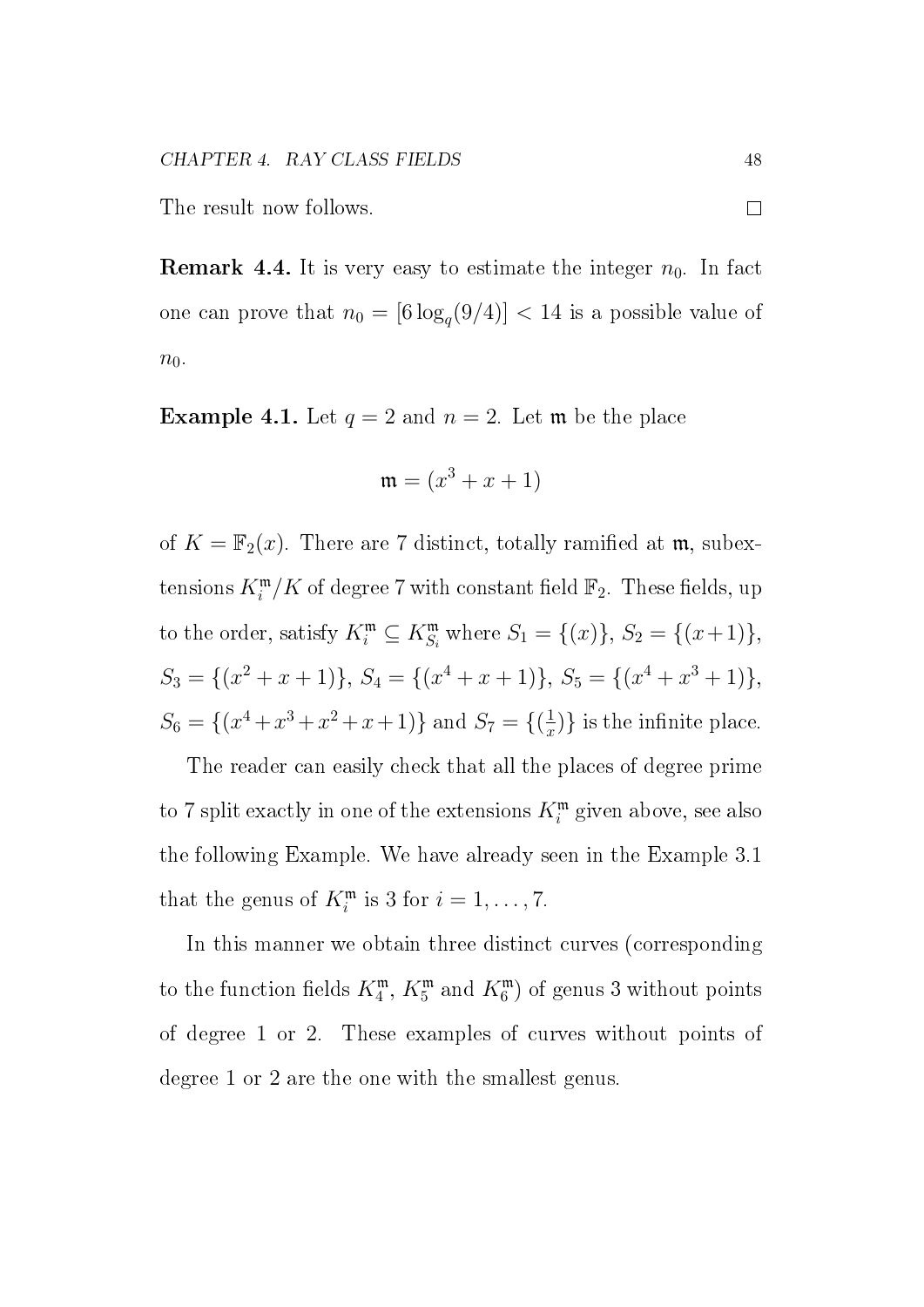The result now follows.

**Remark 4.4.** It is very easy to estimate the integer  $n_0$ . In fact one can prove that  $n_0 = [6\log_q(9/4)] < 14$  is a possible value of  $n_0$ .

**Example 4.1.** Let  $q = 2$  and  $n = 2$ . Let **m** be the place

$$
\mathfrak{m} = (x^3 + x + 1)
$$

of  $K = \mathbb{F}_2(x)$ . There are 7 distinct, totally ramified at m, subextensions  $K_i^{\mathfrak{m}}/K$  of degree 7 with constant field  $\mathbb{F}_2$ . These fields, up to the order, satisfy  $K_i^{\mathfrak{m}} \subseteq K_{S_i}^{\mathfrak{m}}$  where  $S_1 = \{(x)\}\$ ,  $S_2 = \{(x+1)\}\$ ,  $S_3 = \{(x^2 + x + 1)\}, S_4 = \{(x^4 + x + 1)\}, S_5 = \{(x^4 + x^3 + 1)\},$  $S_6 = \{(x^4 + x^3 + x^2 + x + 1)\}\$ and  $S_7 = \{(\frac{1}{x})\}$  $(\frac{1}{x})\}$  is the infinite place.

The reader can easily check that all the places of degree prime to 7 split exactly in one of the extensions  $K_i^{\mathfrak{m}}$  given above, see also the following Example. We have already seen in the Example 3.1 that the genus of  $K_i^{\mathfrak{m}}$  is 3 for  $i = 1, \ldots, 7$ .

In this manner we obtain three distinct curves (corresponding to the function fields  $K_4^{\mathfrak{m}}, K_5^{\mathfrak{m}}$  and  $K_6^{\mathfrak{m}}$ ) of genus 3 without points of degree 1 or 2. These examples of curves without points of degree 1 or 2 are the one with the smallest genus.

 $\Box$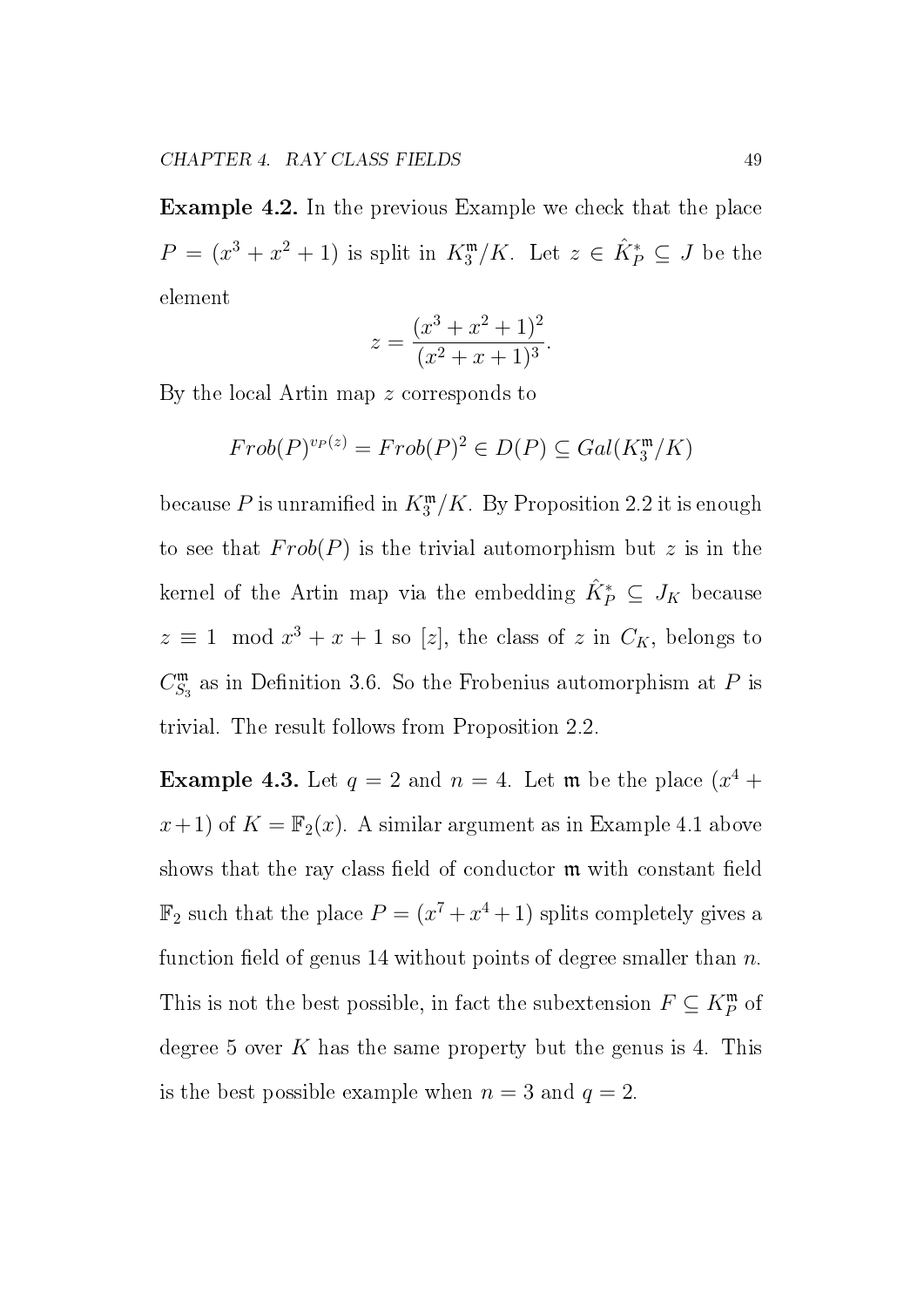Example 4.2. In the previous Example we check that the place  $P = (x^3 + x^2 + 1)$  is split in  $K_3^{\mathfrak{m}}/K$ . Let  $z \in \hat{K}_P^* \subseteq J$  be the element

$$
z = \frac{(x^3 + x^2 + 1)^2}{(x^2 + x + 1)^3}.
$$

By the local Artin map z corresponds to

$$
Frob(P)^{v_P(z)} = Frob(P)^2 \in D(P) \subseteq Gal(K_3^m/K)
$$

because  $P$  is unramified in  $K_3^{\mathfrak{m}}/K$ . By Proposition 2.2 it is enough to see that  $Frob(P)$  is the trivial automorphism but z is in the kernel of the Artin map via the embedding  $\hat{K}_P^* \subseteq J_K$  because  $z \equiv 1 \mod x^3 + x + 1$  so [z], the class of z in  $C_K$ , belongs to  $C_S^{\mathfrak{m}}$  $S_3^{\mathfrak{m}}$  as in Definition 3.6. So the Frobenius automorphism at P is trivial. The result follows from Proposition 2.2.

**Example 4.3.** Let  $q = 2$  and  $n = 4$ . Let **m** be the place  $(x^4 +$  $x+1$ ) of  $K = \mathbb{F}_2(x)$ . A similar argument as in Example 4.1 above shows that the ray class field of conductor  $\mathfrak m$  with constant field  $\mathbb{F}_2$  such that the place  $P = (x^7 + x^4 + 1)$  splits completely gives a function field of genus 14 without points of degree smaller than  $n$ . This is not the best possible, in fact the subextension  $F \subseteq K_P^{\mathfrak{m}}$  of degree 5 over K has the same property but the genus is 4. This is the best possible example when  $n = 3$  and  $q = 2$ .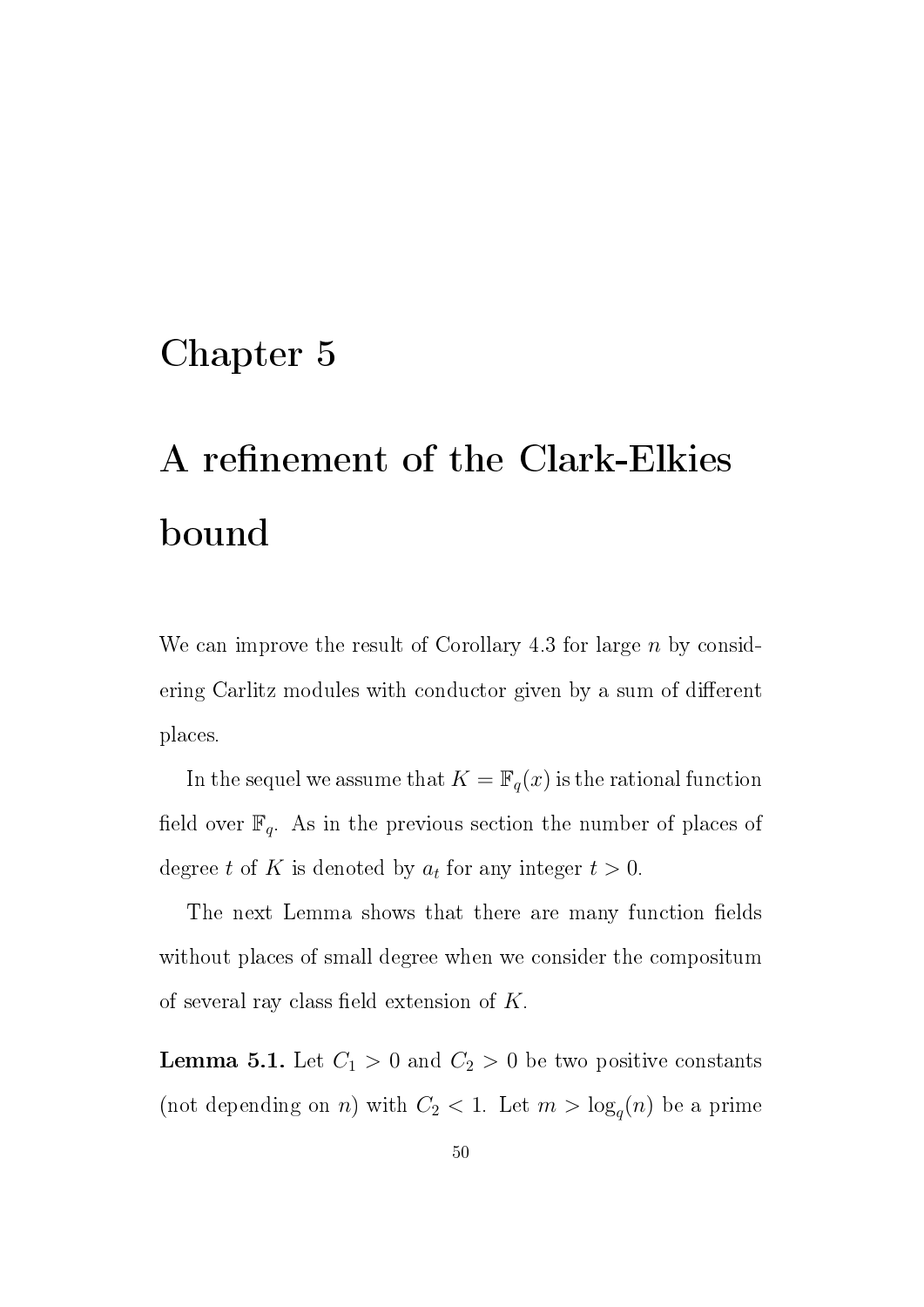### Chapter 5

## A refinement of the Clark-Elkies bound

We can improve the result of Corollary 4.3 for large n by considering Carlitz modules with conductor given by a sum of different places.

In the sequel we assume that  $K = \mathbb{F}_q(x)$  is the rational function field over  $\mathbb{F}_q$ . As in the previous section the number of places of degree t of K is denoted by  $a_t$  for any integer  $t > 0$ .

The next Lemma shows that there are many function fields without places of small degree when we consider the compositum of several ray class field extension of  $K$ .

**Lemma 5.1.** Let  $C_1 > 0$  and  $C_2 > 0$  be two positive constants (not depending on *n*) with  $C_2 < 1$ . Let  $m > \log_q(n)$  be a prime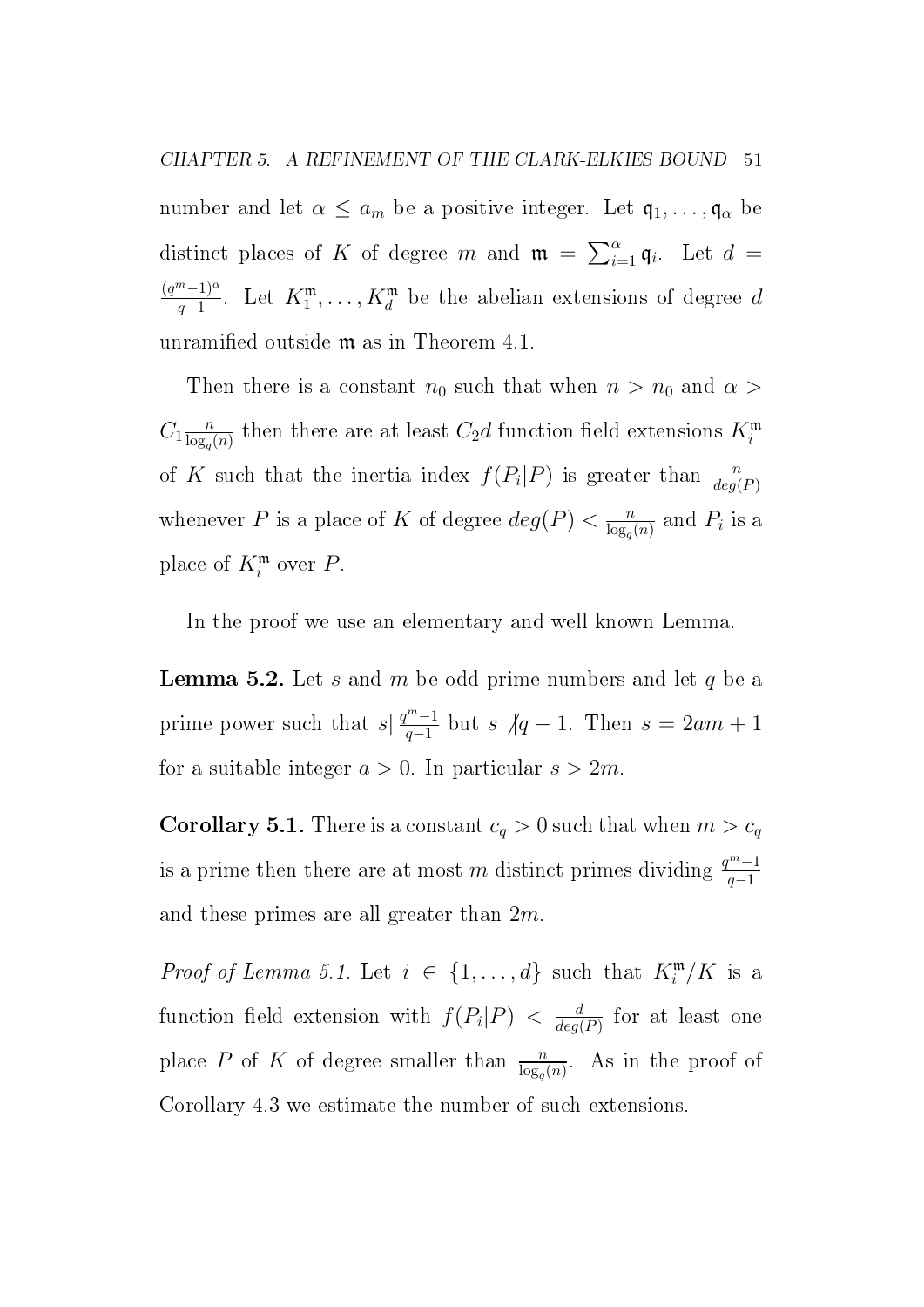CHAPTER 5. A REFINEMENT OF THE CLARK-ELKIES BOUND 51

number and let  $\alpha \leq a_m$  be a positive integer. Let  $\mathfrak{q}_1, \ldots, \mathfrak{q}_\alpha$  be distinct places of K of degree m and  $\mathfrak{m} = \sum_{i=1}^{\alpha} \mathfrak{q}_i$ . Let  $d =$  $(q^m-1)^{\alpha}$  $\frac{n-1}{q-1}$ . Let  $K_1^{\mathfrak{m}}, \ldots, K_d^{\mathfrak{m}}$  be the abelian extensions of degree d unramified outside  $m$  as in Theorem 4.1.

Then there is a constant  $n_0$  such that when  $n > n_0$  and  $\alpha >$  $C_1 \frac{n}{\log n}$  $\frac{n}{\log_q(n)}$  then there are at least  $C_2d$  function field extensions  $K_i^{\mathfrak{m}}$ of K such that the inertia index  $f(P_i|P)$  is greater than  $\frac{n}{deg(P)}$ whenever P is a place of K of degree  $deg(P) < \frac{n}{\log P}$  $\frac{n}{\log_q(n)}$  and  $P_i$  is a place of  $K_i^{\mathfrak{m}}$  over P.

In the proof we use an elementary and well known Lemma.

**Lemma 5.2.** Let s and m be odd prime numbers and let q be a prime power such that  $s\left|\frac{q^m-1}{q-1}\right|$  $\frac{m-1}{q-1}$  but s  $\sqrt{q-1}$ . Then  $s = 2am + 1$ for a suitable integer  $a > 0$ . In particular  $s > 2m$ .

**Corollary 5.1.** There is a constant  $c_q > 0$  such that when  $m > c_q$ is a prime then there are at most m distinct primes dividing  $\frac{q^m-1}{q-1}$  $q-1$ and these primes are all greater than 2m.

*Proof of Lemma 5.1.* Let  $i \in \{1, ..., d\}$  such that  $K_i^m/K$  is a function field extension with  $f(P_i|P) < \frac{d}{deq}$  $\frac{d}{deg(P)}$  for at least one place P of K of degree smaller than  $\frac{n}{\log_q(n)}$ . As in the proof of Corollary 4.3 we estimate the number of such extensions.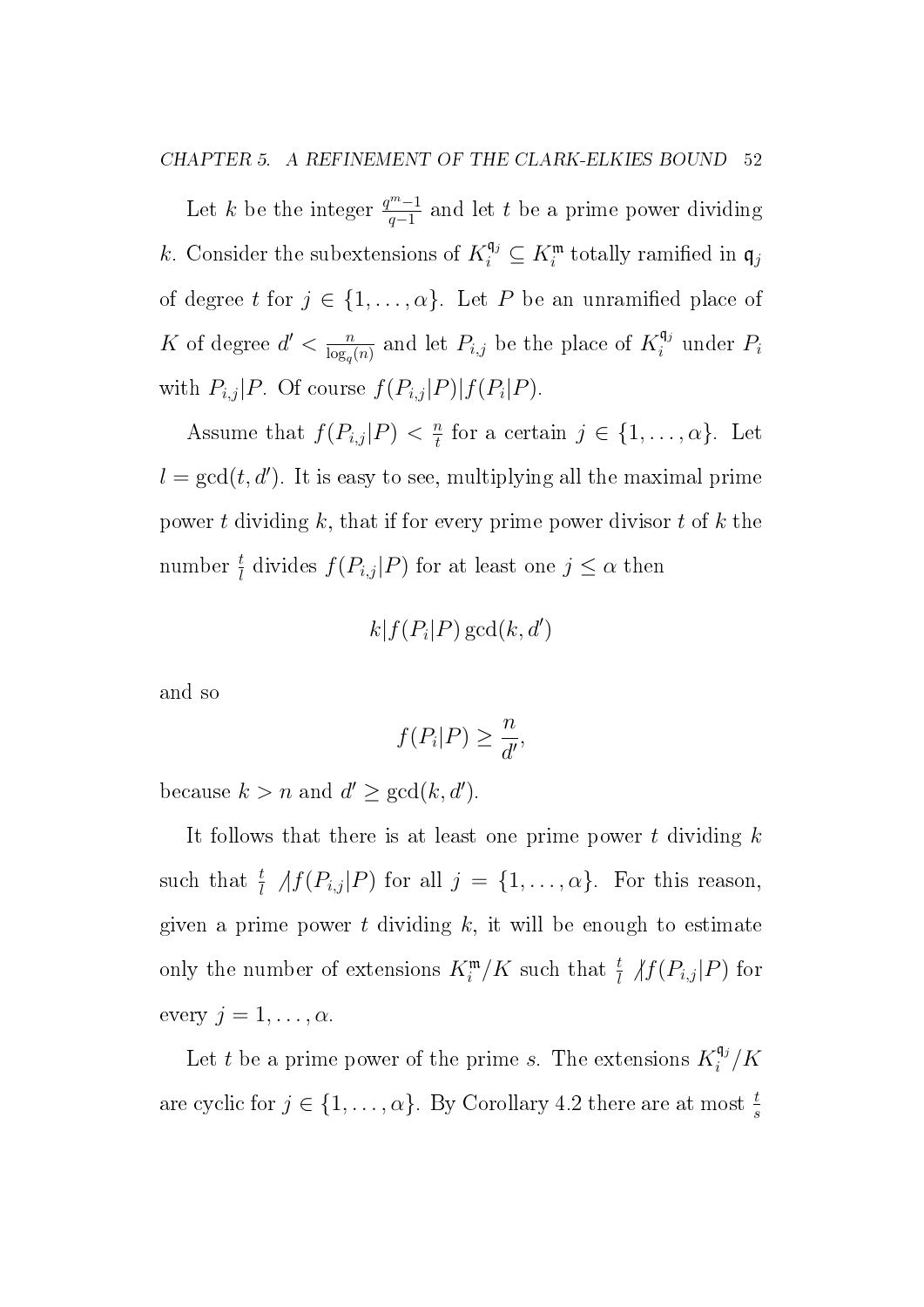CHAPTER 5. A REFINEMENT OF THE CLARK-ELKIES BOUND 52

Let k be the integer  $\frac{q^m-1}{q-1}$  $\frac{m-1}{q-1}$  and let t be a prime power dividing k. Consider the subextensions of  $K_i^{\mathfrak{q}_j} \subseteq K_i^{\mathfrak{m}}$  totally ramified in  $\mathfrak{q}_j$ of degree t for  $j \in \{1, ..., \alpha\}$ . Let P be an unramified place of K of degree  $d' < \frac{n}{\log n}$  $\frac{n}{\log_q(n)}$  and let  $P_{i,j}$  be the place of  $K_i^{\mathfrak{q}_j}$  $i^{q_j}$  under  $P_i$ with  $P_{i,j}|P$ . Of course  $f(P_{i,j}|P)|f(P_i|P)$ .

Assume that  $f(P_{i,j}|P) < \frac{n}{t}$  $\frac{n}{t}$  for a certain  $j \in \{1, \ldots, \alpha\}$ . Let  $l = \gcd(t, d')$ . It is easy to see, multiplying all the maximal prime power t dividing k, that if for every prime power divisor t of k the number  $\frac{t}{l}$  divides  $f(P_{i,j}|P)$  for at least one  $j \leq \alpha$  then

$$
k|f(P_i|P)\gcd(k,d')
$$

and so

$$
f(P_i|P) \ge \frac{n}{d'},
$$

because  $k > n$  and  $d' \ge \gcd(k, d')$ .

It follows that there is at least one prime power  $t$  dividing  $k$ such that  $\frac{t}{l}$   $\langle f(P_{i,j} | P) \rangle$  for all  $j = \{1, \ldots, \alpha\}$ . For this reason, given a prime power  $t$  dividing  $k$ , it will be enough to estimate only the number of extensions  $K_i^{\mathfrak{m}}/K$  such that  $\frac{t}{l}$   $\langle f(P_{i,j} | P)$  for every  $j = 1, \ldots, \alpha$ .

Let t be a prime power of the prime s. The extensions  $K_i^{\mathfrak{q}_j}$  $\int_i^{\mathsf{q}_j}/K$ are cyclic for  $j \in \{1, \ldots, \alpha\}$ . By Corollary 4.2 there are at most  $\frac{t}{s}$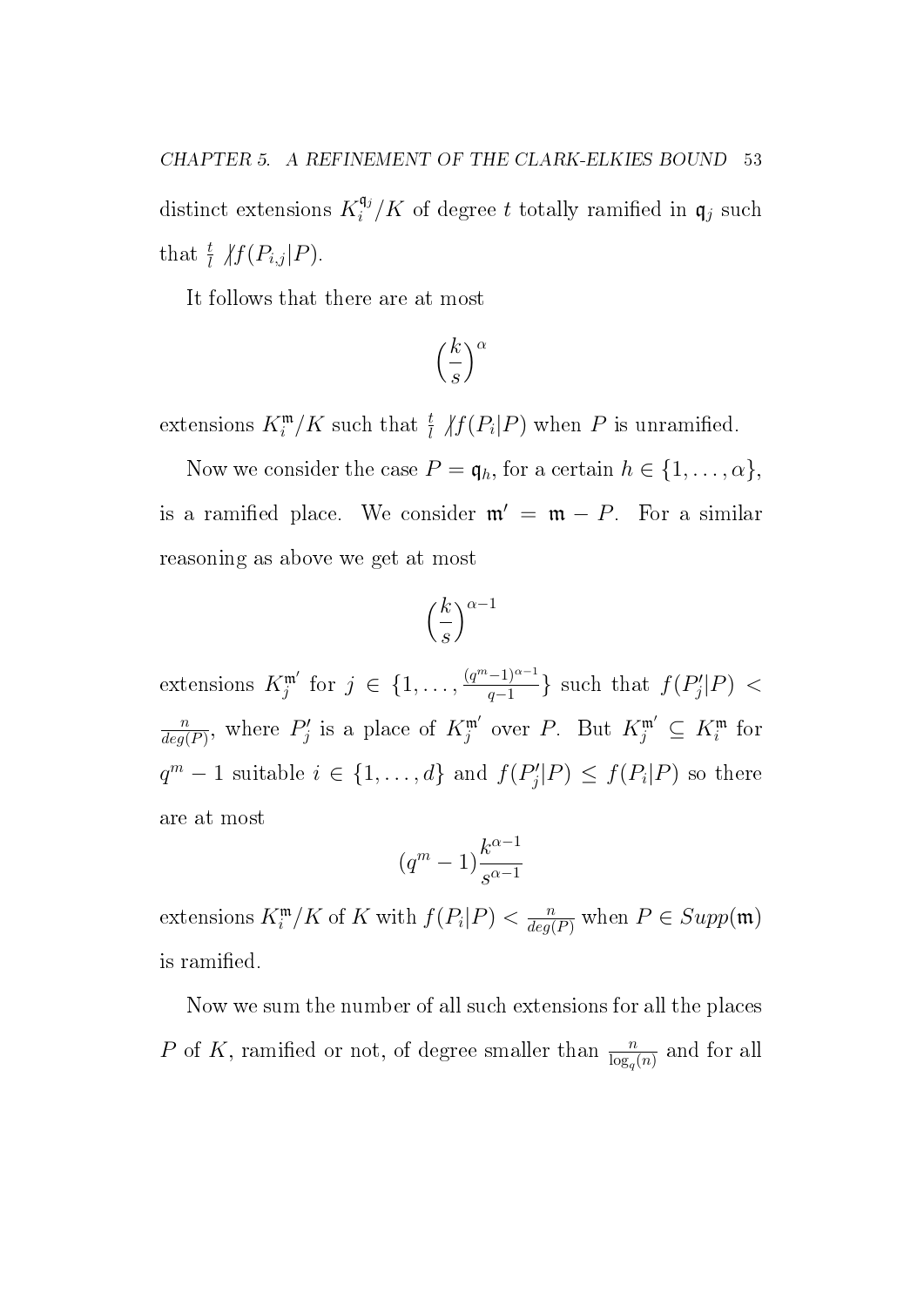distinct extensions  $K_i^{\mathfrak{q}_j}$  $\mathfrak{q}_i^{\mathfrak{q}_j}/K$  of degree t totally ramified in  $\mathfrak{q}_j$  such that  $\frac{t}{l}$   $\mathcal{H}(P_{i,j}|P)$ .

It follows that there are at most

$$
\left(\frac{k}{s}\right)^{\alpha}
$$

extensions  $K_i^{\mathfrak{m}}/K$  such that  $\frac{t}{l}$   $\mathcal{H}(P_i|P)$  when P is unramified.

Now we consider the case  $P = \mathfrak{q}_h$ , for a certain  $h \in \{1, \ldots, \alpha\}$ , is a ramified place. We consider  $\mathfrak{m}' = \mathfrak{m} - P$ . For a similar reasoning as above we get at most

$$
\left(\frac{k}{s}\right)^{\alpha-1}
$$

extensions  $K_j^{\mathfrak{m}'}$  for  $j \in \{1, \ldots, \frac{(q^m-1)^{\alpha-1}}{q-1} \}$  $\frac{(-1)^{\alpha-1}}{q-1}$ } such that  $f(P'_j)$  $\mathcal{C}'_j|P) <$  $\overline{n}$  $\frac{n}{deg(P)}$ , where  $P'_j$ '' is a place of  $K_j^{\mathfrak{m}'}$  over P. But  $K_j^{\mathfrak{m}'} \subseteq K_i^{\mathfrak{m}}$  for  $q^m-1$  suitable  $i \in \{1, \ldots, d\}$  and  $f(P'_i)$  $f(|P) \leq f(P_i|P)$  so there are at most

$$
(q^m-1)\frac{k^{\alpha-1}}{s^{\alpha-1}}
$$

extensions  $K_i^{\mathfrak{m}}/K$  of K with  $f(P_i|P) < \frac{n}{deq}$  $\frac{n}{deg(P)}$  when  $P \in Supp(\mathfrak{m})$ is ramified.

Now we sum the number of all such extensions for all the places P of K, ramified or not, of degree smaller than  $\frac{n}{\log_q(n)}$  and for all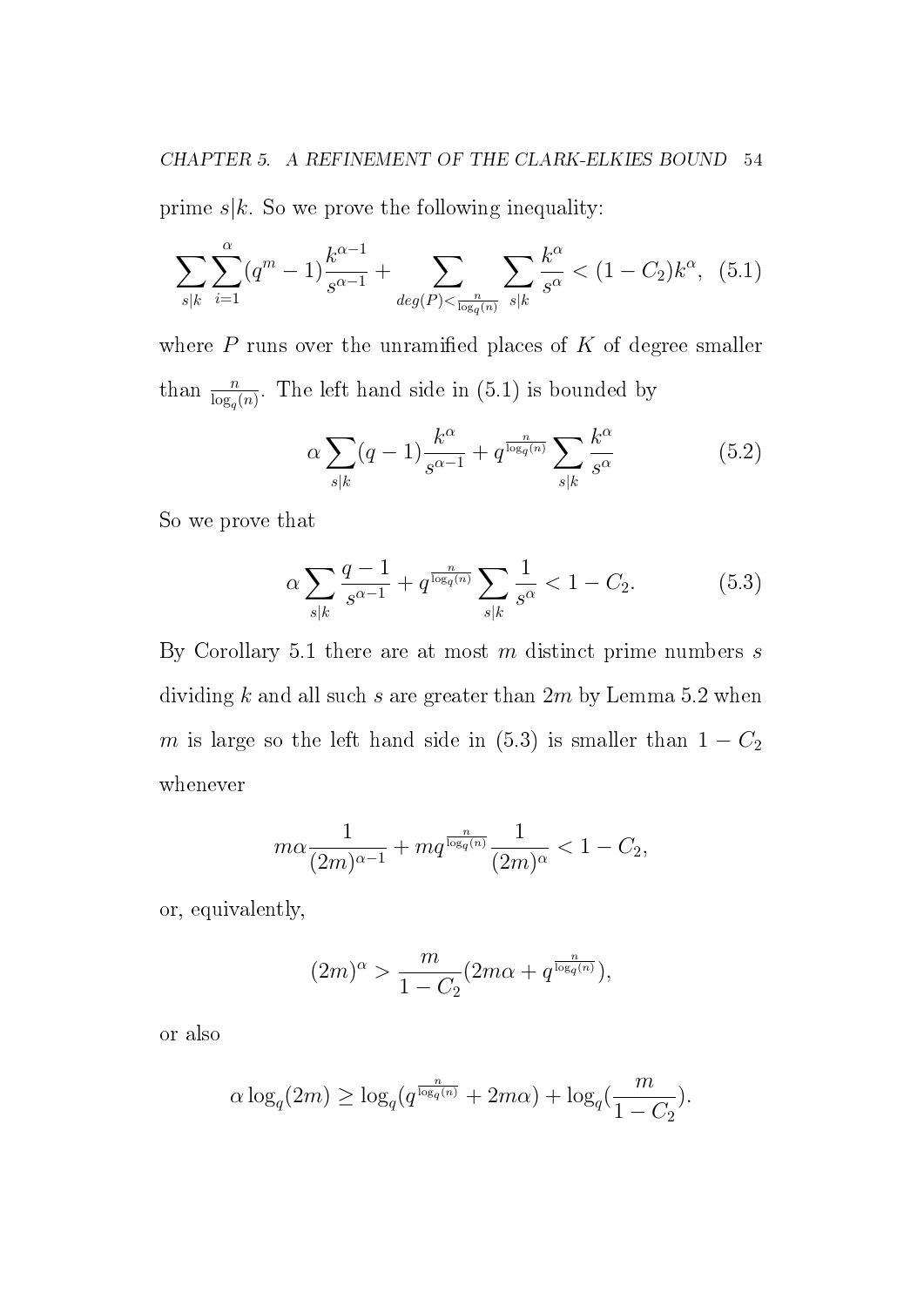prime  $s|k$ . So we prove the following inequality:

$$
\sum_{s|k} \sum_{i=1}^{\alpha} (q^m - 1) \frac{k^{\alpha - 1}}{s^{\alpha - 1}} + \sum_{deg(P) < \frac{n}{\log_q(n)}} \sum_{s|k} \frac{k^{\alpha}}{s^{\alpha}} < (1 - C_2)k^{\alpha}, \tag{5.1}
$$

where  $P$  runs over the unramified places of  $K$  of degree smaller than  $\frac{n}{\log_q(n)}$ . The left hand side in (5.1) is bounded by

$$
\alpha \sum_{s|k} (q-1) \frac{k^{\alpha}}{s^{\alpha-1}} + q^{\frac{n}{\log_q(n)}} \sum_{s|k} \frac{k^{\alpha}}{s^{\alpha}} \tag{5.2}
$$

So we prove that

$$
\alpha \sum_{s|k} \frac{q-1}{s^{\alpha-1}} + q^{\frac{n}{\log_q(n)}} \sum_{s|k} \frac{1}{s^{\alpha}} < 1 - C_2. \tag{5.3}
$$

By Corollary 5.1 there are at most  $m$  distinct prime numbers  $s$ dividing k and all such s are greater than  $2m$  by Lemma 5.2 when m is large so the left hand side in (5.3) is smaller than  $1 - C_2$ whenever

$$
m\alpha \frac{1}{(2m)^{\alpha-1}} + mq^{\frac{n}{\log_q(n)}} \frac{1}{(2m)^{\alpha}} < 1 - C_2,
$$

or, equivalently,

$$
(2m)^{\alpha} > \frac{m}{1 - C_2} (2m\alpha + q^{\frac{n}{\log_q(n)}}),
$$

or also

$$
\alpha \log_q(2m) \ge \log_q(q^{\frac{n}{\log_q(n)}} + 2m\alpha) + \log_q(\frac{m}{1 - C_2}).
$$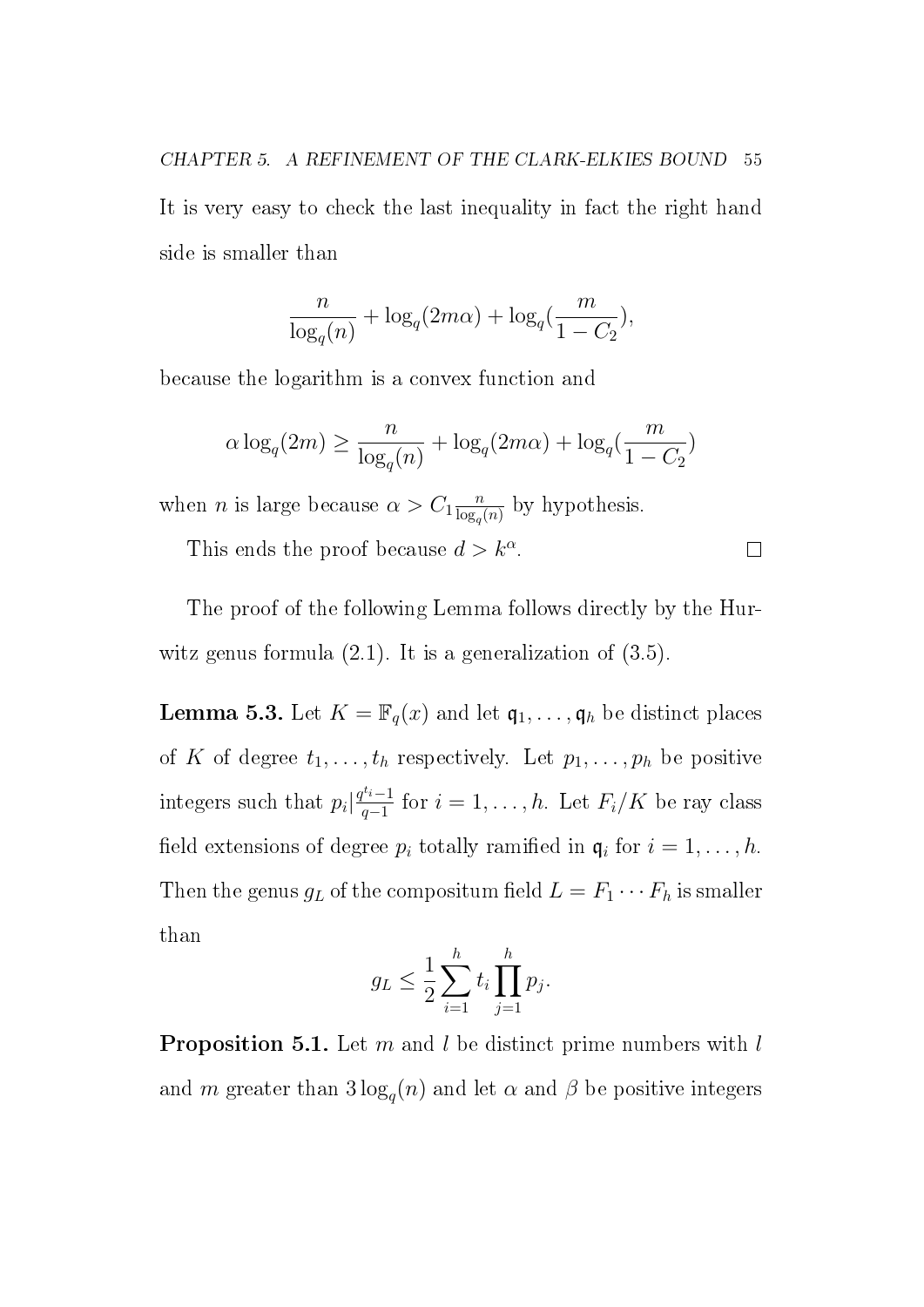CHAPTER 5. A REFINEMENT OF THE CLARK-ELKIES BOUND 55 It is very easy to check the last inequality in fact the right hand side is smaller than

$$
\frac{n}{\log_q(n)} + \log_q(2m\alpha) + \log_q(\frac{m}{1 - C_2}),
$$

because the logarithm is a convex function and

$$
\alpha \log_q(2m) \ge \frac{n}{\log_q(n)} + \log_q(2m\alpha) + \log_q(\frac{m}{1 - C_2})
$$

when *n* is large because  $\alpha > C_1 \frac{n}{\log n}$  $\frac{n}{\log_q(n)}$  by hypothesis.

This ends the proof because  $d > k^{\alpha}$ .  $\Box$ 

The proof of the following Lemma follows directly by the Hurwitz genus formula  $(2.1)$ . It is a generalization of  $(3.5)$ .

**Lemma 5.3.** Let  $K = \mathbb{F}_q(x)$  and let  $\mathfrak{q}_1, \ldots, \mathfrak{q}_h$  be distinct places of K of degree  $t_1, \ldots, t_h$  respectively. Let  $p_1, \ldots, p_h$  be positive integers such that  $p_i \left| \frac{q^{t_i}-1}{q-1} \right|$  $\frac{f^{n-1}}{q-1}$  for  $i=1,\ldots,h$ . Let  $F_i/K$  be ray class field extensions of degree  $p_i$  totally ramified in  $\mathfrak{q}_i$  for  $i = 1, \ldots, h$ . Then the genus  $g_L$  of the compositum field  $L = F_1 \cdots F_h$  is smaller than

$$
g_L \leq \frac{1}{2} \sum_{i=1}^h t_i \prod_{j=1}^h p_j.
$$

**Proposition 5.1.** Let m and l be distinct prime numbers with  $l$ and m greater than  $3\log_q(n)$  and let  $\alpha$  and  $\beta$  be positive integers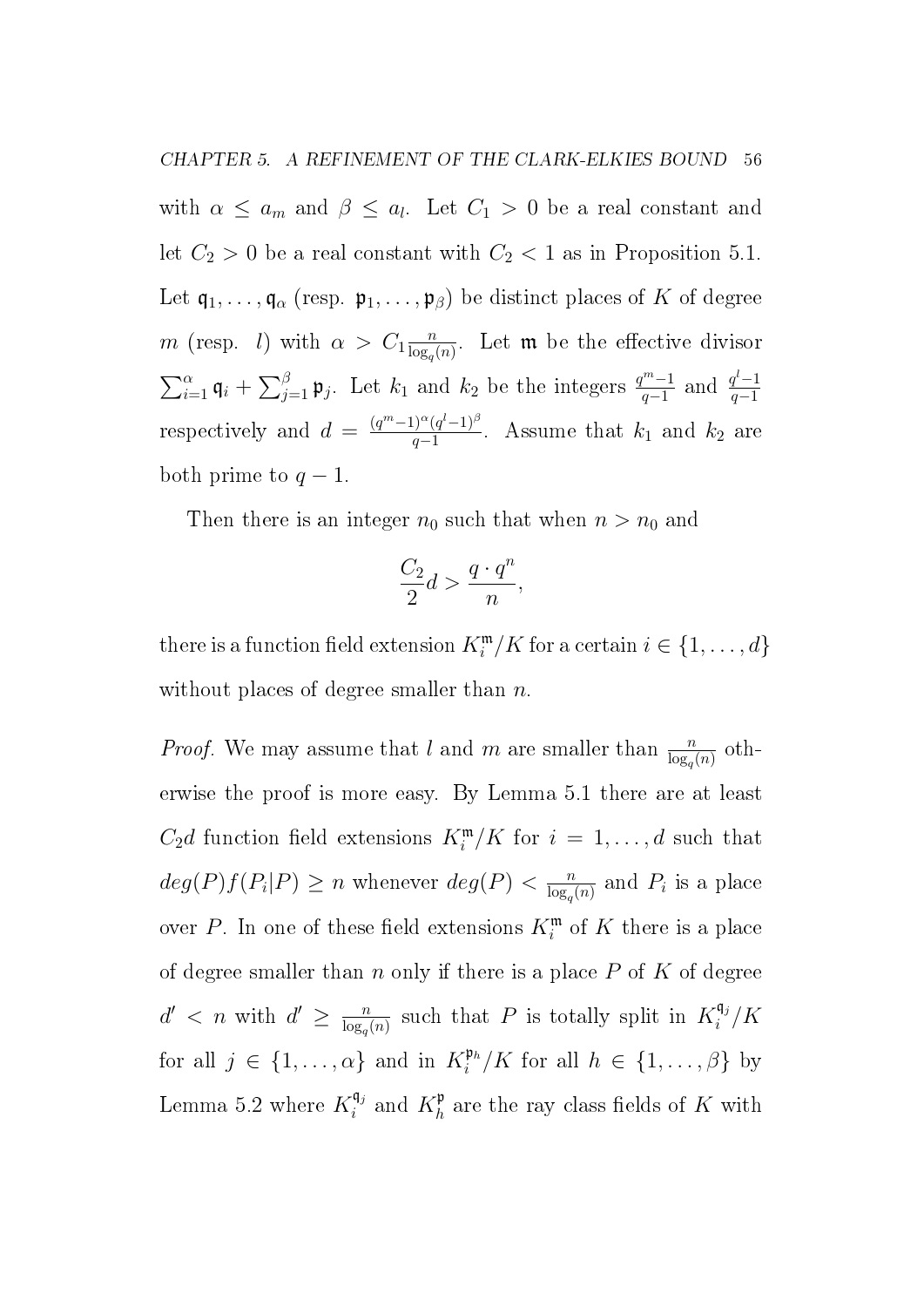with  $\alpha \leq a_m$  and  $\beta \leq a_l$ . Let  $C_1 > 0$  be a real constant and let  $C_2 > 0$  be a real constant with  $C_2 < 1$  as in Proposition 5.1. Let  $\mathfrak{q}_1, \ldots, \mathfrak{q}_\alpha$  (resp.  $\mathfrak{p}_1, \ldots, \mathfrak{p}_\beta$ ) be distinct places of K of degree m (resp. *l*) with  $\alpha > C_1 \frac{n}{\log n}$  $\frac{n}{\log_q(n)}$ . Let **m** be the effective divisor  $\sum_{i=1}^{\alpha} \mathfrak{q}_i + \sum_{j=1}^{\beta} \mathfrak{p}_j$ . Let  $k_1$  and  $k_2$  be the integers  $\frac{q^{m}-1}{q-1}$  $\frac{q^{m}-1}{q-1}$  and  $\frac{q^{l}-1}{q-1}$  $q-1$ respectively and  $d = \frac{(q^m-1)^{\alpha}(q^l-1)^{\beta}}{q-1}$  $\frac{q-1)^{\alpha}(q^{\alpha}-1)^{\beta}}{q-1}$ . Assume that  $k_1$  and  $k_2$  are both prime to  $q-1$ .

Then there is an integer  $n_0$  such that when  $n > n_0$  and

$$
\frac{C_2}{2}d > \frac{q \cdot q^n}{n},
$$

there is a function field extension  $K_i^{\mathfrak{m}}/K$  for a certain  $i \in \{1, \ldots, d\}$ without places of degree smaller than  $n$ .

*Proof.* We may assume that l and m are smaller than  $\frac{n}{\log_q(n)}$  otherwise the proof is more easy. By Lemma 5.1 there are at least  $C_2d$  function field extensions  $K_i^{\mathfrak{m}}/K$  for  $i = 1, \ldots, d$  such that  $deg(P)f(P_i|P) \geq n$  whenever  $deg(P) < \frac{n}{\log n}$  $\frac{n}{\log_q(n)}$  and  $P_i$  is a place over P. In one of these field extensions  $K_i^{\mathfrak{m}}$  of K there is a place of degree smaller than n only if there is a place  $P$  of  $K$  of degree  $d' < n$  with  $d' \geq \frac{n}{\log n}$  $\frac{n}{\log_q(n)}$  such that P is totally split in  $K_i^{\mathfrak{q}_j}$  $\int_i^{\mathsf{q}_j}/K$ for all  $j \in \{1, \ldots, \alpha\}$  and in  $K_i^{\mathfrak{p}_h}$  $\mathfrak{p}_i^{\mathfrak{p}_h}/K$  for all  $h \in \{1, \ldots, \beta\}$  by Lemma 5.2 where  $K_i^{\mathfrak{q}_j}$  $i^{q_j}$  and  $K_h^{\mathfrak{p}}$  $h h$  are the ray class fields of K with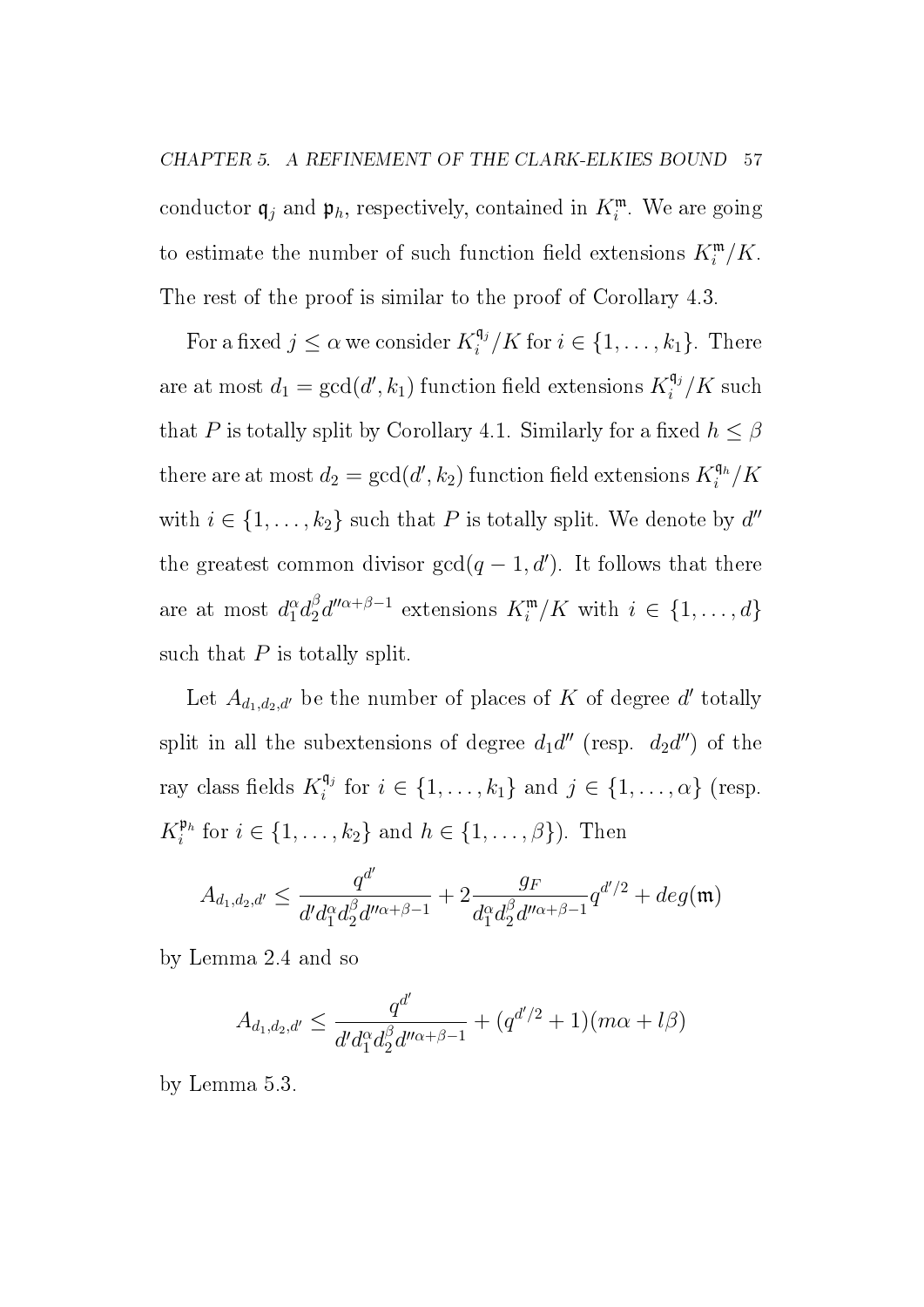CHAPTER 5. A REFINEMENT OF THE CLARK-ELKIES BOUND 57 conductor  $\mathfrak{q}_j$  and  $\mathfrak{p}_h$ , respectively, contained in  $K_i^{\mathfrak{m}}$ . We are going to estimate the number of such function field extensions  $K_i^{\mathfrak{m}}/K$ . The rest of the proof is similar to the proof of Corollary 4.3.

For a fixed  $j \leq \alpha$  we consider  $K_i^{\mathfrak{q}_j}$  $\binom{\mathfrak{q}_j}{i}$  K for  $i \in \{1, \ldots, k_1\}$ . There are at most  $d_1 = \gcd(d', k_1)$  function field extensions  $K_i^{\mathfrak{q}_j}$  $\int_i^{\mathsf{q}_j} / K$  such that P is totally split by Corollary 4.1. Similarly for a fixed  $h \leq \beta$ there are at most  $d_2 = \gcd(d', k_2)$  function field extensions  $K_i^{\mathfrak{q}_h}$  $\int_i^{\mathfrak{q}_h}/K$ with  $i \in \{1, \ldots, k_2\}$  such that P is totally split. We denote by  $d''$ the greatest common divisor  $gcd(q-1, d')$ . It follows that there are at most  $d^\alpha_1 d^\beta_2$  $a_2^{\beta} d^{\prime\prime \alpha + \beta - 1}$  extensions  $K_i^{\mathfrak{m}}/K$  with  $i \in \{1, ..., d\}$ such that  $P$  is totally split.

Let  $A_{d_1,d_2,d'}$  be the number of places of K of degree d' totally split in all the subextensions of degree  $d_1 d''$  (resp.  $d_2 d'$ ) of the ray class fields  $K_i^{\mathfrak{q}_j}$  $i_i^{\mathfrak{q}_j}$  for  $i \in \{1, \ldots, k_1\}$  and  $j \in \{1, \ldots, \alpha\}$  (resp.  $K_i^{\mathfrak{p}_h}$  $\mathbb{P}^h_i$  for  $i \in \{1, \ldots, k_2\}$  and  $h \in \{1, \ldots, \beta\}$ ). Then

$$
A_{d_1,d_2,d'} \leq \frac{q^{d'}}{d'd_1^{\alpha}d_2^{\beta}d''^{\alpha+\beta-1}} + 2\frac{g_F}{d_1^{\alpha}d_2^{\beta}d''^{\alpha+\beta-1}}q^{d'/2} + deg(\mathfrak{m})
$$

by Lemma 2.4 and so

$$
A_{d_1,d_2,d'} \le \frac{q^{d'}}{d'd_1^{\alpha}d_2^{\beta}d''^{\alpha+\beta-1}} + (q^{d'/2}+1)(m\alpha+l\beta)
$$

by Lemma 5.3.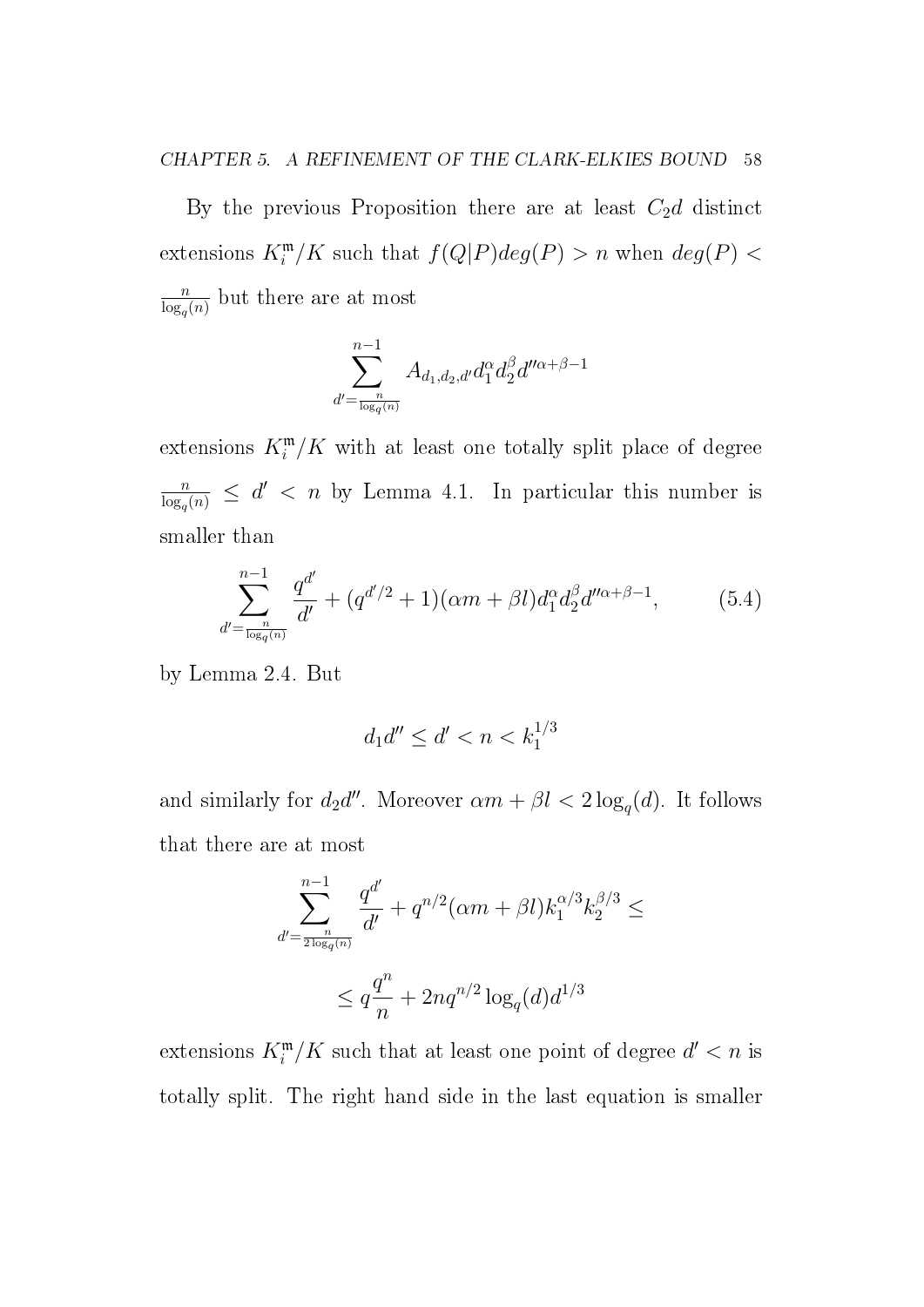By the previous Proposition there are at least  $C_2d$  distinct extensions  $K_i^{\mathfrak{m}}/K$  such that  $f(Q|P)deg(P) > n$  when  $deg(P) <$ n  $\frac{n}{\log_q(n)}$  but there are at most

$$
\sum_{d'=\frac{n}{\log_q(n)}}^{n-1}A_{d_1,d_2,d'}d_1^\alpha d_2^\beta d''^{\alpha+\beta-1}
$$

extensions  $K_i^{\mathfrak{m}}/K$  with at least one totally split place of degree n  $\frac{n}{\log_q(n)} \leq d' < n$  by Lemma 4.1. In particular this number is smaller than

$$
\sum_{d'=\frac{n}{\log_q(n)}}^{n-1} \frac{q^{d'}}{d'} + (q^{d'/2} + 1)(\alpha m + \beta l)d_1^{\alpha}d_2^{\beta}d''^{\alpha+\beta-1},\tag{5.4}
$$

by Lemma 2.4. But

$$
d_1d'' \le d' < n < k_1^{1/3}
$$

and similarly for  $d_2d''$ . Moreover  $\alpha m + \beta l < 2\log_q(d)$ . It follows that there are at most

$$
\sum_{d'=\frac{n}{2\log_q(n)}}^{n-1} \frac{q^{d'}}{d'} + q^{n/2}(\alpha m + \beta l)k_1^{\alpha/3}k_2^{\beta/3} \le
$$
  

$$
\le q\frac{q^n}{n} + 2nq^{n/2}\log_q(d)d^{1/3}
$$

extensions  $K_i^{\mathfrak{m}}/K$  such that at least one point of degree  $d' < n$  is totally split. The right hand side in the last equation is smaller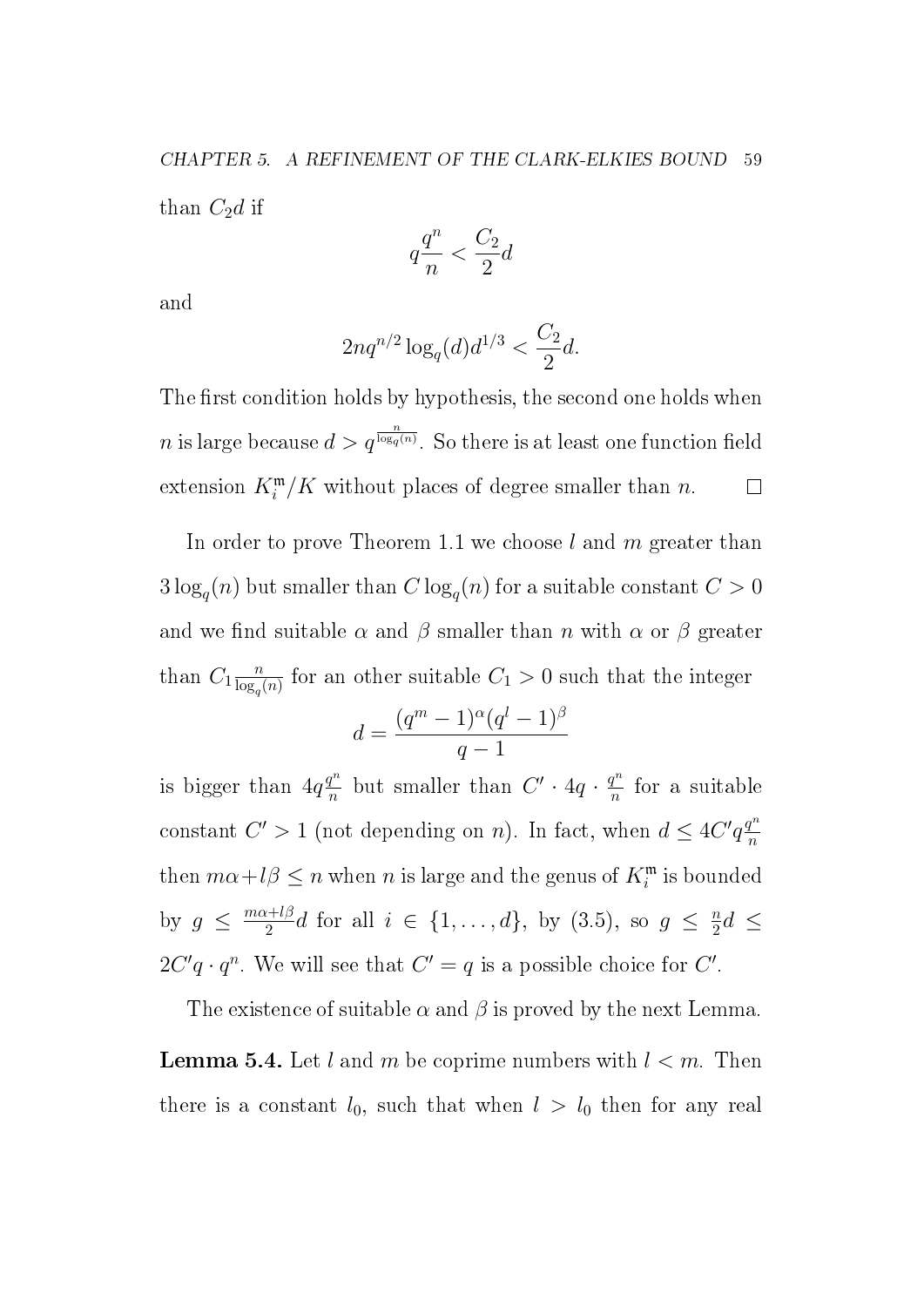$$
q\frac{q^n}{n} < \frac{C_2}{2}d
$$

and

$$
2nq^{n/2}\log_q(d)d^{1/3} < \frac{C_2}{2}d.
$$

The first condition holds by hypothesis, the second one holds when  $n$  is large because  $d > q^{\frac{n}{\log_q(n)}}$ . So there is at least one function field extension  $K_i^{\mathfrak{m}}/K$  without places of degree smaller than n.  $\Box$ 

In order to prove Theorem 1.1 we choose  $l$  and  $m$  greater than  $3\log_q(n)$  but smaller than  $C\log_q(n)$  for a suitable constant  $C>0$ and we find suitable  $\alpha$  and  $\beta$  smaller than n with  $\alpha$  or  $\beta$  greater than  $C_1 \frac{n}{\log n}$  $\frac{n}{\log_q(n)}$  for an other suitable  $C_1 > 0$  such that the integer

$$
d = \frac{(q^m - 1)^{\alpha} (q^l - 1)^{\beta}}{q - 1}
$$

is bigger than  $4q\frac{q^n}{n}$  $\frac{q^n}{n}$  but smaller than  $C' \cdot 4q \cdot \frac{q^n}{n}$  $\frac{q^n}{n}$  for a suitable constant  $C' > 1$  (not depending on n). In fact, when  $d \leq 4C'q \frac{q^n}{n}$ n then  $m\alpha + l\beta \leq n$  when n is large and the genus of  $K_i^{\mathfrak{m}}$  is bounded by  $g \leq \frac{m\alpha + l\beta}{2}$  $\frac{i}{2}$ d for all  $i \in \{1, \ldots, d\}$ , by  $(3.5)$ , so  $g \leq \frac{n}{2}$  $\frac{n}{2}d \leq$  $2C'q \cdot q^n$ . We will see that  $C' = q$  is a possible choice for  $C'$ .

The existence of suitable  $\alpha$  and  $\beta$  is proved by the next Lemma. **Lemma 5.4.** Let l and m be coprime numbers with  $l < m$ . Then there is a constant  $l_0$ , such that when  $l > l_0$  then for any real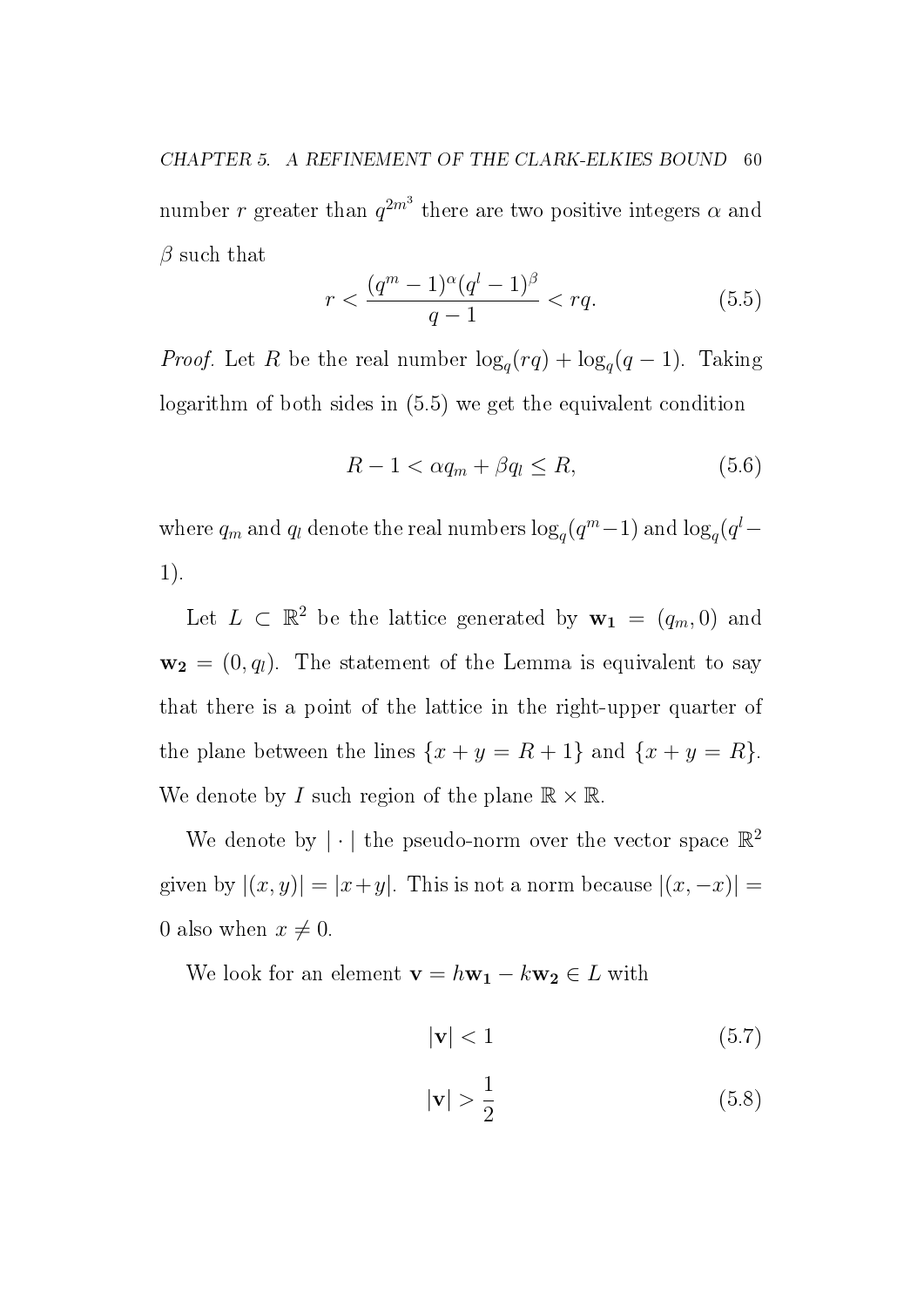CHAPTER 5. A REFINEMENT OF THE CLARK-ELKIES BOUND 60 number r greater than  $q^{2m^3}$  there are two positive integers  $\alpha$  and  $\beta$  such that

$$
r < \frac{(q^m - 1)^{\alpha}(q^l - 1)^{\beta}}{q - 1} < rq. \tag{5.5}
$$

*Proof.* Let R be the real number  $\log_q(rq) + \log_q(q-1)$ . Taking logarithm of both sides in (5.5) we get the equivalent condition

$$
R - 1 < \alpha q_m + \beta q_l \le R,\tag{5.6}
$$

where  $q_m$  and  $q_l$  denote the real numbers  $\log_q(q^m-1)$  and  $\log_q(q^l-1)$ 1).

Let  $L \subset \mathbb{R}^2$  be the lattice generated by  $\mathbf{w_1} = (q_m, 0)$  and  $\mathbf{w_2} = (0, q_l)$ . The statement of the Lemma is equivalent to say that there is a point of the lattice in the right-upper quarter of the plane between the lines  $\{x + y = R + 1\}$  and  $\{x + y = R\}$ . We denote by I such region of the plane  $\mathbb{R} \times \mathbb{R}$ .

We denote by  $|\cdot|$  the pseudo-norm over the vector space  $\mathbb{R}^2$ given by  $|(x, y)| = |x + y|$ . This is not a norm because  $|(x, -x)| =$ 0 also when  $x \neq 0$ .

We look for an element  $\mathbf{v} = h\mathbf{w}_1 - k\mathbf{w}_2 \in L$  with

$$
|\mathbf{v}| < 1 \tag{5.7}
$$

$$
|\mathbf{v}| > \frac{1}{2} \tag{5.8}
$$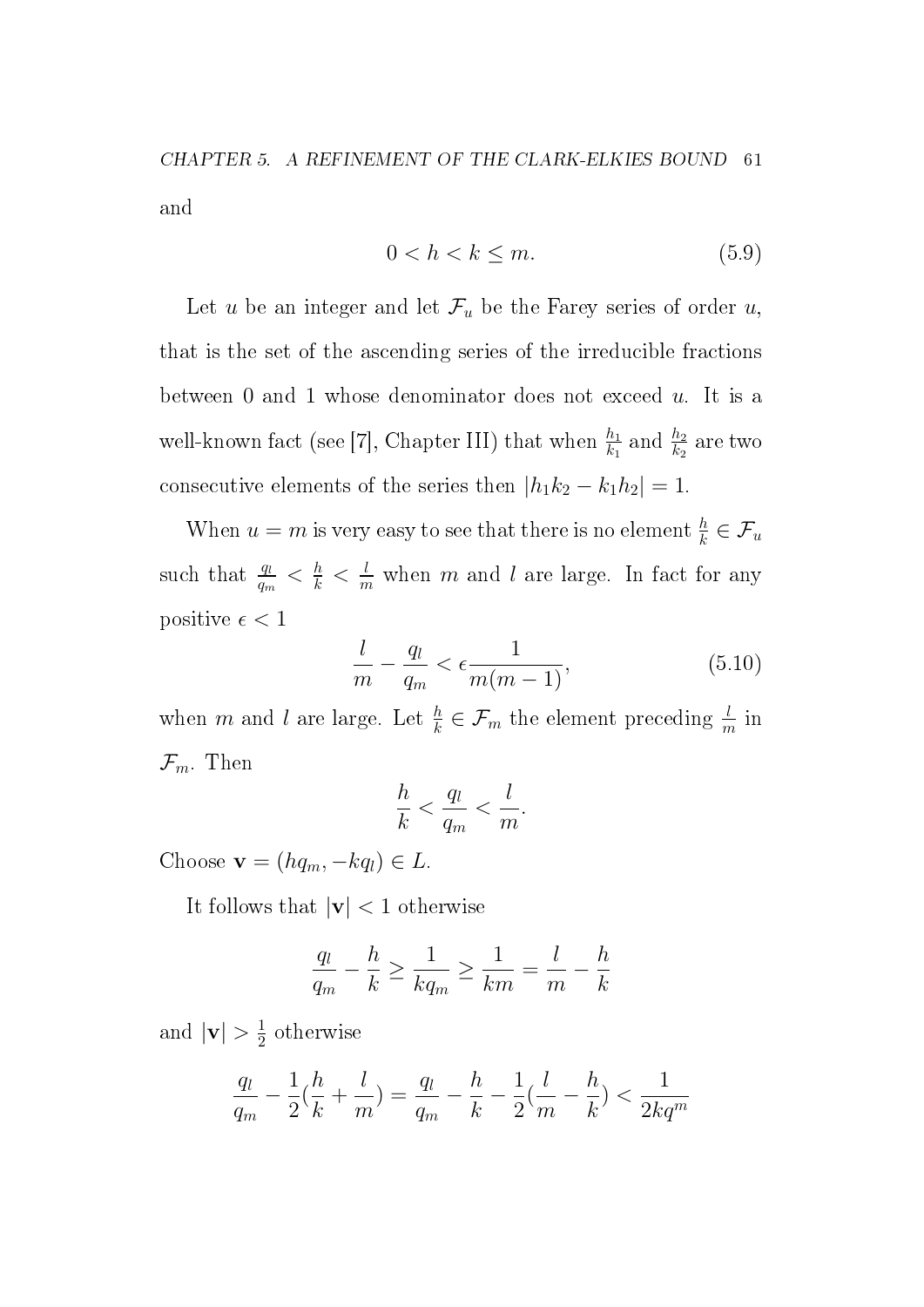CHAPTER 5. A REFINEMENT OF THE CLARK-ELKIES BOUND 61 and

$$
0 < h < k \le m. \tag{5.9}
$$

Let u be an integer and let  $\mathcal{F}_u$  be the Farey series of order u, that is the set of the ascending series of the irreducible fractions between 0 and 1 whose denominator does not exceed  $u$ . It is a well-known fact (see [7], Chapter III) that when  $\frac{h_1}{k_1}$  and  $\frac{h_2}{k_2}$  are two consecutive elements of the series then  $|h_1k_2 - k_1h_2| = 1$ .

When  $u = m$  is very easy to see that there is no element  $\frac{h}{k} \in \mathcal{F}_u$ such that  $\frac{q_l}{q_m} < \frac{h}{k} < \frac{l}{m}$  $\frac{l}{m}$  when m and l are large. In fact for any positive  $\epsilon < 1$ 

$$
\frac{l}{m} - \frac{q_l}{q_m} < \epsilon \frac{1}{m(m-1)},\tag{5.10}
$$

when m and l are large. Let  $\frac{h}{k} \in \mathcal{F}_m$  the element preceding  $\frac{l}{m}$  in  $\mathcal{F}_m$ . Then

$$
\frac{h}{k} < \frac{q_l}{q_m} < \frac{l}{m}.
$$

Choose  $\mathbf{v} = (hq_m, -kq_l) \in L$ .

It follows that  $|\mathbf{v}| < 1$  otherwise

$$
\frac{q_l}{q_m} - \frac{h}{k} \ge \frac{1}{kq_m} \ge \frac{1}{km} = \frac{l}{m} - \frac{h}{k}
$$

and  $|\mathbf{v}| > \frac{1}{2}$  $\frac{1}{2}$  otherwise

$$
\frac{q_l}{q_m} - \frac{1}{2}(\frac{h}{k} + \frac{l}{m}) = \frac{q_l}{q_m} - \frac{h}{k} - \frac{1}{2}(\frac{l}{m} - \frac{h}{k}) < \frac{1}{2kq^m}
$$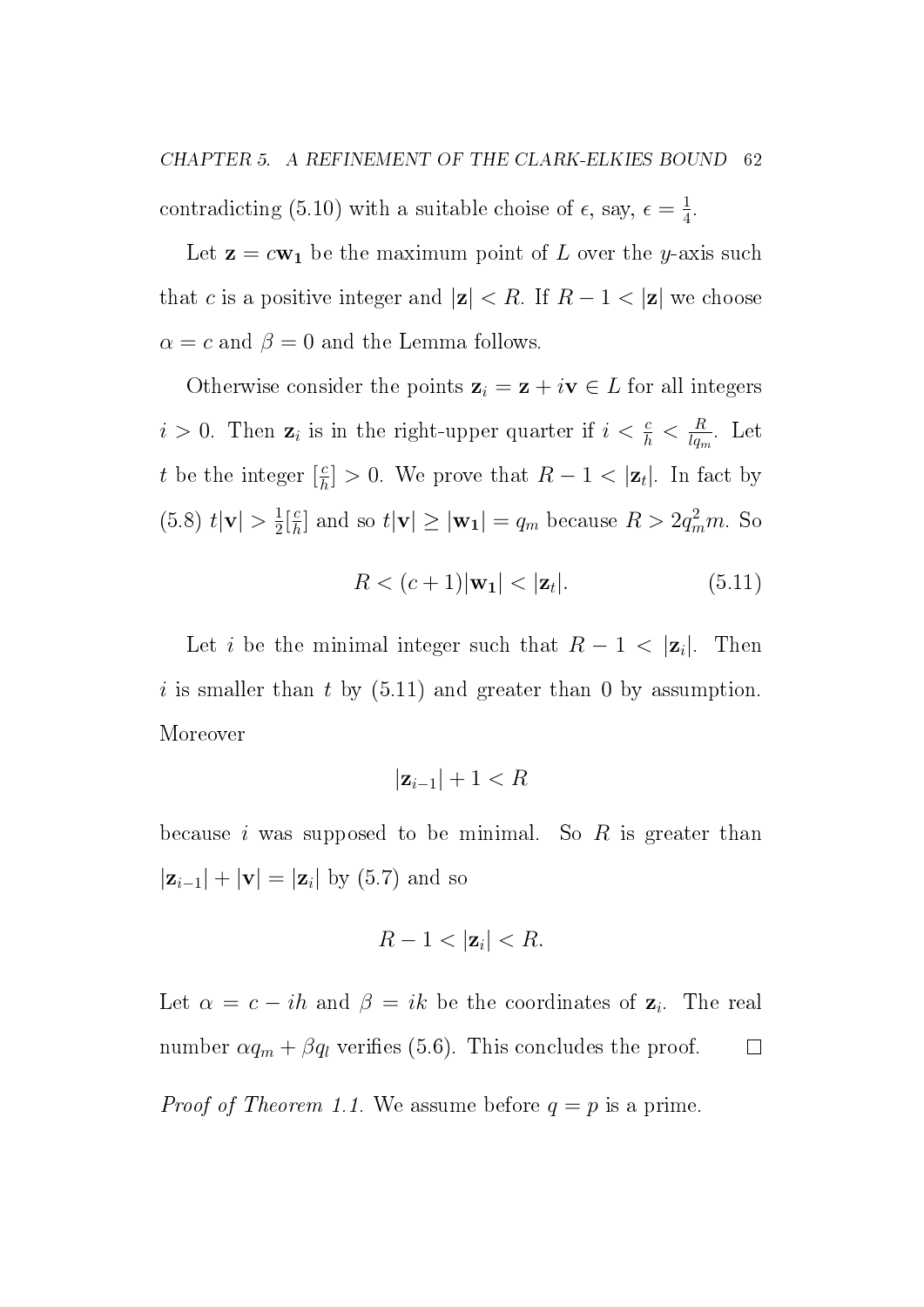Let  $z = c w_1$  be the maximum point of L over the y-axis such that c is a positive integer and  $|z| < R$ . If  $R - 1 < |z|$  we choose  $\alpha = c$  and  $\beta = 0$  and the Lemma follows.

Otherwise consider the points  $z_i = z + iv \in L$  for all integers  $i > 0$ . Then  $\mathbf{z}_i$  is in the right-upper quarter if  $i < \frac{c}{h} < \frac{R}{lq_r}$  $\frac{R}{lq_m}$ . Let t be the integer  $\left[\frac{c}{h}\right]$  $\left\lfloor \frac{c}{h} \right\rfloor > 0$ . We prove that  $R - 1 < |\mathbf{z}_t|$ . In fact by  $(5.8)$   $t|\mathbf{v}| > \frac{1}{2}$  $\frac{1}{2} \left[ \frac{c}{h} \right]$  $\frac{c}{h}$  and so  $t|\mathbf{v}| \geq |\mathbf{w_1}| = q_m$  because  $R > 2q_m^2 m$ . So

$$
R < (c+1)|\mathbf{w}_1| < |\mathbf{z}_t|.\tag{5.11}
$$

Let *i* be the minimal integer such that  $R - 1 < |\mathbf{z}_i|$ . |. Then i is smaller than t by  $(5.11)$  and greater than 0 by assumption. Moreover

$$
|\mathbf{z}_{i-1}|+1 < R
$$

because  $i$  was supposed to be minimal. So  $R$  is greater than  $|\mathbf{z}_{i-1}| + |\mathbf{v}| = |\mathbf{z}_i|$  by (5.7) and so

$$
R-1<|\mathbf{z}_i|
$$

Let  $\alpha = c - ih$  and  $\beta = ik$  be the coordinates of  $z_i$ . The real number  $\alpha q_m + \beta q_l$  verifies (5.6). This concludes the proof.  $\Box$ *Proof of Theorem 1.1.* We assume before  $q = p$  is a prime.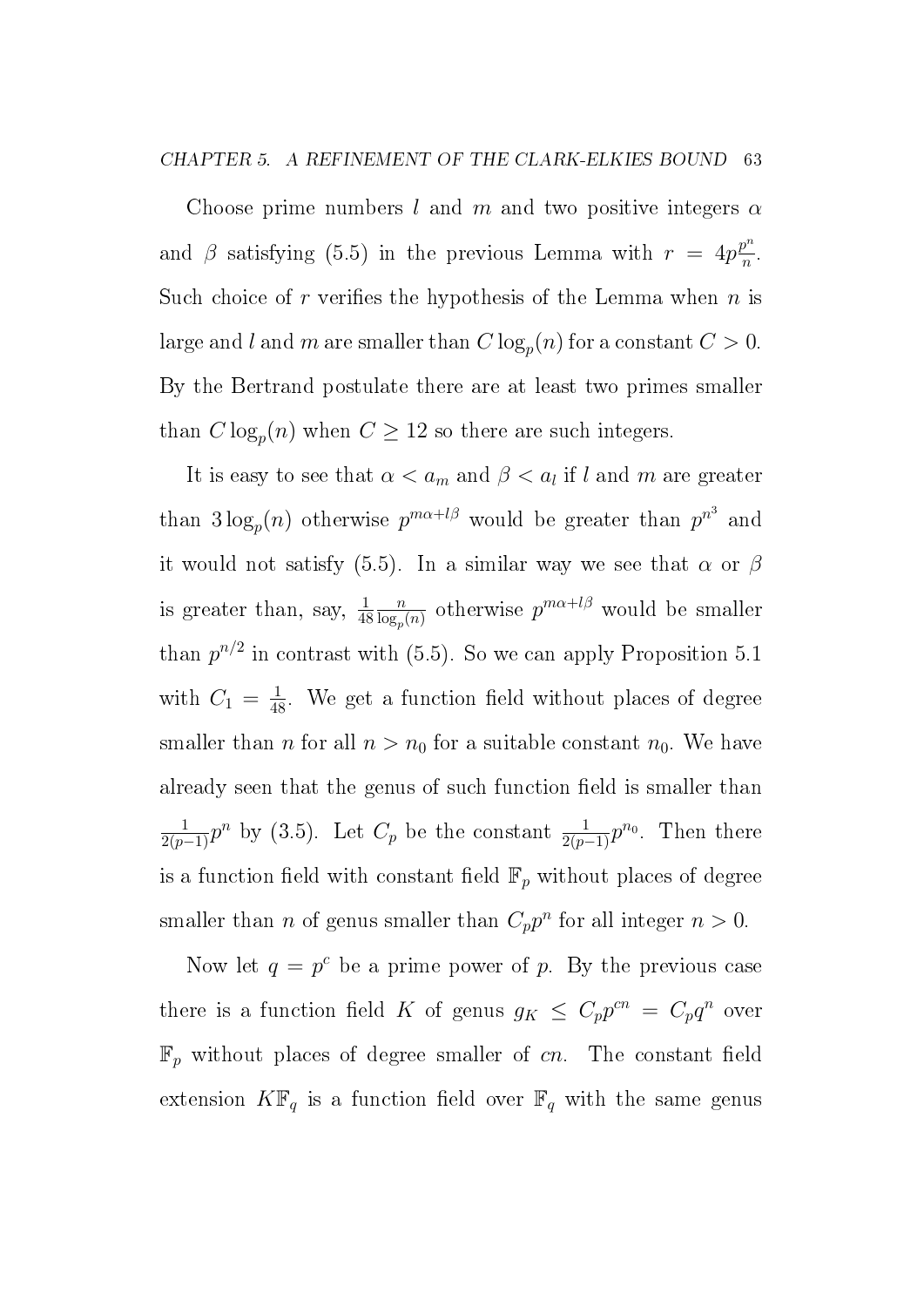Choose prime numbers l and m and two positive integers  $\alpha$ and  $\beta$  satisfying (5.5) in the previous Lemma with  $r = 4p^{\frac{p^n}{n}}$  $\frac{p^n}{n}$ . Such choice of r verifies the hypothesis of the Lemma when  $n$  is large and  $l$  and  $m$  are smaller than  $C\log_p(n)$  for a constant  $C>0.$ By the Bertrand postulate there are at least two primes smaller than  $C \log_p(n)$  when  $C \geq 12$  so there are such integers.

It is easy to see that  $\alpha < a_m$  and  $\beta < a_l$  if l and m are greater than  $3\log_p(n)$  otherwise  $p^{m\alpha+l\beta}$  would be greater than  $p^{n^3}$  and it would not satisfy (5.5). In a similar way we see that  $\alpha$  or  $\beta$ is greater than, say,  $\frac{1}{48}$  $\overline{n}$  $\frac{n}{\log_p(n)}$  otherwise  $p^{m\alpha+l\beta}$  would be smaller than  $p^{n/2}$  in contrast with (5.5). So we can apply Proposition 5.1 with  $C_1 = \frac{1}{48}$ . We get a function field without places of degree smaller than *n* for all  $n > n_0$  for a suitable constant  $n_0$ . We have already seen that the genus of such function field is smaller than  $\frac{1}{2(p-1)}p^n$  by (3.5). Let  $C_p$  be the constant  $\frac{1}{2(p-1)}p^{n_0}$ . Then there is a function field with constant field  $\mathbb{F}_p$  without places of degree smaller than *n* of genus smaller than  $C_p p^n$  for all integer  $n > 0$ .

Now let  $q = p^c$  be a prime power of p. By the previous case there is a function field K of genus  $g_K \leq C_p p^{cn} = C_p q^n$  over  $\mathbb{F}_p$  without places of degree smaller of cn. The constant field extension  $K\mathbb{F}_q$  is a function field over  $\mathbb{F}_q$  with the same genus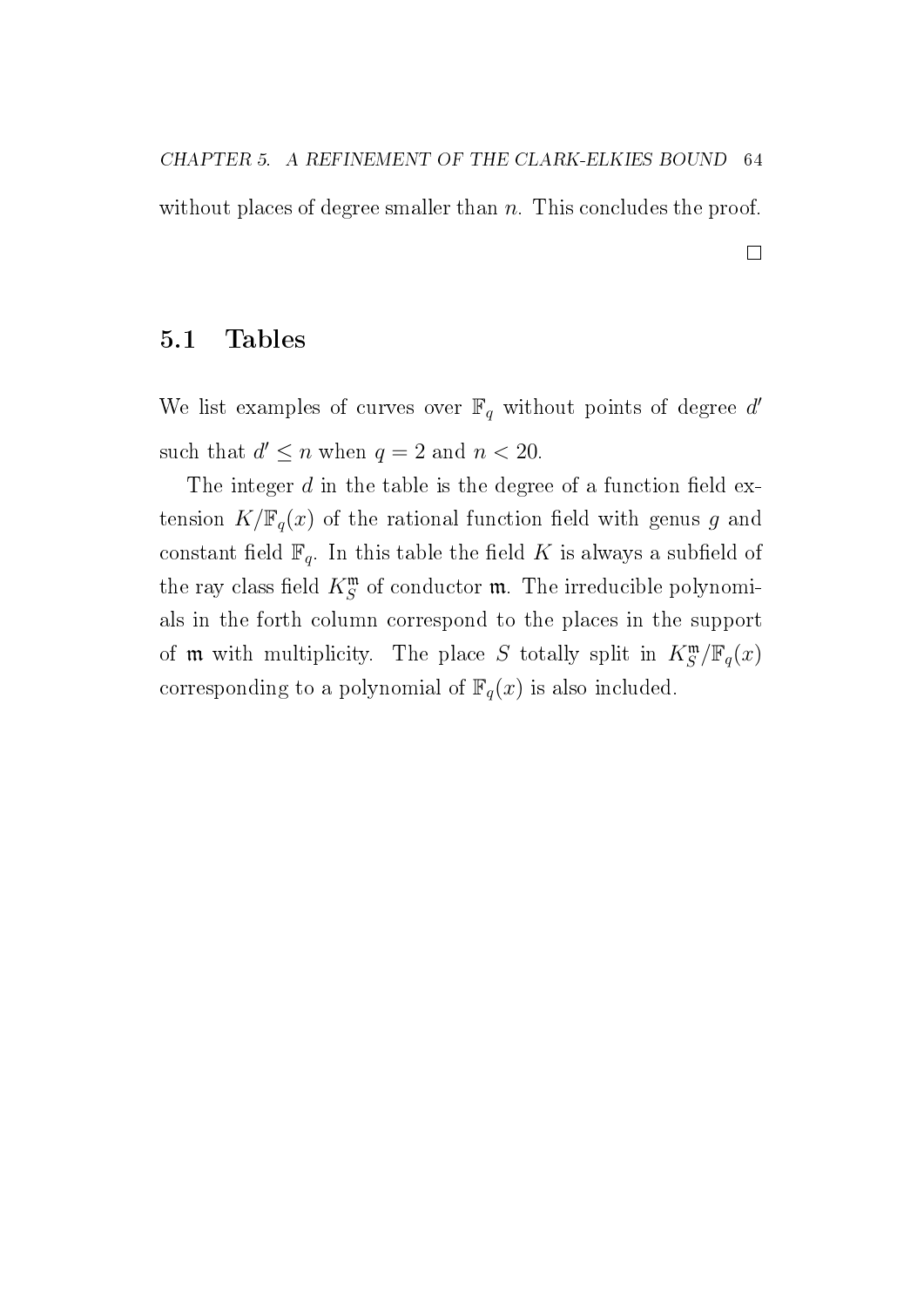without places of degree smaller than  $n$ . This concludes the proof.

 $\hfill \square$ 

5.1 Tables

We list examples of curves over  $\mathbb{F}_q$  without points of degree d' such that  $d' \leq n$  when  $q = 2$  and  $n < 20$ .

The integer  $d$  in the table is the degree of a function field extension  $K/\mathbb{F}_q(x)$  of the rational function field with genus g and constant field  $\mathbb{F}_q$ . In this table the field K is always a subfield of the ray class field  $K^{\mathfrak{m}}_S$  of conductor  $\mathfrak{m}$ . The irreducible polynomials in the forth column correspond to the places in the support of **m** with multiplicity. The place S totally split in  $K_S^{\mathfrak{m}}/\mathbb{F}_q(x)$ corresponding to a polynomial of  $\mathbb{F}_q(x)$  is also included.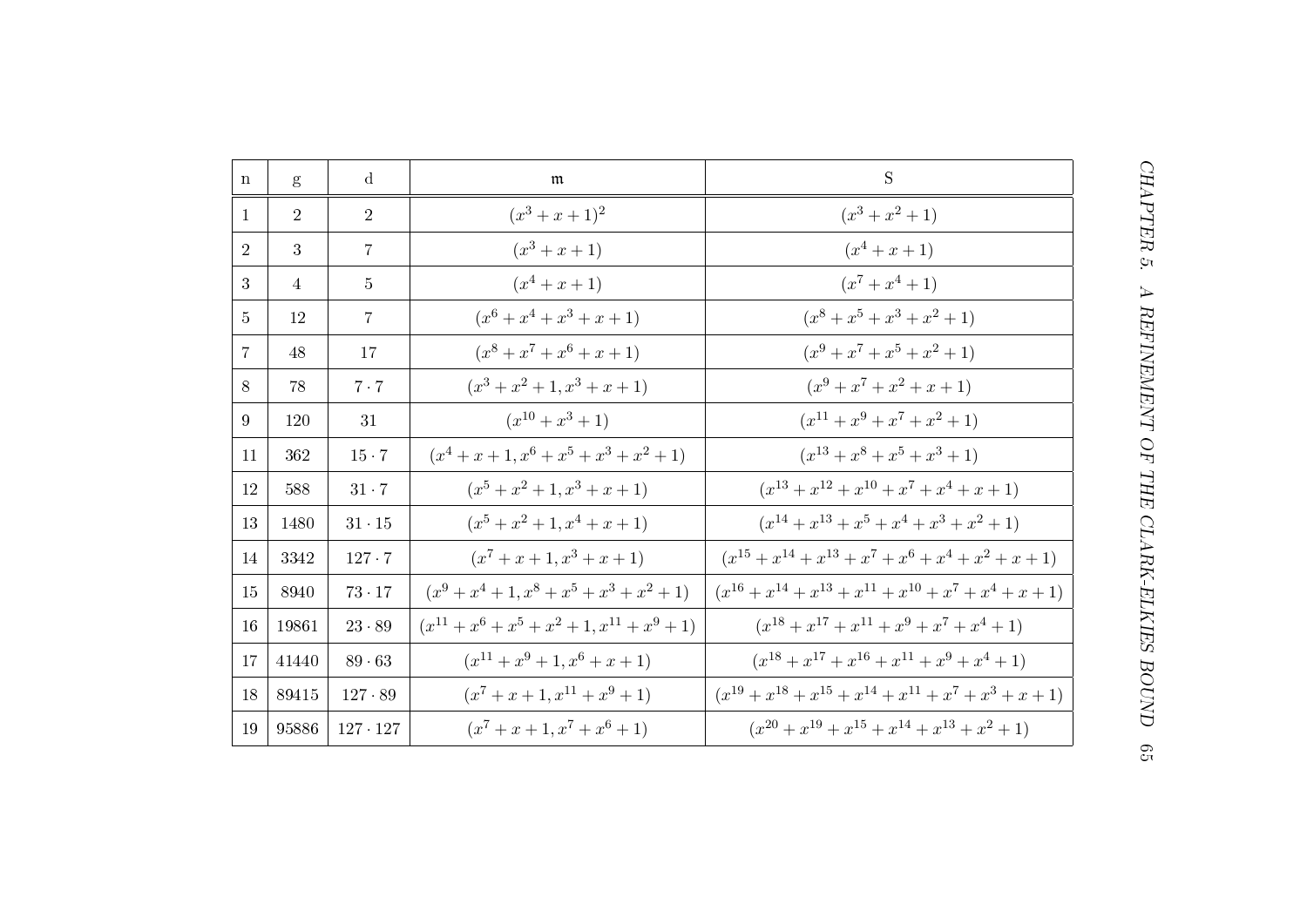| $\mathbf n$    | g              | $\mathbf d$     | m                                                        | $\mathbf S$                                                        |
|----------------|----------------|-----------------|----------------------------------------------------------|--------------------------------------------------------------------|
| $\mathbf{1}$   | $\overline{2}$ | $\overline{2}$  | $(x^3 + x + 1)^2$                                        | $(x^3+x^2+1)$                                                      |
| 2              | $\overline{3}$ | $\overline{7}$  | $(x^3 + x + 1)$                                          | $(x^4 + x + 1)$                                                    |
| $\overline{3}$ | $\overline{4}$ | $\overline{5}$  | $(x^4+x+1)$                                              | $(x^7 + x^4 + 1)$                                                  |
| $\overline{5}$ | 12             | $\overline{7}$  | $(x^6 + x^4 + x^3 + x + 1)$                              | $(x^8 + x^5 + x^3 + x^2 + 1)$                                      |
| $\overline{7}$ | 48             | 17              | $(x^8 + x^7 + x^6 + x + 1)$                              | $(x^{9} + x^{7} + x^{5} + x^{2} + 1)$                              |
| 8              | 78             | $7 \cdot 7$     | $(x^3 + x^2 + 1, x^3 + x + 1)$                           | $(x^{9}+x^{7}+x^{2}+x+1)$                                          |
| 9              | 120            | 31              | $(x^{10}+x^3+1)$                                         | $(x^{11} + x^9 + x^7 + x^2 + 1)$                                   |
| 11             | 362            | $15 \cdot 7$    | $(x^4 + x + 1, x^6 + x^5 + x^3 + x^2 + 1)$               | $(x^{13}+x^8+x^5+x^3+1)$                                           |
| 12             | 588            | $31 \cdot 7$    | $(x^5 + x^2 + 1, x^3 + x + 1)$                           | $(x^{13} + x^{12} + x^{10} + x^7 + x^4 + x + 1)$                   |
| 13             | 1480           | $31\cdot 15$    | $(x^5 + x^2 + 1, x^4 + x + 1)$                           | $(x^{14} + x^{13} + x^5 + x^4 + x^3 + x^2 + 1)$                    |
| 14             | 3342           | $127 \cdot 7$   | $(x^7 + x + 1, x^3 + x + 1)$                             | $(x^{15} + x^{14} + x^{13} + x^7 + x^6 + x^4 + x^2 + x + 1)$       |
| 15             | 8940           | $73 \cdot 17$   | $(x^{9} + x^{4} + 1, x^{8} + x^{5} + x^{3} + x^{2} + 1)$ | $(x^{16} + x^{14} + x^{13} + x^{11} + x^{10} + x^7 + x^4 + x + 1)$ |
| 16             | 19861          | $23 \cdot 89$   | $(x^{11} + x^6 + x^5 + x^2 + 1, x^{11} + x^9 + 1)$       | $(x^{18} + x^{17} + x^{11} + x^9 + x^7 + x^4 + 1)$                 |
| 17             | 41440          | 89.63           | $(x^{11} + x^9 + 1, x^6 + x + 1)$                        | $(x^{18} + x^{17} + x^{16} + x^{11} + x^9 + x^4 + 1)$              |
| 18             | 89415          | $127 \cdot 89$  | $(x^{7}+x+1,x^{11}+x^{9}+1)$                             | $(x^{19} + x^{18} + x^{15} + x^{14} + x^{11} + x^7 + x^3 + x + 1)$ |
| 19             | 95886          | $127 \cdot 127$ | $(x^{7}+x+1,x^{7}+x^{6}+1)$                              | $(x^{20} + x^{19} + x^{15} + x^{14} + x^{13} + x^2 + 1)$           |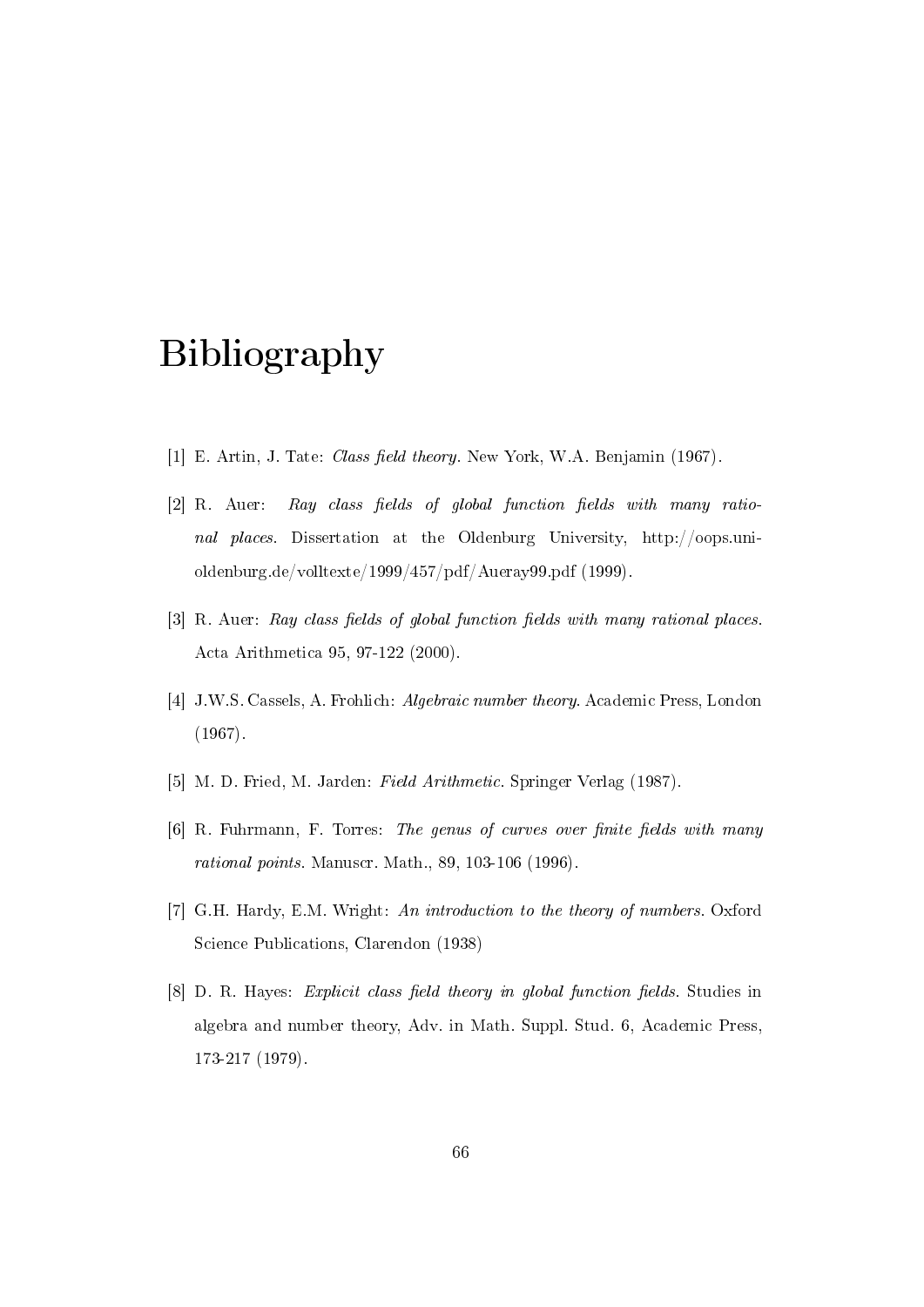### Bibliography

- [1] E. Artin, J. Tate: *Class field theory*. New York, W.A. Benjamin (1967).
- $[2]$  R. Auer: Ray class fields of global function fields with many rational places. Dissertation at the Oldenburg University, http://oops.unioldenburg.de/volltexte/1999/457/pdf/Aueray99.pdf (1999).
- [3] R. Auer: Ray class fields of global function fields with many rational places. Acta Arithmetica 95, 97-122 (2000).
- [4] J.W.S. Cassels, A. Frohlich: Algebraic number theory. Academic Press, London (1967).
- [5] M. D. Fried, M. Jarden: Field Arithmetic. Springer Verlag (1987).
- $[6]$  R. Fuhrmann, F. Torres: The genus of curves over finite fields with many rational points. Manuscr. Math., 89, 103-106 (1996).
- [7] G.H. Hardy, E.M. Wright: An introduction to the theory of numbers. Oxford Science Publications, Clarendon (1938)
- $[8]$  D. R. Hayes: *Explicit class field theory in global function fields*. Studies in algebra and number theory, Adv. in Math. Suppl. Stud. 6, Academic Press, 173-217 (1979).